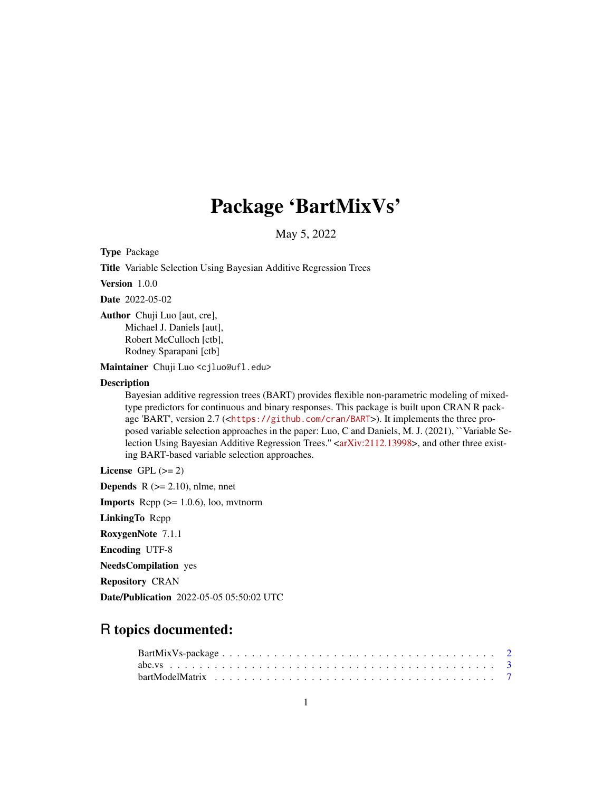# Package 'BartMixVs'

May 5, 2022

Type Package

Title Variable Selection Using Bayesian Additive Regression Trees

Version 1.0.0

Date 2022-05-02

Author Chuji Luo [aut, cre], Michael J. Daniels [aut], Robert McCulloch [ctb], Rodney Sparapani [ctb]

Maintainer Chuji Luo <cjluo@ufl.edu>

#### Description

Bayesian additive regression trees (BART) provides flexible non-parametric modeling of mixedtype predictors for continuous and binary responses. This package is built upon CRAN R package 'BART', version 2.7  $\left\langle \text{thtps:} / \text{github.com/cran/BART}\right\rangle$ ). It implements the three proposed variable selection approaches in the paper: Luo, C and Daniels, M. J. (2021), ``Variable Se-lection Using Bayesian Additive Regression Trees." [<arXiv:2112.13998>](https://arxiv.org/abs/2112.13998), and other three existing BART-based variable selection approaches.

License GPL  $(>= 2)$ 

**Depends**  $R$  ( $>= 2.10$ ), nlme, nnet

**Imports** Rcpp  $(>= 1.0.6)$ , loo, mythorm

LinkingTo Rcpp

RoxygenNote 7.1.1

Encoding UTF-8

NeedsCompilation yes

Repository CRAN

Date/Publication 2022-05-05 05:50:02 UTC

# R topics documented: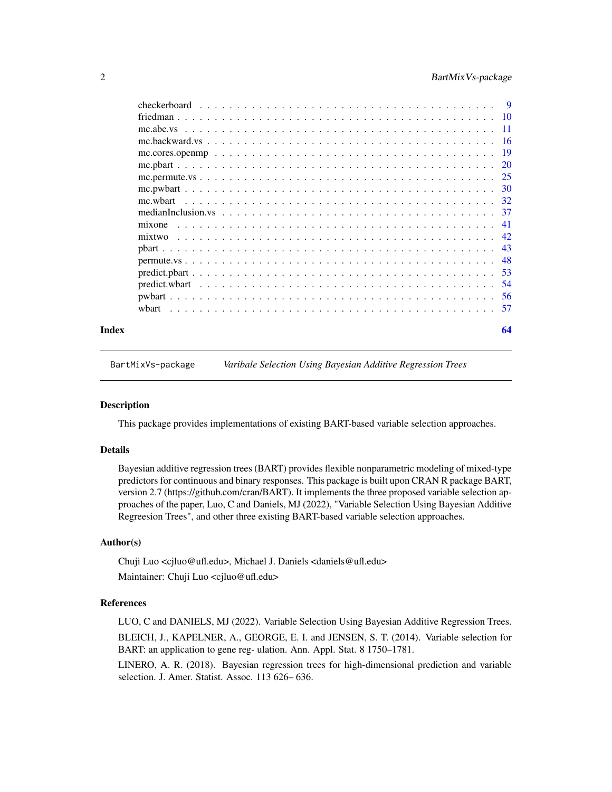<span id="page-1-0"></span>

| Index | 64 |
|-------|----|

BartMixVs-package *Varibale Selection Using Bayesian Additive Regression Trees*

#### Description

This package provides implementations of existing BART-based variable selection approaches.

#### Details

Bayesian additive regression trees (BART) provides flexible nonparametric modeling of mixed-type predictors for continuous and binary responses. This package is built upon CRAN R package BART, version 2.7 (https://github.com/cran/BART). It implements the three proposed variable selection approaches of the paper, Luo, C and Daniels, MJ (2022), "Variable Selection Using Bayesian Additive Regreesion Trees", and other three existing BART-based variable selection approaches.

#### Author(s)

Chuji Luo <cjluo@ufl.edu>, Michael J. Daniels <daniels@ufl.edu> Maintainer: Chuji Luo <cjluo@ufl.edu>

#### References

LUO, C and DANIELS, MJ (2022). Variable Selection Using Bayesian Additive Regression Trees. BLEICH, J., KAPELNER, A., GEORGE, E. I. and JENSEN, S. T. (2014). Variable selection for BART: an application to gene reg- ulation. Ann. Appl. Stat. 8 1750–1781.

LINERO, A. R. (2018). Bayesian regression trees for high-dimensional prediction and variable selection. J. Amer. Statist. Assoc. 113 626– 636.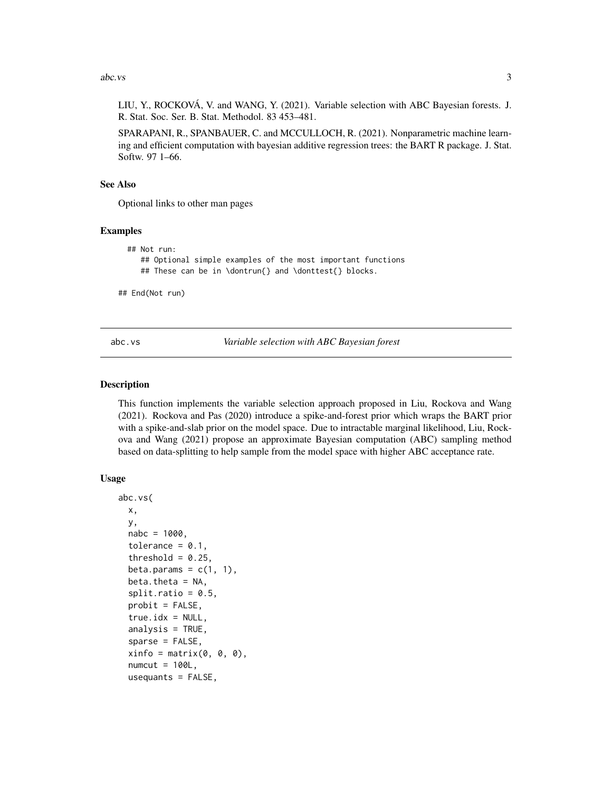#### <span id="page-2-0"></span> $\lambda$ abc.vs 3

LIU, Y., ROCKOVÁ, V. and WANG, Y. (2021). Variable selection with ABC Bayesian forests. J. R. Stat. Soc. Ser. B. Stat. Methodol. 83 453–481.

SPARAPANI, R., SPANBAUER, C. and MCCULLOCH, R. (2021). Nonparametric machine learning and efficient computation with bayesian additive regression trees: the BART R package. J. Stat. Softw. 97 1–66.

#### See Also

Optional links to other man pages

# Examples

```
## Not run:
   ## Optional simple examples of the most important functions
   ## These can be in \dontrun{} and \donttest{} blocks.
```
## End(Not run)

<span id="page-2-1"></span>abc.vs *Variable selection with ABC Bayesian forest*

#### Description

This function implements the variable selection approach proposed in Liu, Rockova and Wang (2021). Rockova and Pas (2020) introduce a spike-and-forest prior which wraps the BART prior with a spike-and-slab prior on the model space. Due to intractable marginal likelihood, Liu, Rockova and Wang (2021) propose an approximate Bayesian computation (ABC) sampling method based on data-splitting to help sample from the model space with higher ABC acceptance rate.

#### Usage

```
abc.vs(
  x,
 y,
  nabc = 1000,
  tolerance = 0.1,
  threshold = 0.25,
  beta.params = c(1, 1),
  beta. theta = NA,
  split.ratio = 0.5,
  probit = FALSE,true.idx = NULL,analysis = TRUE,
  sparse = FALSE,
  xinfo = matrix(0, 0, 0),numcut = 100L,
  usequants = FALSE,
```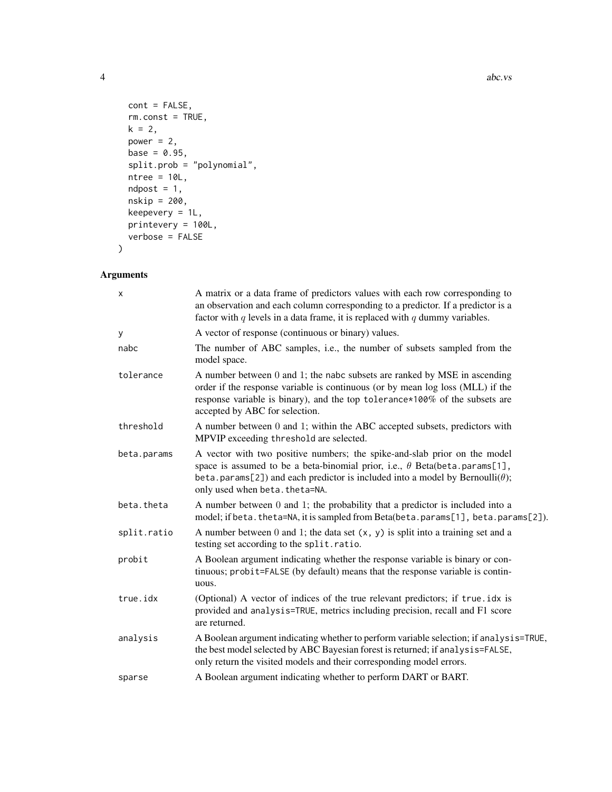```
cont = FALSE,rm.const = TRUE,
 k = 2,power = 2,
 base = 0.95,split.prob = "polynomial",
 ntree = 10L,ndpost = 1,
 nskip = 200,
 keepevery = 1L,
 printevery = 100L,
 verbose = FALSE
\mathcal{L}
```

| x           | A matrix or a data frame of predictors values with each row corresponding to<br>an observation and each column corresponding to a predictor. If a predictor is a<br>factor with $q$ levels in a data frame, it is replaced with $q$ dummy variables.                                     |
|-------------|------------------------------------------------------------------------------------------------------------------------------------------------------------------------------------------------------------------------------------------------------------------------------------------|
| У           | A vector of response (continuous or binary) values.                                                                                                                                                                                                                                      |
| nabc        | The number of ABC samples, i.e., the number of subsets sampled from the<br>model space.                                                                                                                                                                                                  |
| tolerance   | A number between 0 and 1; the nabc subsets are ranked by MSE in ascending<br>order if the response variable is continuous (or by mean log loss (MLL) if the<br>response variable is binary), and the top tolerance*100% of the subsets are<br>accepted by ABC for selection.             |
| threshold   | A number between 0 and 1; within the ABC accepted subsets, predictors with<br>MPVIP exceeding threshold are selected.                                                                                                                                                                    |
| beta.params | A vector with two positive numbers; the spike-and-slab prior on the model<br>space is assumed to be a beta-binomial prior, i.e., $\theta$ Beta(beta.params[1],<br>beta.params[2]) and each predictor is included into a model by Bernoulli( $\theta$ );<br>only used when beta.theta=NA. |
| beta.theta  | A number between $0$ and $1$ ; the probability that a predictor is included into a<br>model; if beta. theta=NA, it is sampled from Beta(beta. params[1], beta. params[2]).                                                                                                               |
| split.ratio | A number between $0$ and $1$ ; the data set $(x, y)$ is split into a training set and a<br>testing set according to the split.ratio.                                                                                                                                                     |
| probit      | A Boolean argument indicating whether the response variable is binary or con-<br>tinuous; probit=FALSE (by default) means that the response variable is contin-<br>uous.                                                                                                                 |
| true.idx    | (Optional) A vector of indices of the true relevant predictors; if true .idx is<br>provided and analysis=TRUE, metrics including precision, recall and F1 score<br>are returned.                                                                                                         |
| analysis    | A Boolean argument indicating whether to perform variable selection; if analysis=TRUE,<br>the best model selected by ABC Bayesian forest is returned; if analysis=FALSE,<br>only return the visited models and their corresponding model errors.                                         |
| sparse      | A Boolean argument indicating whether to perform DART or BART.                                                                                                                                                                                                                           |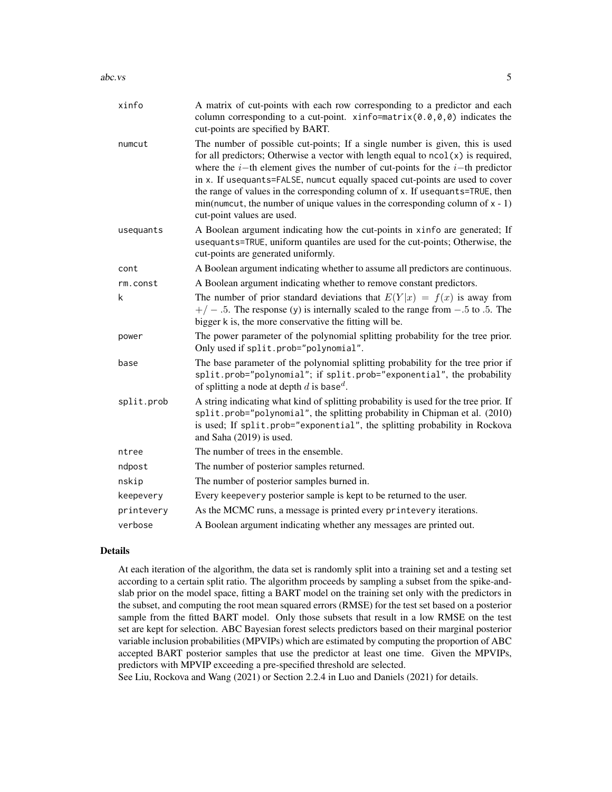#### $\sum_{i=1}^{n}$  abc.vs

| xinfo      | A matrix of cut-points with each row corresponding to a predictor and each<br>column corresponding to a cut-point. xinfo=matrix $(0.0, 0, 0)$ indicates the<br>cut-points are specified by BART.                                                                                                                                                                                                                                                                                                                                           |
|------------|--------------------------------------------------------------------------------------------------------------------------------------------------------------------------------------------------------------------------------------------------------------------------------------------------------------------------------------------------------------------------------------------------------------------------------------------------------------------------------------------------------------------------------------------|
| numcut     | The number of possible cut-points; If a single number is given, this is used<br>for all predictors; Otherwise a vector with length equal to $ncol(x)$ is required,<br>where the $i$ -th element gives the number of cut-points for the $i$ -th predictor<br>in x. If usequants=FALSE, numcut equally spaced cut-points are used to cover<br>the range of values in the corresponding column of x. If usequants=TRUE, then<br>$min(numcut, the number of unique values in the corresponding column of x - 1)$<br>cut-point values are used. |
| usequants  | A Boolean argument indicating how the cut-points in xinfo are generated; If<br>usequants=TRUE, uniform quantiles are used for the cut-points; Otherwise, the<br>cut-points are generated uniformly.                                                                                                                                                                                                                                                                                                                                        |
| cont       | A Boolean argument indicating whether to assume all predictors are continuous.                                                                                                                                                                                                                                                                                                                                                                                                                                                             |
| rm.const   | A Boolean argument indicating whether to remove constant predictors.                                                                                                                                                                                                                                                                                                                                                                                                                                                                       |
| k          | The number of prior standard deviations that $E(Y x) = f(x)$ is away from<br>$+/-$ .5. The response (y) is internally scaled to the range from $-.5$ to .5. The<br>bigger k is, the more conservative the fitting will be.                                                                                                                                                                                                                                                                                                                 |
| power      | The power parameter of the polynomial splitting probability for the tree prior.<br>Only used if split.prob="polynomial".                                                                                                                                                                                                                                                                                                                                                                                                                   |
| base       | The base parameter of the polynomial splitting probability for the tree prior if<br>split.prob="polynomial"; if split.prob="exponential", the probability<br>of splitting a node at depth d is base <sup>d</sup> .                                                                                                                                                                                                                                                                                                                         |
| split.prob | A string indicating what kind of splitting probability is used for the tree prior. If<br>split.prob="polynomial", the splitting probability in Chipman et al. (2010)<br>is used; If split.prob="exponential", the splitting probability in Rockova<br>and Saha (2019) is used.                                                                                                                                                                                                                                                             |
| ntree      | The number of trees in the ensemble.                                                                                                                                                                                                                                                                                                                                                                                                                                                                                                       |
| ndpost     | The number of posterior samples returned.                                                                                                                                                                                                                                                                                                                                                                                                                                                                                                  |
| nskip      | The number of posterior samples burned in.                                                                                                                                                                                                                                                                                                                                                                                                                                                                                                 |
| keepevery  | Every keepevery posterior sample is kept to be returned to the user.                                                                                                                                                                                                                                                                                                                                                                                                                                                                       |
| printevery | As the MCMC runs, a message is printed every printevery iterations.                                                                                                                                                                                                                                                                                                                                                                                                                                                                        |
| verbose    | A Boolean argument indicating whether any messages are printed out.                                                                                                                                                                                                                                                                                                                                                                                                                                                                        |

#### Details

At each iteration of the algorithm, the data set is randomly split into a training set and a testing set according to a certain split ratio. The algorithm proceeds by sampling a subset from the spike-andslab prior on the model space, fitting a BART model on the training set only with the predictors in the subset, and computing the root mean squared errors (RMSE) for the test set based on a posterior sample from the fitted BART model. Only those subsets that result in a low RMSE on the test set are kept for selection. ABC Bayesian forest selects predictors based on their marginal posterior variable inclusion probabilities (MPVIPs) which are estimated by computing the proportion of ABC accepted BART posterior samples that use the predictor at least one time. Given the MPVIPs, predictors with MPVIP exceeding a pre-specified threshold are selected.

See Liu, Rockova and Wang (2021) or Section 2.2.4 in Luo and Daniels (2021) for details.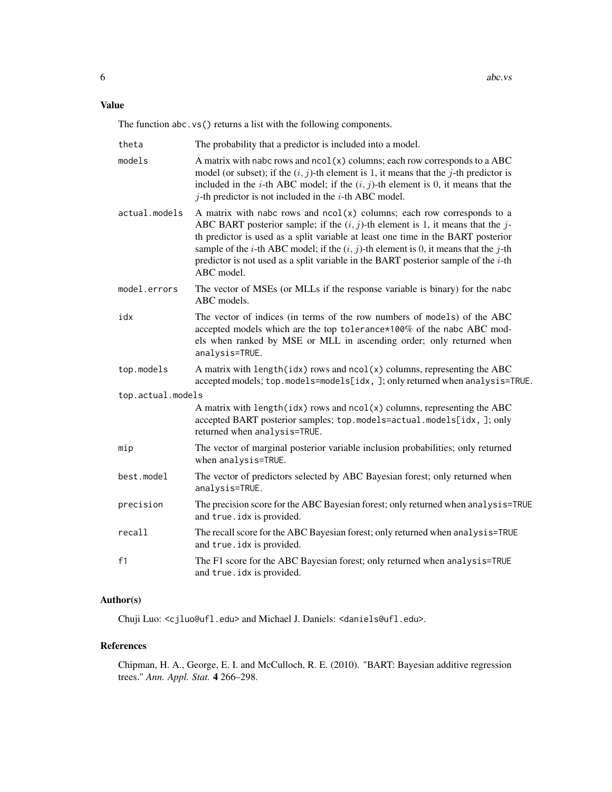Value

The function abc.vs() returns a list with the following components.

| theta             | The probability that a predictor is included into a model.                                                                                                                                                                                                                                                                                                                                                                                                         |
|-------------------|--------------------------------------------------------------------------------------------------------------------------------------------------------------------------------------------------------------------------------------------------------------------------------------------------------------------------------------------------------------------------------------------------------------------------------------------------------------------|
| models            | A matrix with nabc rows and $ncol(x)$ columns; each row corresponds to a ABC<br>model (or subset); if the $(i, j)$ -th element is 1, it means that the j-th predictor is<br>included in the <i>i</i> -th ABC model; if the $(i, j)$ -th element is 0, it means that the<br>$j$ -th predictor is not included in the $i$ -th ABC model.                                                                                                                             |
| actual.models     | A matrix with nabc rows and $ncol(x)$ columns; each row corresponds to a<br>ABC BART posterior sample; if the $(i, j)$ -th element is 1, it means that the j-<br>th predictor is used as a split variable at least one time in the BART posterior<br>sample of the <i>i</i> -th ABC model; if the $(i, j)$ -th element is 0, it means that the <i>j</i> -th<br>predictor is not used as a split variable in the BART posterior sample of the $i$ -th<br>ABC model. |
| model.errors      | The vector of MSEs (or MLLs if the response variable is binary) for the nabc<br>ABC models.                                                                                                                                                                                                                                                                                                                                                                        |
| idx               | The vector of indices (in terms of the row numbers of models) of the ABC<br>accepted models which are the top tolerance*100% of the nabc ABC mod-<br>els when ranked by MSE or MLL in ascending order; only returned when<br>analysis=TRUE.                                                                                                                                                                                                                        |
| top.models        | A matrix with length(idx) rows and $ncol(x)$ columns, representing the ABC<br>accepted models; top.models=models[idx, ]; only returned when analysis=TRUE.                                                                                                                                                                                                                                                                                                         |
| top.actual.models |                                                                                                                                                                                                                                                                                                                                                                                                                                                                    |
|                   | A matrix with length(idx) rows and $ncol(x)$ columns, representing the ABC<br>accepted BART posterior samples; top.models=actual.models[idx, ]; only<br>returned when analysis=TRUE.                                                                                                                                                                                                                                                                               |
| mip               | The vector of marginal posterior variable inclusion probabilities; only returned<br>when analysis=TRUE.                                                                                                                                                                                                                                                                                                                                                            |
| best.model        | The vector of predictors selected by ABC Bayesian forest; only returned when<br>analysis=TRUE.                                                                                                                                                                                                                                                                                                                                                                     |
| precision         | The precision score for the ABC Bayesian forest; only returned when analysis=TRUE<br>and true.idx is provided.                                                                                                                                                                                                                                                                                                                                                     |
| recall            | The recall score for the ABC Bayesian forest; only returned when analysis=TRUE<br>and true.idx is provided.                                                                                                                                                                                                                                                                                                                                                        |
| f1                | The F1 score for the ABC Bayesian forest; only returned when analysis=TRUE<br>and true.idx is provided.                                                                                                                                                                                                                                                                                                                                                            |

# Author(s)

Chuji Luo: <cjluo@ufl.edu> and Michael J. Daniels: <daniels@ufl.edu>.

# References

Chipman, H. A., George, E. I. and McCulloch, R. E. (2010). "BART: Bayesian additive regression trees." *Ann. Appl. Stat.* 4 266–298.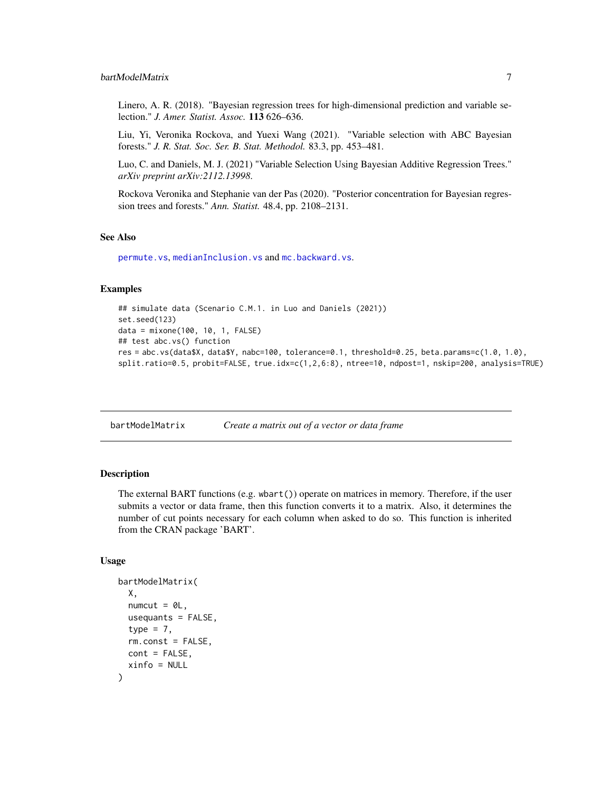#### <span id="page-6-0"></span>bartModelMatrix 7

Linero, A. R. (2018). "Bayesian regression trees for high-dimensional prediction and variable selection." *J. Amer. Statist. Assoc.* 113 626–636.

Liu, Yi, Veronika Rockova, and Yuexi Wang (2021). "Variable selection with ABC Bayesian forests." *J. R. Stat. Soc. Ser. B. Stat. Methodol.* 83.3, pp. 453–481.

Luo, C. and Daniels, M. J. (2021) "Variable Selection Using Bayesian Additive Regression Trees." *arXiv preprint arXiv:2112.13998*.

Rockova Veronika and Stephanie van der Pas (2020). "Posterior concentration for Bayesian regression trees and forests." *Ann. Statist.* 48.4, pp. 2108–2131.

#### See Also

[permute.vs](#page-47-1), [medianInclusion.vs](#page-36-1) and [mc.backward.vs](#page-15-1).

# Examples

```
## simulate data (Scenario C.M.1. in Luo and Daniels (2021))
set.seed(123)
data = mixone(100, 10, 1, FALSE)
## test abc.vs() function
res = abc.vs(data$X, data$Y, nabc=100, tolerance=0.1, threshold=0.25, beta.params=c(1.0, 1.0),
split.ratio=0.5, probit=FALSE, true.idx=c(1,2,6:8), ntree=10, ndpost=1, nskip=200, analysis=TRUE)
```
bartModelMatrix *Create a matrix out of a vector or data frame*

#### **Description**

The external BART functions (e.g. wbart()) operate on matrices in memory. Therefore, if the user submits a vector or data frame, then this function converts it to a matrix. Also, it determines the number of cut points necessary for each column when asked to do so. This function is inherited from the CRAN package 'BART'.

#### Usage

```
bartModelMatrix(
  X,
  numcut = 0L,
  usequants = FALSE,
  type = 7,
  rm.const = FALSE,
 cont = FALSE,xinfo = NULL
)
```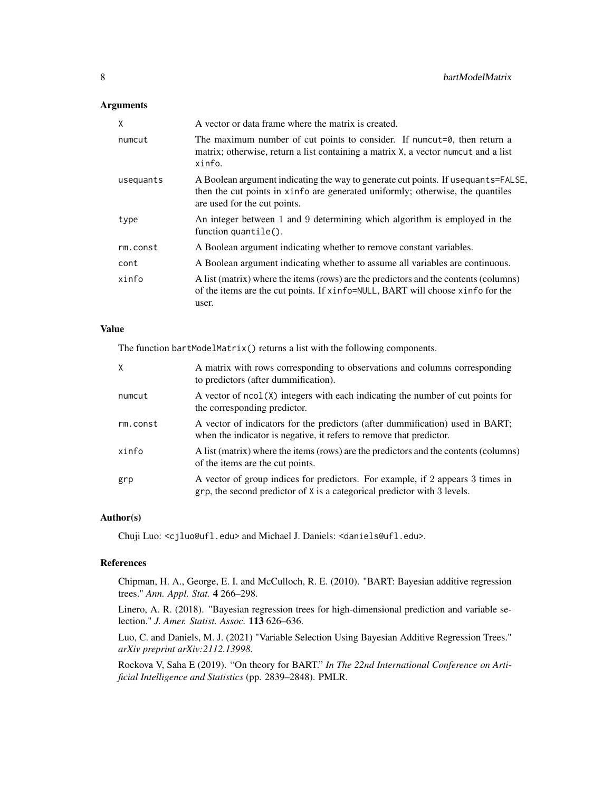# Arguments

| X         | A vector or data frame where the matrix is created.                                                                                                                                                    |
|-----------|--------------------------------------------------------------------------------------------------------------------------------------------------------------------------------------------------------|
| numcut    | The maximum number of cut points to consider. If numeral $\theta$ , then return a<br>matrix; otherwise, return a list containing a matrix X, a vector numcut and a list<br>xinfo.                      |
| usequants | A Boolean argument indicating the way to generate cut points. If use quants = FALSE,<br>then the cut points in xinfo are generated uniformly; otherwise, the quantiles<br>are used for the cut points. |
| type      | An integer between 1 and 9 determining which algorithm is employed in the<br>function quantile().                                                                                                      |
| rm.const  | A Boolean argument indicating whether to remove constant variables.                                                                                                                                    |
| cont      | A Boolean argument indicating whether to assume all variables are continuous.                                                                                                                          |
| xinfo     | A list (matrix) where the items (rows) are the predictors and the contents (columns)<br>of the items are the cut points. If xinfo=NULL, BART will choose xinfo for the<br>user.                        |

### Value

The function bartModelMatrix() returns a list with the following components.

| X        | A matrix with rows corresponding to observations and columns corresponding<br>to predictors (after dummification).                                                  |
|----------|---------------------------------------------------------------------------------------------------------------------------------------------------------------------|
| numcut   | A vector of $ncol(X)$ integers with each indicating the number of cut points for<br>the corresponding predictor.                                                    |
| rm.const | A vector of indicators for the predictors (after dummification) used in BART;<br>when the indicator is negative, it refers to remove that predictor.                |
| xinfo    | A list (matrix) where the items (rows) are the predictors and the contents (columns)<br>of the items are the cut points.                                            |
| grp      | A vector of group indices for predictors. For example, if 2 appears 3 times in<br>$\alpha$ grp, the second predictor of X is a categorical predictor with 3 levels. |

#### Author(s)

Chuji Luo: <cjluo@ufl.edu> and Michael J. Daniels: <daniels@ufl.edu>.

#### References

Chipman, H. A., George, E. I. and McCulloch, R. E. (2010). "BART: Bayesian additive regression trees." *Ann. Appl. Stat.* 4 266–298.

Linero, A. R. (2018). "Bayesian regression trees for high-dimensional prediction and variable selection." *J. Amer. Statist. Assoc.* 113 626–636.

Luo, C. and Daniels, M. J. (2021) "Variable Selection Using Bayesian Additive Regression Trees." *arXiv preprint arXiv:2112.13998*.

Rockova V, Saha E (2019). "On theory for BART." *In The 22nd International Conference on Artificial Intelligence and Statistics* (pp. 2839–2848). PMLR.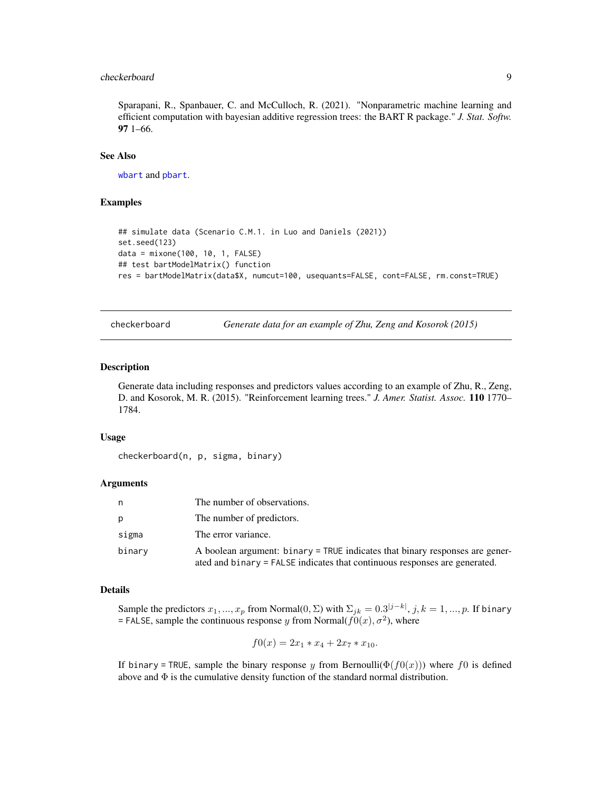#### <span id="page-8-0"></span>checkerboard 9

Sparapani, R., Spanbauer, C. and McCulloch, R. (2021). "Nonparametric machine learning and efficient computation with bayesian additive regression trees: the BART R package." *J. Stat. Softw.* 97 1–66.

#### See Also

[wbart](#page-56-1) and [pbart](#page-42-1).

#### Examples

```
## simulate data (Scenario C.M.1. in Luo and Daniels (2021))
set.seed(123)
data = mixone(100, 10, 1, FALSE)
## test bartModelMatrix() function
res = bartModelMatrix(data$X, numcut=100, usequants=FALSE, cont=FALSE, rm.const=TRUE)
```
checkerboard *Generate data for an example of Zhu, Zeng and Kosorok (2015)*

#### Description

Generate data including responses and predictors values according to an example of Zhu, R., Zeng, D. and Kosorok, M. R. (2015). "Reinforcement learning trees." *J. Amer. Statist. Assoc.* 110 1770– 1784.

#### Usage

checkerboard(n, p, sigma, binary)

# Arguments

| n      | The number of observations.                                                                                                                                |
|--------|------------------------------------------------------------------------------------------------------------------------------------------------------------|
| p      | The number of predictors.                                                                                                                                  |
| sigma  | The error variance.                                                                                                                                        |
| binary | A boolean argument: binary = TRUE indicates that binary responses are gener-<br>ated and binary = FALSE indicates that continuous responses are generated. |

#### Details

Sample the predictors  $x_1, ..., x_p$  from Normal $(0, \Sigma)$  with  $\Sigma_{jk} = 0.3^{|j-k|}, j, k = 1, ..., p$ . If binary = FALSE, sample the continuous response y from Normal( $f(0(x), \sigma^2)$ ), where

$$
f0(x) = 2x_1 \cdot x_4 + 2x_7 \cdot x_{10}.
$$

If binary = TRUE, sample the binary response y from Bernoulli( $\Phi(f(0(x)))$ ) where f0 is defined above and  $\Phi$  is the cumulative density function of the standard normal distribution.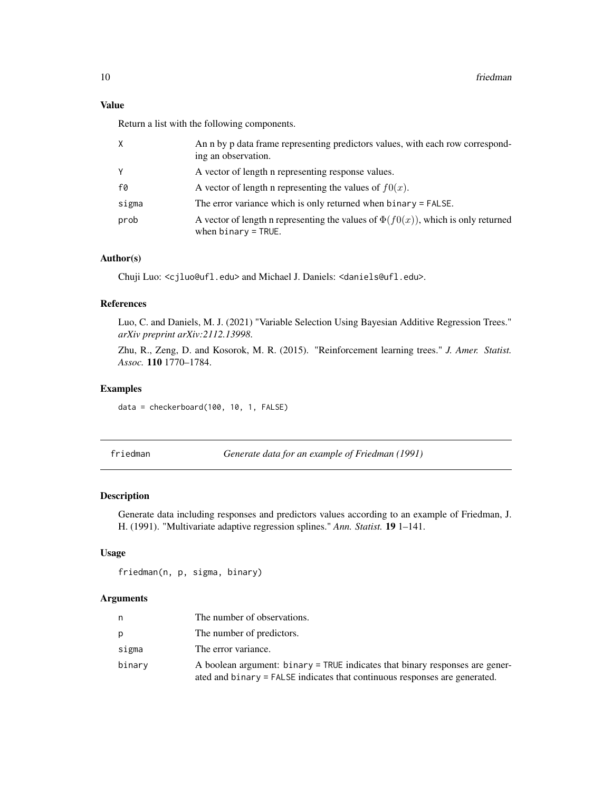# <span id="page-9-0"></span>Value

Return a list with the following components.

| X     | An n by p data frame representing predictors values, with each row correspond-<br>ing an observation.           |
|-------|-----------------------------------------------------------------------------------------------------------------|
| Υ     | A vector of length a representing response values.                                                              |
| f0    | A vector of length n representing the values of $f(x)$ .                                                        |
| sigma | The error variance which is only returned when $binary = FALSE$ .                                               |
| prob  | A vector of length n representing the values of $\Phi(f(0))$ , which is only returned<br>when $binary = TRUE$ . |

# Author(s)

Chuji Luo: <cjluo@ufl.edu> and Michael J. Daniels: <daniels@ufl.edu>.

# References

Luo, C. and Daniels, M. J. (2021) "Variable Selection Using Bayesian Additive Regression Trees." *arXiv preprint arXiv:2112.13998*.

Zhu, R., Zeng, D. and Kosorok, M. R. (2015). "Reinforcement learning trees." *J. Amer. Statist. Assoc.* 110 1770–1784.

#### Examples

data = checkerboard(100, 10, 1, FALSE)

friedman *Generate data for an example of Friedman (1991)*

#### Description

Generate data including responses and predictors values according to an example of Friedman, J. H. (1991). "Multivariate adaptive regression splines." *Ann. Statist.* 19 1–141.

#### Usage

friedman(n, p, sigma, binary)

| n.     | The number of observations.                                                                                                                                |
|--------|------------------------------------------------------------------------------------------------------------------------------------------------------------|
| p      | The number of predictors.                                                                                                                                  |
| sigma  | The error variance.                                                                                                                                        |
| binary | A boolean argument: binary = TRUE indicates that binary responses are gener-<br>ated and binary = FALSE indicates that continuous responses are generated. |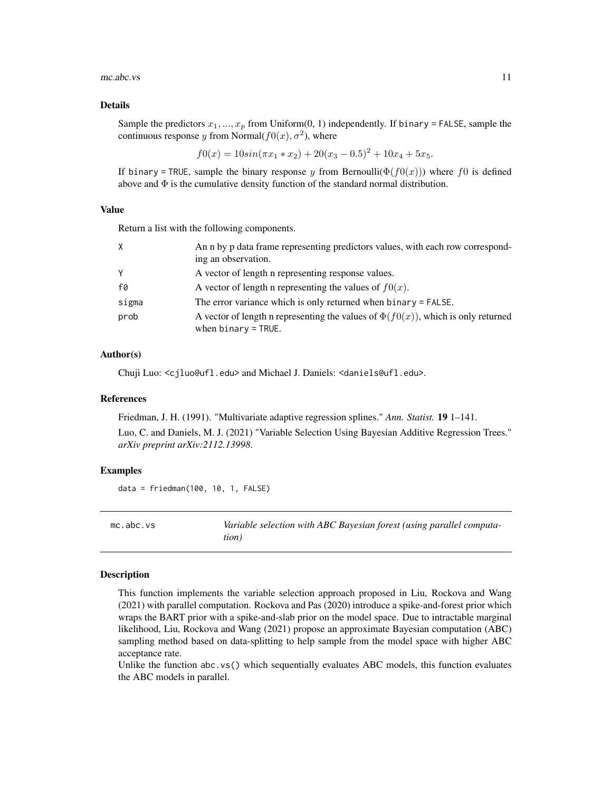#### <span id="page-10-0"></span> $mc.abc.vs$  11

#### Details

Sample the predictors  $x_1, ..., x_p$  from Uniform(0, 1) independently. If binary = FALSE, sample the continuous response y from Normal $(f0(x), \sigma^2)$ , where

$$
f0(x) = 10\sin(\pi x_1 * x_2) + 20(x_3 - 0.5)^2 + 10x_4 + 5x_5.
$$

If binary = TRUE, sample the binary response y from Bernoulli( $\Phi(f(0(x)))$ ) where f 0 is defined above and  $\Phi$  is the cumulative density function of the standard normal distribution.

# Value

Return a list with the following components.

| X     | An n by p data frame representing predictors values, with each row correspond-                                     |
|-------|--------------------------------------------------------------------------------------------------------------------|
|       | ing an observation.                                                                                                |
| Y     | A vector of length a representing response values.                                                                 |
| f0    | A vector of length n representing the values of $f(x)$ .                                                           |
| sigma | The error variance which is only returned when $binary = FALSE$ .                                                  |
| prob  | A vector of length n representing the values of $\Phi(f(0(x)))$ , which is only returned<br>when $binary = TRUE$ . |

#### Author(s)

Chuji Luo: <cjluo@ufl.edu> and Michael J. Daniels: <daniels@ufl.edu>.

#### References

Friedman, J. H. (1991). "Multivariate adaptive regression splines." *Ann. Statist.* 19 1–141.

Luo, C. and Daniels, M. J. (2021) "Variable Selection Using Bayesian Additive Regression Trees." *arXiv preprint arXiv:2112.13998*.

#### Examples

```
data = friedman(100, 10, 1, FALSE)
```

| mc.abc.vs | Variable selection with ABC Bayesian forest (using parallel computa- |
|-----------|----------------------------------------------------------------------|
|           | tion)                                                                |

#### Description

This function implements the variable selection approach proposed in Liu, Rockova and Wang (2021) with parallel computation. Rockova and Pas (2020) introduce a spike-and-forest prior which wraps the BART prior with a spike-and-slab prior on the model space. Due to intractable marginal likelihood, Liu, Rockova and Wang (2021) propose an approximate Bayesian computation (ABC) sampling method based on data-splitting to help sample from the model space with higher ABC acceptance rate.

Unlike the function abc.vs() which sequentially evaluates ABC models, this function evaluates the ABC models in parallel.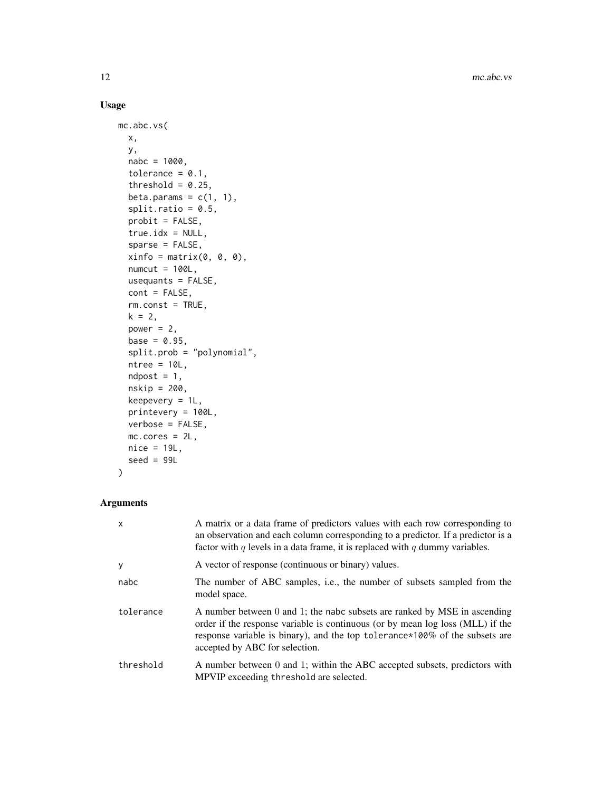# Usage

```
mc.abc.vs(
 x,
 y,
 nabc = 1000,
  tolerance = 0.1,
  threshold = 0.25,
 beta.params = c(1, 1),
  split.ratio = 0.5,probit = FALSE,
  true.idx = NULL,sparse = FALSE,
 xinfo = matrix(0, 0, 0),numcut = 100L,usequants = FALSE,
 cont = FALSE,
 rm.const = TRUE,
 k = 2,
 power = 2,
 base = 0.95,
  split.prob = "polynomial",
 ntree = 10L,ndpost = 1,
 nskip = 200,
 keepevery = 1L,
 printevery = 100L,
 verbose = FALSE,
 mc.cores = 2L,
 nice = 19L,seed = 99L
)
```

| $\mathsf{x}$ | A matrix or a data frame of predictors values with each row corresponding to<br>an observation and each column corresponding to a predictor. If a predictor is a<br>factor with $q$ levels in a data frame, it is replaced with $q$ dummy variables.                          |
|--------------|-------------------------------------------------------------------------------------------------------------------------------------------------------------------------------------------------------------------------------------------------------------------------------|
| y            | A vector of response (continuous or binary) values.                                                                                                                                                                                                                           |
| nabc         | The number of ABC samples, i.e., the number of subsets sampled from the<br>model space.                                                                                                                                                                                       |
| tolerance    | A number between 0 and 1; the nabc subsets are ranked by MSE in ascending<br>order if the response variable is continuous (or by mean log loss (MLL) if the<br>response variable is binary), and the top tolerance *100% of the subsets are<br>accepted by ABC for selection. |
| threshold    | A number between 0 and 1; within the ABC accepted subsets, predictors with<br>MPVIP exceeding threshold are selected.                                                                                                                                                         |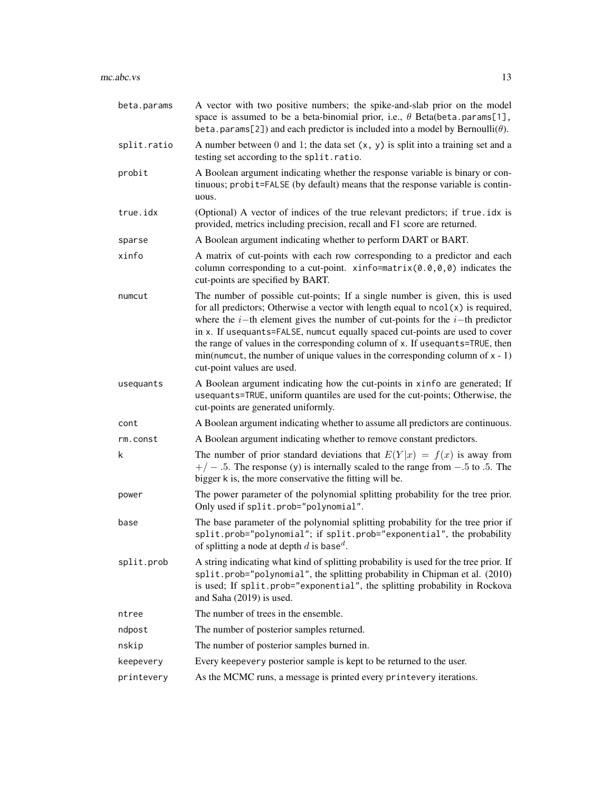| beta.params | A vector with two positive numbers; the spike-and-slab prior on the model<br>space is assumed to be a beta-binomial prior, i.e., $\theta$ Beta(beta.params[1],<br>beta.params[2]) and each predictor is included into a model by Bernoulli( $\theta$ ).                                                                                                                                                                                                                                                                                              |
|-------------|------------------------------------------------------------------------------------------------------------------------------------------------------------------------------------------------------------------------------------------------------------------------------------------------------------------------------------------------------------------------------------------------------------------------------------------------------------------------------------------------------------------------------------------------------|
| split.ratio | A number between 0 and 1; the data set $(x, y)$ is split into a training set and a<br>testing set according to the split.ratio.                                                                                                                                                                                                                                                                                                                                                                                                                      |
| probit      | A Boolean argument indicating whether the response variable is binary or con-<br>tinuous; probit=FALSE (by default) means that the response variable is contin-<br>uous.                                                                                                                                                                                                                                                                                                                                                                             |
| true.idx    | (Optional) A vector of indices of the true relevant predictors; if true .idx is<br>provided, metrics including precision, recall and F1 score are returned.                                                                                                                                                                                                                                                                                                                                                                                          |
| sparse      | A Boolean argument indicating whether to perform DART or BART.                                                                                                                                                                                                                                                                                                                                                                                                                                                                                       |
| xinfo       | A matrix of cut-points with each row corresponding to a predictor and each<br>column corresponding to a cut-point. xinfo=matrix $(0.0, 0, 0)$ indicates the<br>cut-points are specified by BART.                                                                                                                                                                                                                                                                                                                                                     |
| numcut      | The number of possible cut-points; If a single number is given, this is used<br>for all predictors; Otherwise a vector with length equal to $ncol(x)$ is required,<br>where the <i>i</i> -th element gives the number of cut-points for the <i>i</i> -th predictor<br>in x. If usequants=FALSE, numcut equally spaced cut-points are used to cover<br>the range of values in the corresponding column of x. If usequants=TRUE, then<br>$min(numcut, the number of unique values in the corresponding column of x - 1)$<br>cut-point values are used. |
| usequants   | A Boolean argument indicating how the cut-points in xinfo are generated; If<br>usequants=TRUE, uniform quantiles are used for the cut-points; Otherwise, the<br>cut-points are generated uniformly.                                                                                                                                                                                                                                                                                                                                                  |
| cont        | A Boolean argument indicating whether to assume all predictors are continuous.                                                                                                                                                                                                                                                                                                                                                                                                                                                                       |
| rm.const    | A Boolean argument indicating whether to remove constant predictors.                                                                                                                                                                                                                                                                                                                                                                                                                                                                                 |
| k           | The number of prior standard deviations that $E(Y x) = f(x)$ is away from<br>$+/-$ .5. The response (y) is internally scaled to the range from $-.5$ to .5. The<br>bigger k is, the more conservative the fitting will be.                                                                                                                                                                                                                                                                                                                           |
| power       | The power parameter of the polynomial splitting probability for the tree prior.<br>Only used if split.prob="polynomial".                                                                                                                                                                                                                                                                                                                                                                                                                             |
| base        | The base parameter of the polynomial splitting probability for the tree prior if<br>split.prob="polynomial"; if split.prob="exponential", the probability<br>of splitting a node at depth d is base <sup>d</sup> .                                                                                                                                                                                                                                                                                                                                   |
| split.prob  | A string indicating what kind of splitting probability is used for the tree prior. If<br>split.prob="polynomial", the splitting probability in Chipman et al. (2010)<br>is used; If split.prob="exponential", the splitting probability in Rockova<br>and Saha (2019) is used.                                                                                                                                                                                                                                                                       |
| ntree       | The number of trees in the ensemble.                                                                                                                                                                                                                                                                                                                                                                                                                                                                                                                 |
| ndpost      | The number of posterior samples returned.                                                                                                                                                                                                                                                                                                                                                                                                                                                                                                            |
| nskip       | The number of posterior samples burned in.                                                                                                                                                                                                                                                                                                                                                                                                                                                                                                           |
| keepevery   | Every keepevery posterior sample is kept to be returned to the user.                                                                                                                                                                                                                                                                                                                                                                                                                                                                                 |
| printevery  | As the MCMC runs, a message is printed every printevery iterations.                                                                                                                                                                                                                                                                                                                                                                                                                                                                                  |
|             |                                                                                                                                                                                                                                                                                                                                                                                                                                                                                                                                                      |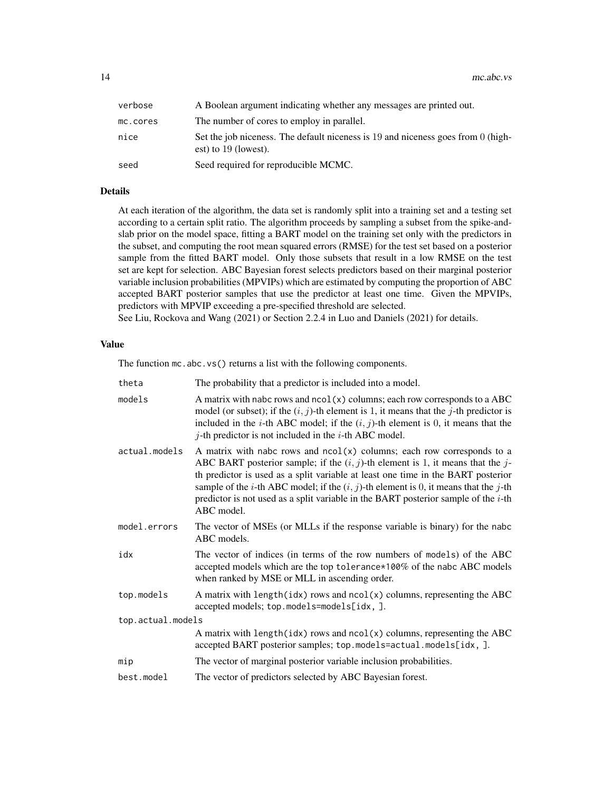| verbose  | A Boolean argument indicating whether any messages are printed out.                                        |
|----------|------------------------------------------------------------------------------------------------------------|
| mc.cores | The number of cores to employ in parallel.                                                                 |
| nice     | Set the job niceness. The default niceness is 19 and niceness goes from 0 (high-<br>est) to $19$ (lowest). |
| seed     | Seed required for reproducible MCMC.                                                                       |

# Details

At each iteration of the algorithm, the data set is randomly split into a training set and a testing set according to a certain split ratio. The algorithm proceeds by sampling a subset from the spike-andslab prior on the model space, fitting a BART model on the training set only with the predictors in the subset, and computing the root mean squared errors (RMSE) for the test set based on a posterior sample from the fitted BART model. Only those subsets that result in a low RMSE on the test set are kept for selection. ABC Bayesian forest selects predictors based on their marginal posterior variable inclusion probabilities (MPVIPs) which are estimated by computing the proportion of ABC accepted BART posterior samples that use the predictor at least one time. Given the MPVIPs, predictors with MPVIP exceeding a pre-specified threshold are selected.

See Liu, Rockova and Wang (2021) or Section 2.2.4 in Luo and Daniels (2021) for details.

# Value

The function  $mc \cdot abc \cdot vs()$  returns a list with the following components.

| theta             | The probability that a predictor is included into a model.                                                                                                                                                                                                                                                                                                                                                                                                           |
|-------------------|----------------------------------------------------------------------------------------------------------------------------------------------------------------------------------------------------------------------------------------------------------------------------------------------------------------------------------------------------------------------------------------------------------------------------------------------------------------------|
| models            | A matrix with nabc rows and $ncol(x)$ columns; each row corresponds to a ABC<br>model (or subset); if the $(i, j)$ -th element is 1, it means that the j-th predictor is<br>included in the <i>i</i> -th ABC model; if the $(i, j)$ -th element is 0, it means that the<br>$j$ -th predictor is not included in the $i$ -th ABC model.                                                                                                                               |
| actual.models     | A matrix with nabc rows and $ncol(x)$ columns; each row corresponds to a<br>ABC BART posterior sample; if the $(i, j)$ -th element is 1, it means that the j-<br>th predictor is used as a split variable at least one time in the BART posterior<br>sample of the <i>i</i> -th ABC model; if the $(i, j)$ -th element is 0, it means that the <i>j</i> -th<br>predictor is not used as a split variable in the BART posterior sample of the $i$ -th<br>$ABC$ model. |
| model.errors      | The vector of MSEs (or MLLs if the response variable is binary) for the nabc<br>ABC models.                                                                                                                                                                                                                                                                                                                                                                          |
| idx               | The vector of indices (in terms of the row numbers of models) of the ABC<br>accepted models which are the top tolerance*100% of the nabc ABC models<br>when ranked by MSE or MLL in ascending order.                                                                                                                                                                                                                                                                 |
| top.models        | A matrix with length(idx) rows and $ncol(x)$ columns, representing the ABC<br>accepted models; top.models=models[idx, ].                                                                                                                                                                                                                                                                                                                                             |
| top.actual.models |                                                                                                                                                                                                                                                                                                                                                                                                                                                                      |
|                   | A matrix with length(idx) rows and $ncol(x)$ columns, representing the ABC<br>accepted BART posterior samples; top.models=actual.models[idx, ].                                                                                                                                                                                                                                                                                                                      |
| mip               | The vector of marginal posterior variable inclusion probabilities.                                                                                                                                                                                                                                                                                                                                                                                                   |
| best.model        | The vector of predictors selected by ABC Bayesian forest.                                                                                                                                                                                                                                                                                                                                                                                                            |
|                   |                                                                                                                                                                                                                                                                                                                                                                                                                                                                      |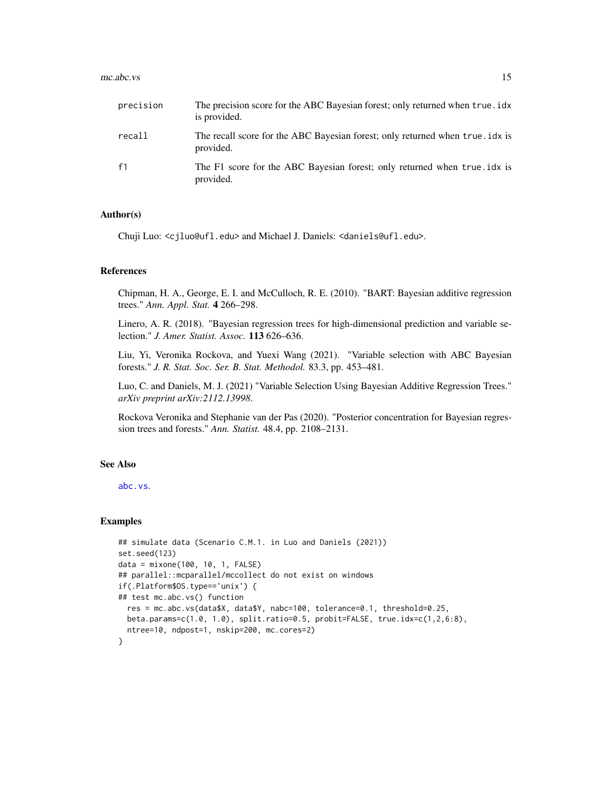#### <span id="page-14-0"></span> $mc.abc.vs$  15

| precision      | The precision score for the ABC Bayesian forest; only returned when true . idx<br>is provided. |
|----------------|------------------------------------------------------------------------------------------------|
| recall         | The recall score for the ABC Bayesian forest; only returned when true . idx is<br>provided.    |
| f <sub>1</sub> | The F1 score for the ABC Bayesian forest; only returned when true, idx is<br>provided.         |

#### Author(s)

Chuji Luo: <cjluo@ufl.edu> and Michael J. Daniels: <daniels@ufl.edu>.

#### References

Chipman, H. A., George, E. I. and McCulloch, R. E. (2010). "BART: Bayesian additive regression trees." *Ann. Appl. Stat.* 4 266–298.

Linero, A. R. (2018). "Bayesian regression trees for high-dimensional prediction and variable selection." *J. Amer. Statist. Assoc.* 113 626–636.

Liu, Yi, Veronika Rockova, and Yuexi Wang (2021). "Variable selection with ABC Bayesian forests." *J. R. Stat. Soc. Ser. B. Stat. Methodol.* 83.3, pp. 453–481.

Luo, C. and Daniels, M. J. (2021) "Variable Selection Using Bayesian Additive Regression Trees." *arXiv preprint arXiv:2112.13998*.

Rockova Veronika and Stephanie van der Pas (2020). "Posterior concentration for Bayesian regression trees and forests." *Ann. Statist.* 48.4, pp. 2108–2131.

#### See Also

[abc.vs](#page-2-1).

#### Examples

```
## simulate data (Scenario C.M.1. in Luo and Daniels (2021))
set.seed(123)
data = mixone(100, 10, 1, FALSE)
## parallel::mcparallel/mccollect do not exist on windows
if(.Platform$OS.type=='unix') {
## test mc.abc.vs() function
 res = mc.abc.vs(data$X, data$Y, nabc=100, tolerance=0.1, threshold=0.25,
 beta.params=c(1.0, 1.0), split.ratio=0.5, probit=FALSE, true.idx=c(1,2,6:8),
 ntree=10, ndpost=1, nskip=200, mc.cores=2)
}
```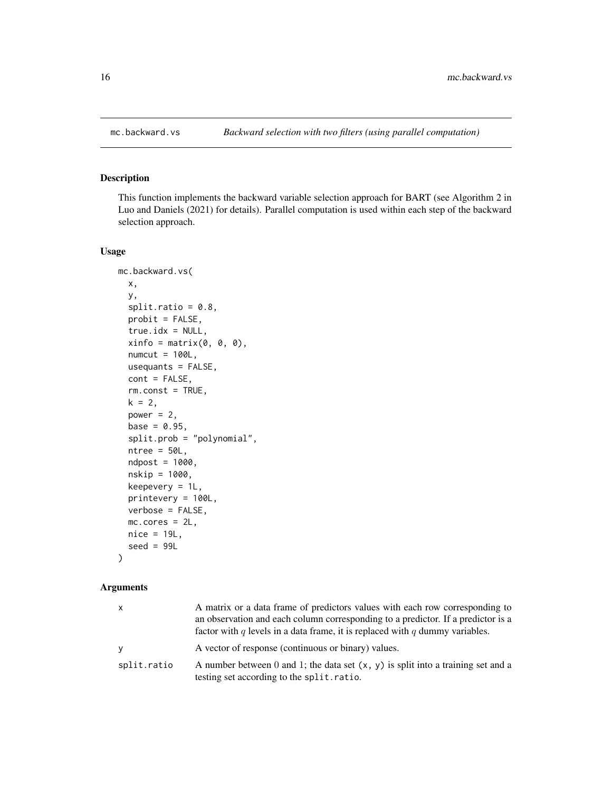<span id="page-15-1"></span><span id="page-15-0"></span>

#### Description

This function implements the backward variable selection approach for BART (see Algorithm 2 in Luo and Daniels (2021) for details). Parallel computation is used within each step of the backward selection approach.

#### Usage

```
mc.backward.vs(
  x,
  y,
  split.ratio = 0.8,
 probit = FALSE,true.idx = NULL,xinfo = matrix(0, 0, 0),
  numcut = 100L,usequants = FALSE,
  cont = FALSE,
  rm.const = TRUE,
  k = 2,power = 2,
  base = 0.95,
  split.prob = "polynomial",
  ntree = 50L,ndpost = 1000,nskip = 1000,
  keepevery = 1L,
  printevery = 100L,
  verbose = FALSE,
  mc.cores = 2L,
 nice = 19L,
  seed = 99L)
```

| X           | A matrix or a data frame of predictors values with each row corresponding to<br>an observation and each column corresponding to a predictor. If a predictor is a<br>factor with q levels in a data frame, it is replaced with q dummy variables. |
|-------------|--------------------------------------------------------------------------------------------------------------------------------------------------------------------------------------------------------------------------------------------------|
| <b>Y</b>    | A vector of response (continuous or binary) values.                                                                                                                                                                                              |
| split.ratio | A number between 0 and 1; the data set $(x, y)$ is split into a training set and a<br>testing set according to the split.ratio.                                                                                                                  |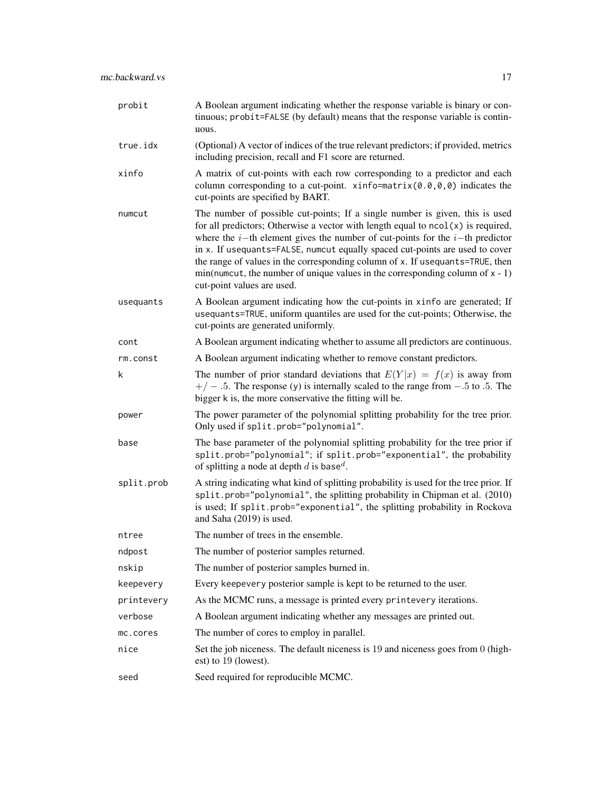| probit     | A Boolean argument indicating whether the response variable is binary or con-<br>tinuous; probit=FALSE (by default) means that the response variable is contin-<br>uous.                                                                                                                                                                                                                                                                                                                                                                   |
|------------|--------------------------------------------------------------------------------------------------------------------------------------------------------------------------------------------------------------------------------------------------------------------------------------------------------------------------------------------------------------------------------------------------------------------------------------------------------------------------------------------------------------------------------------------|
| true.idx   | (Optional) A vector of indices of the true relevant predictors; if provided, metrics<br>including precision, recall and F1 score are returned.                                                                                                                                                                                                                                                                                                                                                                                             |
| xinfo      | A matrix of cut-points with each row corresponding to a predictor and each<br>column corresponding to a cut-point. xinfo=matrix $(0.0, 0, 0)$ indicates the<br>cut-points are specified by BART.                                                                                                                                                                                                                                                                                                                                           |
| numcut     | The number of possible cut-points; If a single number is given, this is used<br>for all predictors; Otherwise a vector with length equal to $ncol(x)$ is required,<br>where the $i$ -th element gives the number of cut-points for the $i$ -th predictor<br>in x. If usequants=FALSE, numcut equally spaced cut-points are used to cover<br>the range of values in the corresponding column of x. If usequants=TRUE, then<br>$min(numcut, the number of unique values in the corresponding column of x - 1)$<br>cut-point values are used. |
| usequants  | A Boolean argument indicating how the cut-points in xinfo are generated; If<br>usequants=TRUE, uniform quantiles are used for the cut-points; Otherwise, the<br>cut-points are generated uniformly.                                                                                                                                                                                                                                                                                                                                        |
| cont       | A Boolean argument indicating whether to assume all predictors are continuous.                                                                                                                                                                                                                                                                                                                                                                                                                                                             |
| rm.const   | A Boolean argument indicating whether to remove constant predictors.                                                                                                                                                                                                                                                                                                                                                                                                                                                                       |
| k          | The number of prior standard deviations that $E(Y x) = f(x)$ is away from<br>$+/-$ .5. The response (y) is internally scaled to the range from $-.5$ to .5. The<br>bigger k is, the more conservative the fitting will be.                                                                                                                                                                                                                                                                                                                 |
| power      | The power parameter of the polynomial splitting probability for the tree prior.<br>Only used if split.prob="polynomial".                                                                                                                                                                                                                                                                                                                                                                                                                   |
| base       | The base parameter of the polynomial splitting probability for the tree prior if<br>split.prob="polynomial"; if split.prob="exponential", the probability<br>of splitting a node at depth d is base <sup>d</sup> .                                                                                                                                                                                                                                                                                                                         |
| split.prob | A string indicating what kind of splitting probability is used for the tree prior. If<br>split.prob="polynomial", the splitting probability in Chipman et al. (2010)<br>is used; If split.prob="exponential", the splitting probability in Rockova<br>and Saha (2019) is used.                                                                                                                                                                                                                                                             |
| ntree      | The number of trees in the ensemble.                                                                                                                                                                                                                                                                                                                                                                                                                                                                                                       |
| ndpost     | The number of posterior samples returned.                                                                                                                                                                                                                                                                                                                                                                                                                                                                                                  |
| nskip      | The number of posterior samples burned in.                                                                                                                                                                                                                                                                                                                                                                                                                                                                                                 |
| keepevery  | Every keepevery posterior sample is kept to be returned to the user.                                                                                                                                                                                                                                                                                                                                                                                                                                                                       |
| printevery | As the MCMC runs, a message is printed every printevery iterations.                                                                                                                                                                                                                                                                                                                                                                                                                                                                        |
| verbose    | A Boolean argument indicating whether any messages are printed out.                                                                                                                                                                                                                                                                                                                                                                                                                                                                        |
| mc.cores   | The number of cores to employ in parallel.                                                                                                                                                                                                                                                                                                                                                                                                                                                                                                 |
| nice       | Set the job niceness. The default niceness is 19 and niceness goes from 0 (high-<br>est) to 19 (lowest).                                                                                                                                                                                                                                                                                                                                                                                                                                   |
| seed       | Seed required for reproducible MCMC.                                                                                                                                                                                                                                                                                                                                                                                                                                                                                                       |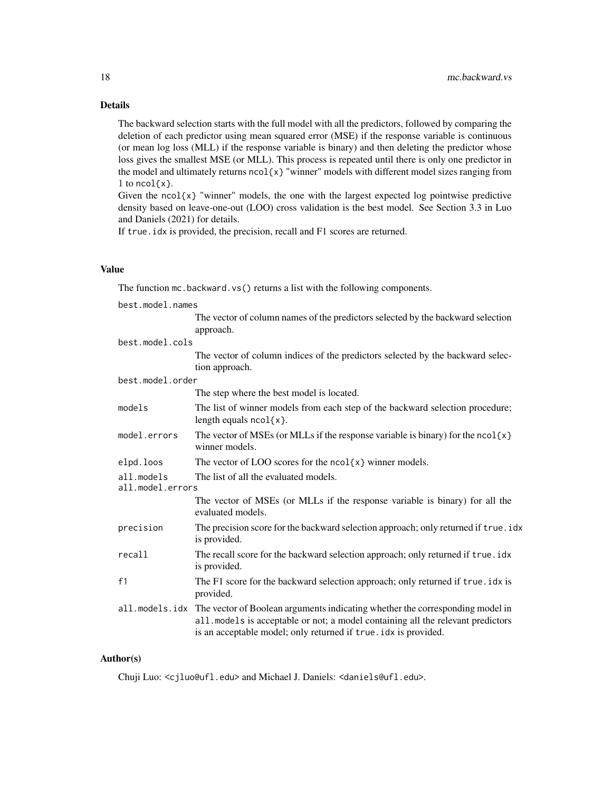# Details

The backward selection starts with the full model with all the predictors, followed by comparing the deletion of each predictor using mean squared error (MSE) if the response variable is continuous (or mean log loss (MLL) if the response variable is binary) and then deleting the predictor whose loss gives the smallest MSE (or MLL). This process is repeated until there is only one predictor in the model and ultimately returns  $ncol(x)$  "winner" models with different model sizes ranging from 1 to  $ncol(x)$ .

Given the  $ncol{x}$  "winner" models, the one with the largest expected log pointwise predictive density based on leave-one-out (LOO) cross validation is the best model. See Section 3.3 in Luo and Daniels (2021) for details.

If true. idx is provided, the precision, recall and F1 scores are returned.

#### Value

The function  $mc$ . backward. vs() returns a list with the following components.

best.model.names The vector of column names of the predictors selected by the backward selection approach. best.model.cols The vector of column indices of the predictors selected by the backward selection approach. best.model.order The step where the best model is located. models The list of winner models from each step of the backward selection procedure; length equals  $ncol(x)$ .

model.errors The vector of MSEs (or MLLs if the response variable is binary) for the ncol{ $x$ } winner models.

elpd.loos The vector of LOO scores for the  $ncol\{x\}$  winner models.

all.models The list of all the evaluated models.

all.model.errors

| The vector of MSEs (or MLLs if the response variable is binary) for all the |  |  |  |
|-----------------------------------------------------------------------------|--|--|--|
| evaluated models.                                                           |  |  |  |

precision The precision score for the backward selection approach; only returned if true.idx is provided.

```
recall The recall score for the backward selection approach; only returned if true.idx
                 is provided.
```

```
f1 The F1 score for the backward selection approach; only returned if true.idx is
                provided.
```
#### Author(s)

Chuji Luo: <cjluo@ufl.edu> and Michael J. Daniels: <daniels@ufl.edu>.

all.models.idx The vector of Boolean arguments indicating whether the corresponding model in all.models is acceptable or not; a model containing all the relevant predictors is an acceptable model; only returned if true.idx is provided.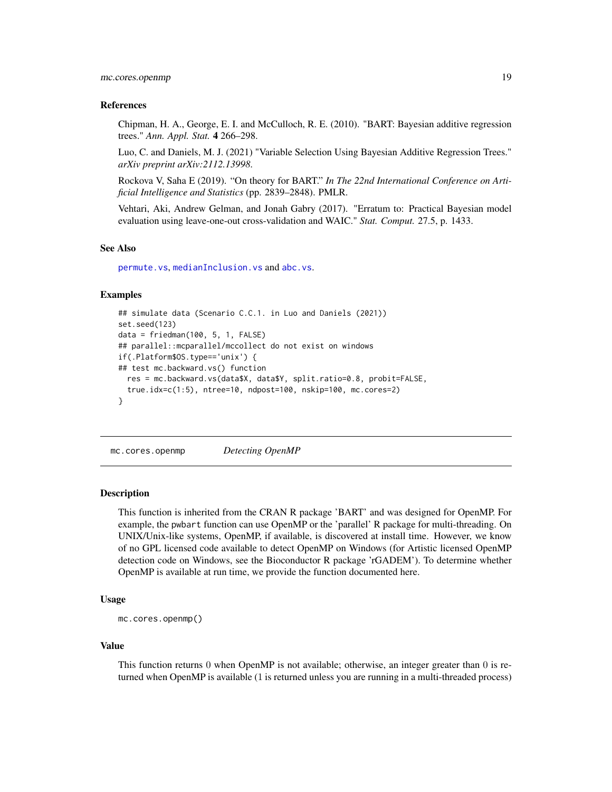#### <span id="page-18-0"></span>References

Chipman, H. A., George, E. I. and McCulloch, R. E. (2010). "BART: Bayesian additive regression trees." *Ann. Appl. Stat.* 4 266–298.

Luo, C. and Daniels, M. J. (2021) "Variable Selection Using Bayesian Additive Regression Trees." *arXiv preprint arXiv:2112.13998*.

Rockova V, Saha E (2019). "On theory for BART." *In The 22nd International Conference on Artificial Intelligence and Statistics* (pp. 2839–2848). PMLR.

Vehtari, Aki, Andrew Gelman, and Jonah Gabry (2017). "Erratum to: Practical Bayesian model evaluation using leave-one-out cross-validation and WAIC." *Stat. Comput.* 27.5, p. 1433.

#### See Also

[permute.vs](#page-47-1), [medianInclusion.vs](#page-36-1) and [abc.vs](#page-2-1).

#### Examples

```
## simulate data (Scenario C.C.1. in Luo and Daniels (2021))
set.seed(123)
data = friedman(100, 5, 1, FALSE)
## parallel::mcparallel/mccollect do not exist on windows
if(.Platform$OS.type=='unix') {
## test mc.backward.vs() function
 res = mc.backward.vs(data$X, data$Y, split.ratio=0.8, probit=FALSE,
 true.idx=c(1:5), ntree=10, ndpost=100, nskip=100, mc.cores=2)
}
```
mc.cores.openmp *Detecting OpenMP*

#### Description

This function is inherited from the CRAN R package 'BART' and was designed for OpenMP. For example, the pwbart function can use OpenMP or the 'parallel' R package for multi-threading. On UNIX/Unix-like systems, OpenMP, if available, is discovered at install time. However, we know of no GPL licensed code available to detect OpenMP on Windows (for Artistic licensed OpenMP detection code on Windows, see the Bioconductor R package 'rGADEM'). To determine whether OpenMP is available at run time, we provide the function documented here.

#### Usage

```
mc.cores.openmp()
```
#### Value

This function returns 0 when OpenMP is not available; otherwise, an integer greater than 0 is returned when OpenMP is available (1 is returned unless you are running in a multi-threaded process)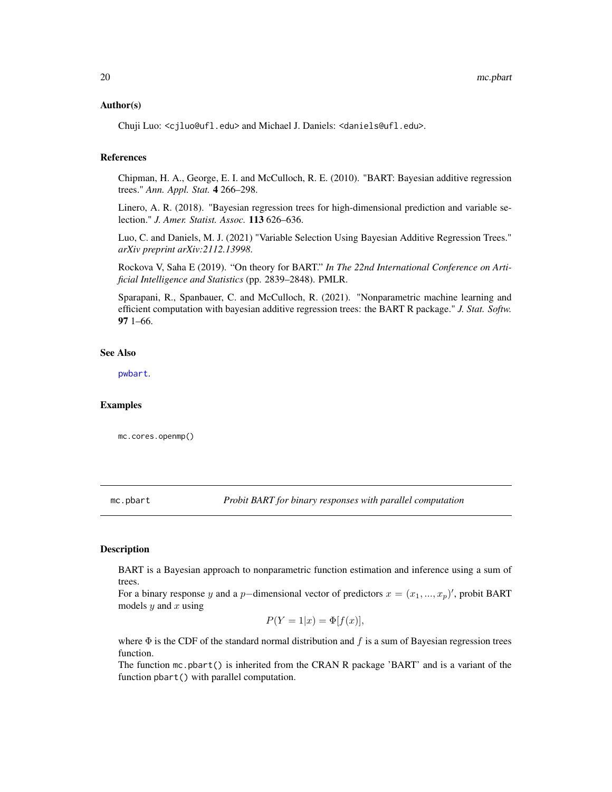#### <span id="page-19-0"></span>Author(s)

Chuji Luo: <cjluo@ufl.edu> and Michael J. Daniels: <daniels@ufl.edu>.

#### References

Chipman, H. A., George, E. I. and McCulloch, R. E. (2010). "BART: Bayesian additive regression trees." *Ann. Appl. Stat.* 4 266–298.

Linero, A. R. (2018). "Bayesian regression trees for high-dimensional prediction and variable selection." *J. Amer. Statist. Assoc.* 113 626–636.

Luo, C. and Daniels, M. J. (2021) "Variable Selection Using Bayesian Additive Regression Trees." *arXiv preprint arXiv:2112.13998*.

Rockova V, Saha E (2019). "On theory for BART." *In The 22nd International Conference on Artificial Intelligence and Statistics* (pp. 2839–2848). PMLR.

Sparapani, R., Spanbauer, C. and McCulloch, R. (2021). "Nonparametric machine learning and efficient computation with bayesian additive regression trees: the BART R package." *J. Stat. Softw.* 97 1–66.

#### See Also

[pwbart](#page-55-1).

#### Examples

mc.cores.openmp()

<span id="page-19-1"></span>mc.pbart *Probit BART for binary responses with parallel computation*

#### Description

BART is a Bayesian approach to nonparametric function estimation and inference using a sum of trees.

For a binary response y and a p–dimensional vector of predictors  $x = (x_1, ..., x_p)'$ , probit BART models  $y$  and  $x$  using

$$
P(Y=1|x) = \Phi[f(x)],
$$

where  $\Phi$  is the CDF of the standard normal distribution and f is a sum of Bayesian regression trees function.

The function mc.pbart() is inherited from the CRAN R package 'BART' and is a variant of the function pbart() with parallel computation.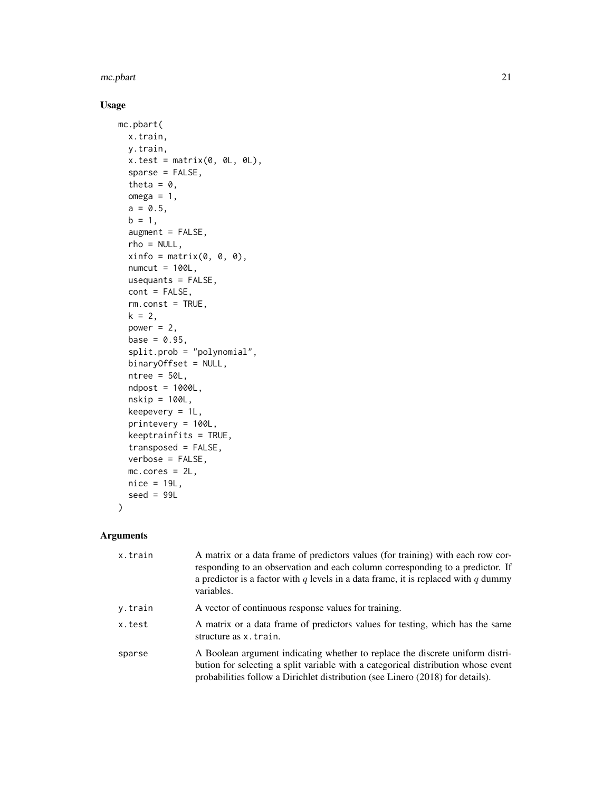mc.pbart 21

# Usage

```
mc.pbart(
  x.train,
  y.train,
  x.test = matrix(0, 0L, 0L),
  sparse = FALSE,
  theta = 0,
  omega = 1,
  a = 0.5,
  b = 1,augment = FALSE,
  rho = NULL,
  xinfo = matrix(0, 0, 0),numcut = 100L,usequants = FALSE,
  cont = FALSE,
  rm.const = TRUE,
  k = 2,power = 2,
  base = 0.95,
  split.prob = "polynomial",
  binaryOffset = NULL,
  ntree = 50L,
  ndpost = 1000L,nskip = 100L,
  keepevery = 1L,
  printevery = 100L,
  keeptrainfits = TRUE,
  transposed = FALSE,
  verbose = FALSE,
  mc.cores = 2L,
  nice = 19L,
  seed = 99L
\mathcal{L}
```

| x.train | A matrix or a data frame of predictors values (for training) with each row cor-<br>responding to an observation and each column corresponding to a predictor. If<br>a predictor is a factor with q levels in a data frame, it is replaced with q dummy<br>variables. |
|---------|----------------------------------------------------------------------------------------------------------------------------------------------------------------------------------------------------------------------------------------------------------------------|
| y.train | A vector of continuous response values for training.                                                                                                                                                                                                                 |
| x.test  | A matrix or a data frame of predictors values for testing, which has the same<br>structure as x.train.                                                                                                                                                               |
| sparse  | A Boolean argument indicating whether to replace the discrete uniform distri-<br>bution for selecting a split variable with a categorical distribution whose event<br>probabilities follow a Dirichlet distribution (see Linero (2018) for details).                 |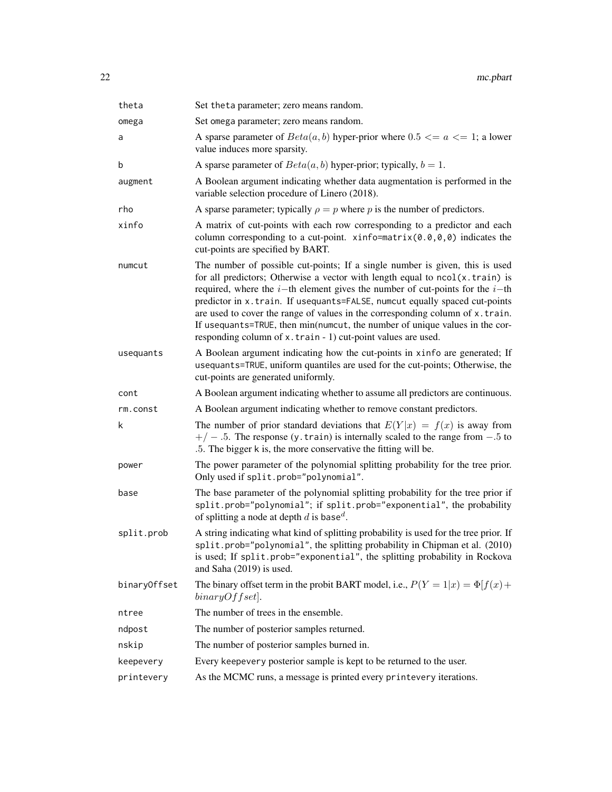| theta        | Set theta parameter; zero means random.                                                                                                                                                                                                                                                                                                                                                                                                                                                                                                                            |
|--------------|--------------------------------------------------------------------------------------------------------------------------------------------------------------------------------------------------------------------------------------------------------------------------------------------------------------------------------------------------------------------------------------------------------------------------------------------------------------------------------------------------------------------------------------------------------------------|
| omega        | Set omega parameter; zero means random.                                                                                                                                                                                                                                                                                                                                                                                                                                                                                                                            |
| a            | A sparse parameter of $Beta(a, b)$ hyper-prior where $0.5 \le a \le 1$ ; a lower<br>value induces more sparsity.                                                                                                                                                                                                                                                                                                                                                                                                                                                   |
| b            | A sparse parameter of $Beta(a, b)$ hyper-prior; typically, $b = 1$ .                                                                                                                                                                                                                                                                                                                                                                                                                                                                                               |
| augment      | A Boolean argument indicating whether data augmentation is performed in the<br>variable selection procedure of Linero (2018).                                                                                                                                                                                                                                                                                                                                                                                                                                      |
| rho          | A sparse parameter; typically $\rho = p$ where p is the number of predictors.                                                                                                                                                                                                                                                                                                                                                                                                                                                                                      |
| xinfo        | A matrix of cut-points with each row corresponding to a predictor and each<br>column corresponding to a cut-point. xinfo=matrix $(0.0, 0, 0)$ indicates the<br>cut-points are specified by BART.                                                                                                                                                                                                                                                                                                                                                                   |
| numcut       | The number of possible cut-points; If a single number is given, this is used<br>for all predictors; Otherwise a vector with length equal to $ncol(x.train)$ is<br>required, where the $i$ -th element gives the number of cut-points for the $i$ -th<br>predictor in x.train. If usequants=FALSE, numcut equally spaced cut-points<br>are used to cover the range of values in the corresponding column of x.train.<br>If usequants=TRUE, then min(numcut, the number of unique values in the cor-<br>responding column of x.train - 1) cut-point values are used. |
| usequants    | A Boolean argument indicating how the cut-points in xinfo are generated; If<br>usequants=TRUE, uniform quantiles are used for the cut-points; Otherwise, the<br>cut-points are generated uniformly.                                                                                                                                                                                                                                                                                                                                                                |
| cont         | A Boolean argument indicating whether to assume all predictors are continuous.                                                                                                                                                                                                                                                                                                                                                                                                                                                                                     |
| rm.const     | A Boolean argument indicating whether to remove constant predictors.                                                                                                                                                                                                                                                                                                                                                                                                                                                                                               |
| k            | The number of prior standard deviations that $E(Y x) = f(x)$ is away from<br>$+/-$ .5. The response (y. train) is internally scaled to the range from $-.5$ to<br>.5. The bigger k is, the more conservative the fitting will be.                                                                                                                                                                                                                                                                                                                                  |
| power        | The power parameter of the polynomial splitting probability for the tree prior.<br>Only used if split.prob="polynomial".                                                                                                                                                                                                                                                                                                                                                                                                                                           |
| base         | The base parameter of the polynomial splitting probability for the tree prior if<br>split.prob="polynomial"; if split.prob="exponential", the probability<br>of splitting a node at depth d is base <sup>d</sup> .                                                                                                                                                                                                                                                                                                                                                 |
| split.prob   | A string indicating what kind of splitting probability is used for the tree prior. If<br>split.prob="polynomial", the splitting probability in Chipman et al. (2010)<br>is used; If split.prob="exponential", the splitting probability in Rockova<br>and Saha (2019) is used.                                                                                                                                                                                                                                                                                     |
| binaryOffset | The binary offset term in the probit BART model, i.e., $P(Y = 1 x) = \Phi[f(x) +$<br>$binaryOffset$ .                                                                                                                                                                                                                                                                                                                                                                                                                                                              |
| ntree        | The number of trees in the ensemble.                                                                                                                                                                                                                                                                                                                                                                                                                                                                                                                               |
| ndpost       | The number of posterior samples returned.                                                                                                                                                                                                                                                                                                                                                                                                                                                                                                                          |
| nskip        | The number of posterior samples burned in.                                                                                                                                                                                                                                                                                                                                                                                                                                                                                                                         |
| keepevery    | Every keepevery posterior sample is kept to be returned to the user.                                                                                                                                                                                                                                                                                                                                                                                                                                                                                               |
| printevery   | As the MCMC runs, a message is printed every printevery iterations.                                                                                                                                                                                                                                                                                                                                                                                                                                                                                                |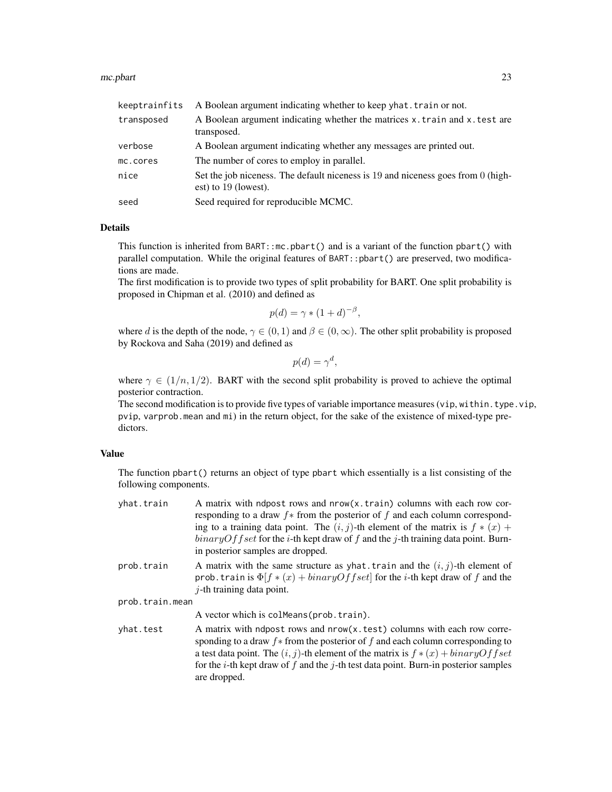#### mc.pbart 23

| keeptrainfits | A Boolean argument indicating whether to keep yhat. train or not.                                        |
|---------------|----------------------------------------------------------------------------------------------------------|
| transposed    | A Boolean argument indicating whether the matrices x.train and x.test are<br>transposed.                 |
| verbose       | A Boolean argument indicating whether any messages are printed out.                                      |
| mc.cores      | The number of cores to employ in parallel.                                                               |
| nice          | Set the job niceness. The default niceness is 19 and niceness goes from 0 (high-<br>est) to 19 (lowest). |
| seed          | Seed required for reproducible MCMC.                                                                     |

#### Details

This function is inherited from BART::mc.pbart() and is a variant of the function pbart() with parallel computation. While the original features of BART::pbart() are preserved, two modifications are made.

The first modification is to provide two types of split probability for BART. One split probability is proposed in Chipman et al. (2010) and defined as

$$
p(d) = \gamma * (1+d)^{-\beta},
$$

where d is the depth of the node,  $\gamma \in (0, 1)$  and  $\beta \in (0, \infty)$ . The other split probability is proposed by Rockova and Saha (2019) and defined as

$$
p(d) = \gamma^d,
$$

where  $\gamma \in (1/n, 1/2)$ . BART with the second split probability is proved to achieve the optimal posterior contraction.

The second modification is to provide five types of variable importance measures (vip, within.type.vip, pvip, varprob.mean and mi) in the return object, for the sake of the existence of mixed-type predictors.

#### Value

The function pbart() returns an object of type pbart which essentially is a list consisting of the following components.

| yhat.train      | A matrix with ndpost rows and nrow(x.train) columns with each row cor-<br>responding to a draw $f$ from the posterior of f and each column correspond-<br>ing to a training data point. The $(i, j)$ -th element of the matrix is $f * (x) +$<br>$binaryOffset$ for the <i>i</i> -th kept draw of f and the j-th training data point. Burn-<br>in posterior samples are dropped. |
|-----------------|----------------------------------------------------------------------------------------------------------------------------------------------------------------------------------------------------------------------------------------------------------------------------------------------------------------------------------------------------------------------------------|
| prob.train      | A matrix with the same structure as yhat. train and the $(i, j)$ -th element of<br>prob. train is $\Phi[f \ast (x) + binaryOffset]$ for the <i>i</i> -th kept draw of f and the<br>$j$ -th training data point.                                                                                                                                                                  |
| prob.train.mean |                                                                                                                                                                                                                                                                                                                                                                                  |
|                 | A vector which is colMeans (prob. train).                                                                                                                                                                                                                                                                                                                                        |
| yhat.test       | A matrix with ndpost rows and nrow(x, test) columns with each row corre-<br>sponding to a draw $f$ from the posterior of f and each column corresponding to<br>a test data point. The $(i, j)$ -th element of the matrix is $f * (x) + binaryOffset$<br>for the <i>i</i> -th kept draw of $f$ and the $j$ -th test data point. Burn-in posterior samples<br>are dropped.         |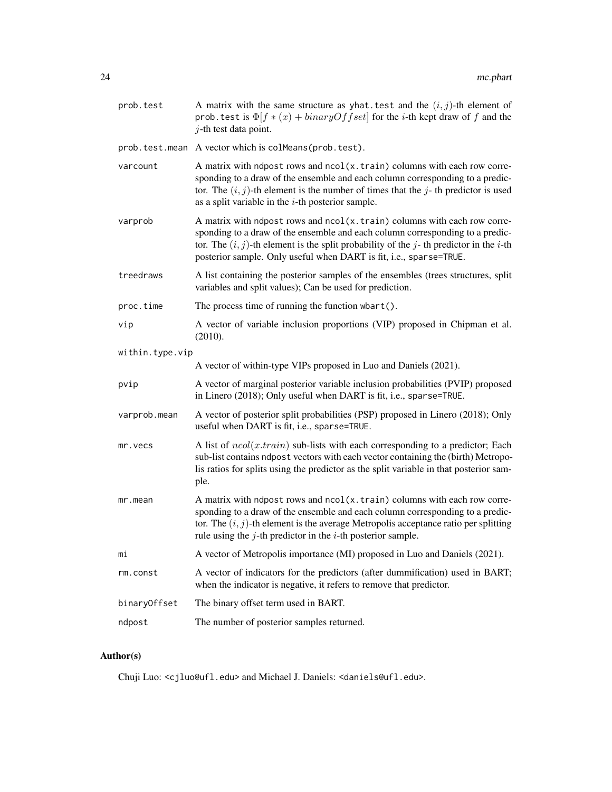| prob.test       | A matrix with the same structure as yhat test and the $(i, j)$ -th element of<br>prob. test is $\Phi[f * (x) + binaryOffset]$ for the <i>i</i> -th kept draw of f and the<br>$j$ -th test data point.                                                                                                                       |  |
|-----------------|-----------------------------------------------------------------------------------------------------------------------------------------------------------------------------------------------------------------------------------------------------------------------------------------------------------------------------|--|
|                 | prob.test.mean A vector which is colMeans(prob.test).                                                                                                                                                                                                                                                                       |  |
| varcount        | A matrix with ndpost rows and ncol(x.train) columns with each row corre-<br>sponding to a draw of the ensemble and each column corresponding to a predic-<br>tor. The $(i, j)$ -th element is the number of times that the j-th predictor is used<br>as a split variable in the $i$ -th posterior sample.                   |  |
| varprob         | A matrix with ndpost rows and ncol(x.train) columns with each row corre-<br>sponding to a draw of the ensemble and each column corresponding to a predic-<br>tor. The $(i, j)$ -th element is the split probability of the j-th predictor in the i-th<br>posterior sample. Only useful when DART is fit, i.e., sparse=TRUE. |  |
| treedraws       | A list containing the posterior samples of the ensembles (trees structures, split<br>variables and split values); Can be used for prediction.                                                                                                                                                                               |  |
| proc.time       | The process time of running the function $\mathsf{wbart}()$ .                                                                                                                                                                                                                                                               |  |
| vip             | A vector of variable inclusion proportions (VIP) proposed in Chipman et al.<br>(2010).                                                                                                                                                                                                                                      |  |
| within.type.vip |                                                                                                                                                                                                                                                                                                                             |  |
|                 | A vector of within-type VIPs proposed in Luo and Daniels (2021).                                                                                                                                                                                                                                                            |  |
| pvip            | A vector of marginal posterior variable inclusion probabilities (PVIP) proposed<br>in Linero (2018); Only useful when DART is fit, i.e., sparse=TRUE.                                                                                                                                                                       |  |
| varprob.mean    | A vector of posterior split probabilities (PSP) proposed in Linero (2018); Only<br>useful when DART is fit, i.e., sparse=TRUE.                                                                                                                                                                                              |  |
| mr.vecs         | A list of $ncol(x, train)$ sub-lists with each corresponding to a predictor; Each<br>sub-list contains ndpost vectors with each vector containing the (birth) Metropo-<br>lis ratios for splits using the predictor as the split variable in that posterior sam-<br>ple.                                                    |  |
| mr.mean         | A matrix with ndpost rows and ncol(x.train) columns with each row corre-<br>sponding to a draw of the ensemble and each column corresponding to a predic-<br>tor. The $(i, j)$ -th element is the average Metropolis acceptance ratio per splitting<br>rule using the $j$ -th predictor in the $i$ -th posterior sample.    |  |
| mi              | A vector of Metropolis importance (MI) proposed in Luo and Daniels (2021).                                                                                                                                                                                                                                                  |  |
| rm.const        | A vector of indicators for the predictors (after dummification) used in BART;<br>when the indicator is negative, it refers to remove that predictor.                                                                                                                                                                        |  |
| binaryOffset    | The binary offset term used in BART.                                                                                                                                                                                                                                                                                        |  |
| ndpost          | The number of posterior samples returned.                                                                                                                                                                                                                                                                                   |  |

# Author(s)

Chuji Luo: <cjluo@ufl.edu> and Michael J. Daniels: <daniels@ufl.edu>.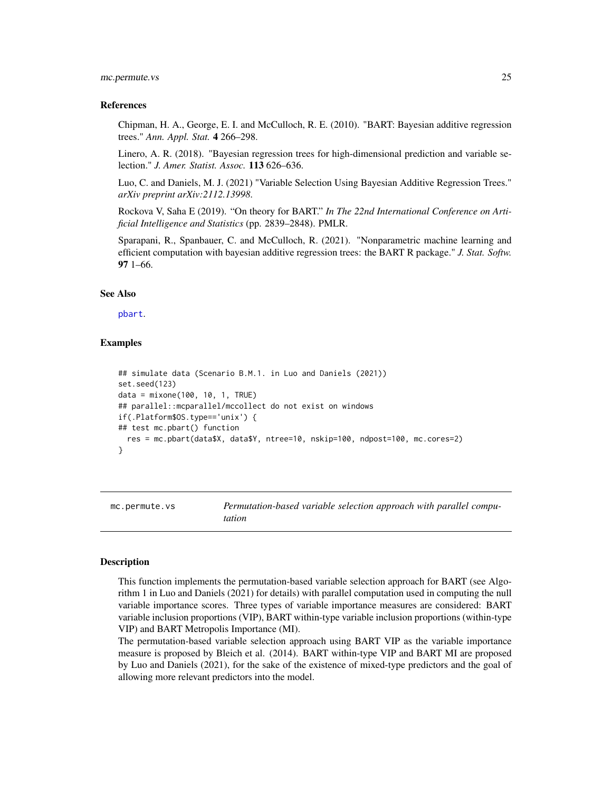#### <span id="page-24-0"></span>mc.permute.vs 25

#### References

Chipman, H. A., George, E. I. and McCulloch, R. E. (2010). "BART: Bayesian additive regression trees." *Ann. Appl. Stat.* 4 266–298.

Linero, A. R. (2018). "Bayesian regression trees for high-dimensional prediction and variable selection." *J. Amer. Statist. Assoc.* 113 626–636.

Luo, C. and Daniels, M. J. (2021) "Variable Selection Using Bayesian Additive Regression Trees." *arXiv preprint arXiv:2112.13998*.

Rockova V, Saha E (2019). "On theory for BART." *In The 22nd International Conference on Artificial Intelligence and Statistics* (pp. 2839–2848). PMLR.

Sparapani, R., Spanbauer, C. and McCulloch, R. (2021). "Nonparametric machine learning and efficient computation with bayesian additive regression trees: the BART R package." *J. Stat. Softw.* 97 1–66.

#### See Also

[pbart](#page-42-1).

#### Examples

```
## simulate data (Scenario B.M.1. in Luo and Daniels (2021))
set.seed(123)
data = mixone(100, 10, 1, TRUE)
## parallel::mcparallel/mccollect do not exist on windows
if(.Platform$OS.type=='unix') {
## test mc.pbart() function
 res = mc.pbart(data$X, data$Y, ntree=10, nskip=100, ndpost=100, mc.cores=2)
}
```
<span id="page-24-1"></span>

mc.permute.vs *Permutation-based variable selection approach with parallel computation*

#### Description

This function implements the permutation-based variable selection approach for BART (see Algorithm 1 in Luo and Daniels (2021) for details) with parallel computation used in computing the null variable importance scores. Three types of variable importance measures are considered: BART variable inclusion proportions (VIP), BART within-type variable inclusion proportions (within-type VIP) and BART Metropolis Importance (MI).

The permutation-based variable selection approach using BART VIP as the variable importance measure is proposed by Bleich et al. (2014). BART within-type VIP and BART MI are proposed by Luo and Daniels (2021), for the sake of the existence of mixed-type predictors and the goal of allowing more relevant predictors into the model.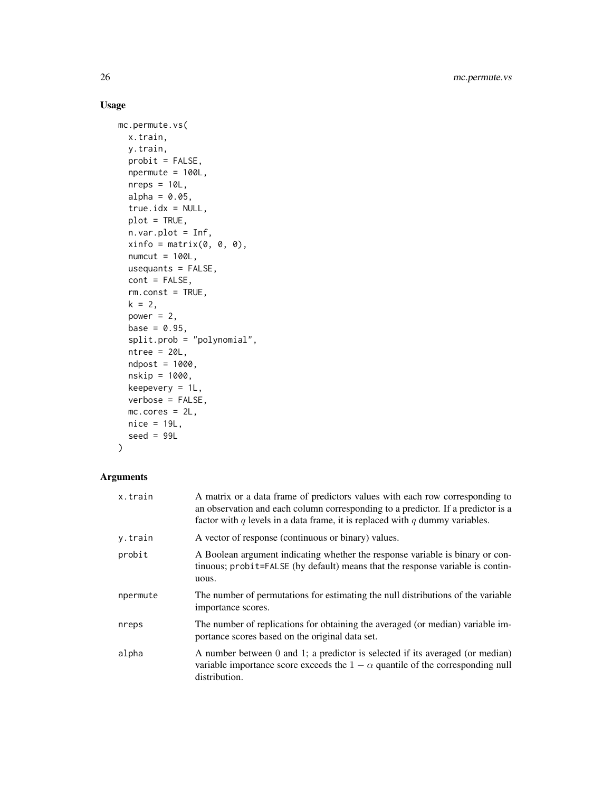# Usage

```
mc.permute.vs(
 x.train,
 y.train,
 probit = FALSE,npermute = 100L,
 nreps = 10L,
 alpha = 0.05,
  true.idx = NULL,plot = TRUE,
 n.var.plot = Inf,
 xinfo = matrix(0, 0, 0),numcut = 100L,usequants = FALSE,
 cont = FALSE,rm.const = TRUE,
 k = 2,power = 2,
 base = 0.95,split.prob = "polynomial",
 ntree = 20L,ndpost = 1000,nskip = 1000,
 keepevery = 1L,
 verbose = FALSE,
 mc.cores = 2L,
 nice = 19L,seed = 99L)
```

| x.train  | A matrix or a data frame of predictors values with each row corresponding to<br>an observation and each column corresponding to a predictor. If a predictor is a<br>factor with q levels in a data frame, it is replaced with q dummy variables. |
|----------|--------------------------------------------------------------------------------------------------------------------------------------------------------------------------------------------------------------------------------------------------|
| y.train  | A vector of response (continuous or binary) values.                                                                                                                                                                                              |
| probit   | A Boolean argument indicating whether the response variable is binary or con-<br>tinuous; probit=FALSE (by default) means that the response variable is contin-<br>uous.                                                                         |
| npermute | The number of permutations for estimating the null distributions of the variable<br>importance scores.                                                                                                                                           |
| nreps    | The number of replications for obtaining the averaged (or median) variable im-<br>portance scores based on the original data set.                                                                                                                |
| alpha    | A number between 0 and 1; a predictor is selected if its averaged (or median)<br>variable importance score exceeds the $1 - \alpha$ quantile of the corresponding null<br>distribution.                                                          |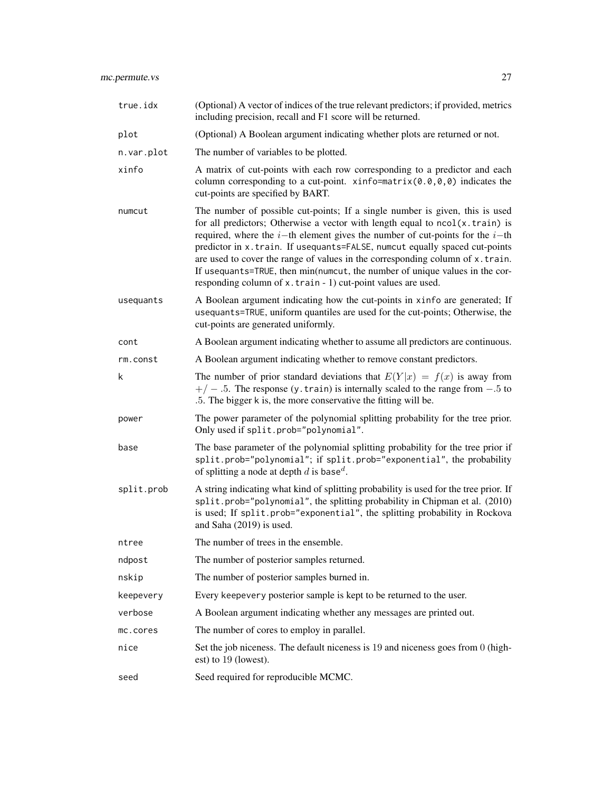| true.idx   | (Optional) A vector of indices of the true relevant predictors; if provided, metrics<br>including precision, recall and F1 score will be returned.                                                                                                                                                                                                                                                                                                                                                                                                               |
|------------|------------------------------------------------------------------------------------------------------------------------------------------------------------------------------------------------------------------------------------------------------------------------------------------------------------------------------------------------------------------------------------------------------------------------------------------------------------------------------------------------------------------------------------------------------------------|
| plot       | (Optional) A Boolean argument indicating whether plots are returned or not.                                                                                                                                                                                                                                                                                                                                                                                                                                                                                      |
| n.var.plot | The number of variables to be plotted.                                                                                                                                                                                                                                                                                                                                                                                                                                                                                                                           |
| xinfo      | A matrix of cut-points with each row corresponding to a predictor and each<br>column corresponding to a cut-point. $\xi$ info=matrix(0.0,0,0) indicates the<br>cut-points are specified by BART.                                                                                                                                                                                                                                                                                                                                                                 |
| numcut     | The number of possible cut-points; If a single number is given, this is used<br>for all predictors; Otherwise a vector with length equal to ncol(x.train) is<br>required, where the $i$ -th element gives the number of cut-points for the $i$ -th<br>predictor in x.train. If usequants=FALSE, numcut equally spaced cut-points<br>are used to cover the range of values in the corresponding column of x.train.<br>If usequants=TRUE, then min(numcut, the number of unique values in the cor-<br>responding column of x.train - 1) cut-point values are used. |
| usequants  | A Boolean argument indicating how the cut-points in xinfo are generated; If<br>usequants=TRUE, uniform quantiles are used for the cut-points; Otherwise, the<br>cut-points are generated uniformly.                                                                                                                                                                                                                                                                                                                                                              |
| cont       | A Boolean argument indicating whether to assume all predictors are continuous.                                                                                                                                                                                                                                                                                                                                                                                                                                                                                   |
| rm.const   | A Boolean argument indicating whether to remove constant predictors.                                                                                                                                                                                                                                                                                                                                                                                                                                                                                             |
| k          | The number of prior standard deviations that $E(Y x) = f(x)$ is away from<br>$+/-$ .5. The response (y. train) is internally scaled to the range from $-.5$ to<br>.5. The bigger k is, the more conservative the fitting will be.                                                                                                                                                                                                                                                                                                                                |
| power      | The power parameter of the polynomial splitting probability for the tree prior.<br>Only used if split.prob="polynomial".                                                                                                                                                                                                                                                                                                                                                                                                                                         |
| base       | The base parameter of the polynomial splitting probability for the tree prior if<br>split.prob="polynomial"; if split.prob="exponential", the probability<br>of splitting a node at depth d is base <sup>d</sup> .                                                                                                                                                                                                                                                                                                                                               |
| split.prob | A string indicating what kind of splitting probability is used for the tree prior. If<br>split.prob="polynomial", the splitting probability in Chipman et al. (2010)<br>is used; If split.prob="exponential", the splitting probability in Rockova<br>and Saha (2019) is used.                                                                                                                                                                                                                                                                                   |
| ntree      | The number of trees in the ensemble.                                                                                                                                                                                                                                                                                                                                                                                                                                                                                                                             |
| ndpost     | The number of posterior samples returned.                                                                                                                                                                                                                                                                                                                                                                                                                                                                                                                        |
| nskip      | The number of posterior samples burned in.                                                                                                                                                                                                                                                                                                                                                                                                                                                                                                                       |
| keepevery  | Every keepevery posterior sample is kept to be returned to the user.                                                                                                                                                                                                                                                                                                                                                                                                                                                                                             |
| verbose    | A Boolean argument indicating whether any messages are printed out.                                                                                                                                                                                                                                                                                                                                                                                                                                                                                              |
| mc.cores   | The number of cores to employ in parallel.                                                                                                                                                                                                                                                                                                                                                                                                                                                                                                                       |
| nice       | Set the job niceness. The default niceness is 19 and niceness goes from 0 (high-<br>est) to 19 (lowest).                                                                                                                                                                                                                                                                                                                                                                                                                                                         |
| seed       | Seed required for reproducible MCMC.                                                                                                                                                                                                                                                                                                                                                                                                                                                                                                                             |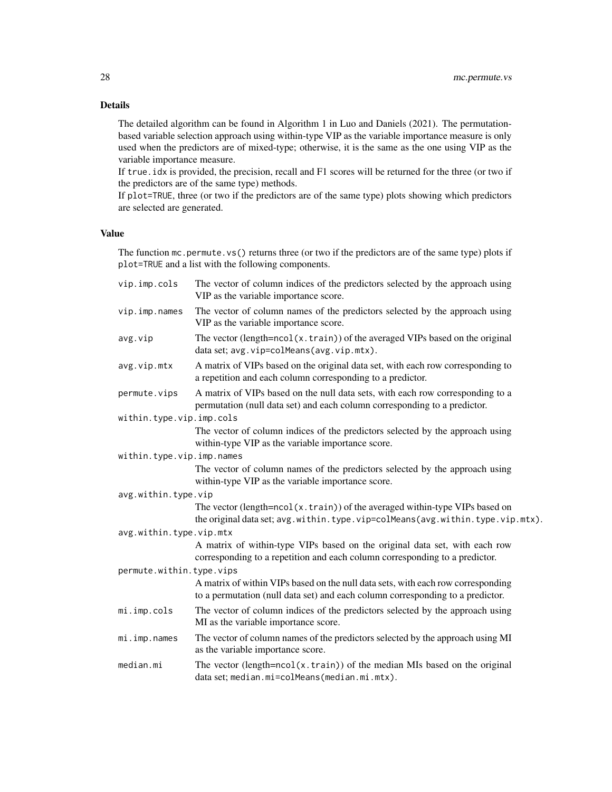# Details

The detailed algorithm can be found in Algorithm 1 in Luo and Daniels (2021). The permutationbased variable selection approach using within-type VIP as the variable importance measure is only used when the predictors are of mixed-type; otherwise, it is the same as the one using VIP as the variable importance measure.

If true.idx is provided, the precision, recall and F1 scores will be returned for the three (or two if the predictors are of the same type) methods.

If plot=TRUE, three (or two if the predictors are of the same type) plots showing which predictors are selected are generated.

# Value

The function mc.permute.vs() returns three (or two if the predictors are of the same type) plots if plot=TRUE and a list with the following components.

| vip.imp.cols              | The vector of column indices of the predictors selected by the approach using<br>VIP as the variable importance score.                                             |
|---------------------------|--------------------------------------------------------------------------------------------------------------------------------------------------------------------|
| vip.imp.names             | The vector of column names of the predictors selected by the approach using<br>VIP as the variable importance score.                                               |
| avg.vip                   | The vector (length= $ncol(x.train)$ ) of the averaged VIPs based on the original<br>data set; avg. vip=colMeans(avg. vip.mtx).                                     |
| avg.vip.mtx               | A matrix of VIPs based on the original data set, with each row corresponding to<br>a repetition and each column corresponding to a predictor.                      |
| permute.vips              | A matrix of VIPs based on the null data sets, with each row corresponding to a<br>permutation (null data set) and each column corresponding to a predictor.        |
| within.type.vip.imp.cols  |                                                                                                                                                                    |
|                           | The vector of column indices of the predictors selected by the approach using<br>within-type VIP as the variable importance score.                                 |
| within.type.vip.imp.names |                                                                                                                                                                    |
|                           | The vector of column names of the predictors selected by the approach using<br>within-type VIP as the variable importance score.                                   |
| avg.within.type.vip       |                                                                                                                                                                    |
|                           | The vector (length=ncol(x.train)) of the averaged within-type VIPs based on<br>the original data set; avg.within.type.vip=colMeans(avg.within.type.vip.mtx).       |
| avg.within.type.vip.mtx   |                                                                                                                                                                    |
|                           | A matrix of within-type VIPs based on the original data set, with each row<br>corresponding to a repetition and each column corresponding to a predictor.          |
| permute.within.type.vips  |                                                                                                                                                                    |
|                           | A matrix of within VIPs based on the null data sets, with each row corresponding<br>to a permutation (null data set) and each column corresponding to a predictor. |
| mi.imp.cols               | The vector of column indices of the predictors selected by the approach using<br>MI as the variable importance score.                                              |
| mi.imp.names              | The vector of column names of the predictors selected by the approach using MI<br>as the variable importance score.                                                |
| median.mi                 | The vector (length= $ncol(x.train)$ ) of the median MIs based on the original<br>data set; median.mi=colMeans(median.mi.mtx).                                      |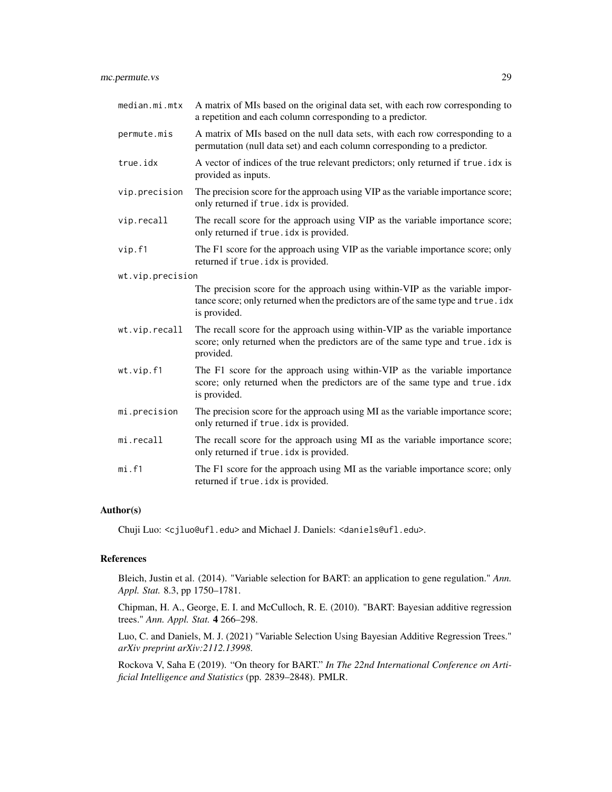| median.mi.mtx    | A matrix of MIs based on the original data set, with each row corresponding to<br>a repetition and each column corresponding to a predictor.                                      |
|------------------|-----------------------------------------------------------------------------------------------------------------------------------------------------------------------------------|
| permute.mis      | A matrix of MIs based on the null data sets, with each row corresponding to a<br>permutation (null data set) and each column corresponding to a predictor.                        |
| true.idx         | A vector of indices of the true relevant predictors; only returned if true. idx is<br>provided as inputs.                                                                         |
| vip.precision    | The precision score for the approach using VIP as the variable importance score;<br>only returned if true. idx is provided.                                                       |
| vip.recall       | The recall score for the approach using VIP as the variable importance score;<br>only returned if true. idx is provided.                                                          |
| vip.f1           | The F1 score for the approach using VIP as the variable importance score; only<br>returned if true. idx is provided.                                                              |
| wt.vip.precision |                                                                                                                                                                                   |
|                  | The precision score for the approach using within-VIP as the variable impor-<br>tance score; only returned when the predictors are of the same type and true. idx<br>is provided. |
| wt.vip.recall    | The recall score for the approach using within-VIP as the variable importance<br>score; only returned when the predictors are of the same type and true. idx is<br>provided.      |
| wt.vip.f1        | The F1 score for the approach using within-VIP as the variable importance<br>score; only returned when the predictors are of the same type and true.idx<br>is provided.           |
| mi.precision     | The precision score for the approach using MI as the variable importance score;<br>only returned if true. idx is provided.                                                        |
| mi.recall        | The recall score for the approach using MI as the variable importance score;<br>only returned if true. idx is provided.                                                           |
| mi.f1            | The F1 score for the approach using MI as the variable importance score; only<br>returned if true. idx is provided.                                                               |

# Author(s)

Chuji Luo: <cjluo@ufl.edu> and Michael J. Daniels: <daniels@ufl.edu>.

#### References

Bleich, Justin et al. (2014). "Variable selection for BART: an application to gene regulation." *Ann. Appl. Stat.* 8.3, pp 1750–1781.

Chipman, H. A., George, E. I. and McCulloch, R. E. (2010). "BART: Bayesian additive regression trees." *Ann. Appl. Stat.* 4 266–298.

Luo, C. and Daniels, M. J. (2021) "Variable Selection Using Bayesian Additive Regression Trees." *arXiv preprint arXiv:2112.13998*.

Rockova V, Saha E (2019). "On theory for BART." *In The 22nd International Conference on Artificial Intelligence and Statistics* (pp. 2839–2848). PMLR.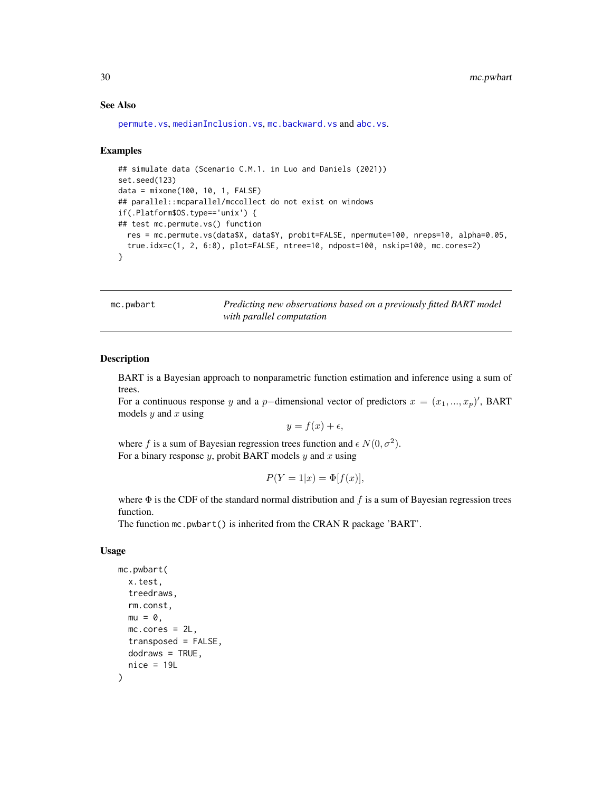#### See Also

```
permute.vs, medianInclusion.vs, mc.backward.vs and abc.vs.
```
#### Examples

```
## simulate data (Scenario C.M.1. in Luo and Daniels (2021))
set.seed(123)
data = mixone(100, 10, 1, FALSE)
## parallel::mcparallel/mccollect do not exist on windows
if(.Platform$OS.type=='unix') {
## test mc.permute.vs() function
  res = mc.permute.vs(data$X, data$Y, probit=FALSE, npermute=100, nreps=10, alpha=0.05,
  true.idx=c(1, 2, 6:8), plot=FALSE, ntree=10, ndpost=100, nskip=100, mc.cores=2)
}
```
<span id="page-29-1"></span>mc.pwbart *Predicting new observations based on a previously fitted BART model with parallel computation*

#### Description

BART is a Bayesian approach to nonparametric function estimation and inference using a sum of trees.

For a continuous response y and a p-dimensional vector of predictors  $x = (x_1, ..., x_p)'$ , BART models  $y$  and  $x$  using

$$
y = f(x) + \epsilon,
$$

where f is a sum of Bayesian regression trees function and  $\epsilon N(0, \sigma^2)$ . For a binary response  $y$ , probit BART models  $y$  and  $x$  using

$$
P(Y=1|x) = \Phi[f(x)],
$$

where  $\Phi$  is the CDF of the standard normal distribution and  $f$  is a sum of Bayesian regression trees function.

The function mc.pwbart() is inherited from the CRAN R package 'BART'.

#### Usage

```
mc.pwbart(
 x.test,
  treedraws,
  rm.const,
 mu = 0.
 mc.cores = 2L,
  transposed = FALSE,
 dodraws = TRUE,
  nice = 19L)
```
<span id="page-29-0"></span>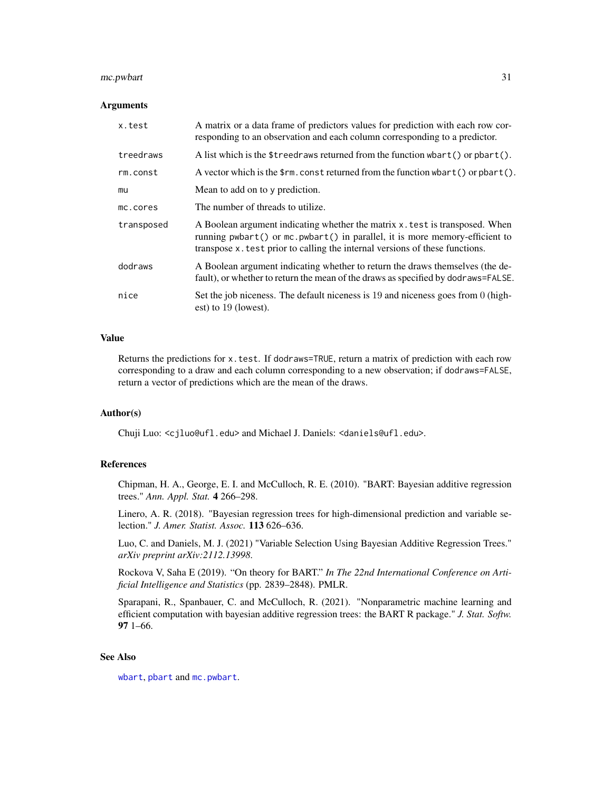#### <span id="page-30-0"></span>mc.pwbart 31

#### Arguments

| x.test     | A matrix or a data frame of predictors values for prediction with each row cor-<br>responding to an observation and each column corresponding to a predictor.                                                                             |
|------------|-------------------------------------------------------------------------------------------------------------------------------------------------------------------------------------------------------------------------------------------|
| treedraws  | A list which is the \$treedraws returned from the function whart () or $\mathsf{pbart}()$ .                                                                                                                                               |
| rm.const   | A vector which is the $\frac{1}{2}$ m. const returned from the function wbart() or pbart().                                                                                                                                               |
| mu         | Mean to add on to y prediction.                                                                                                                                                                                                           |
| mc.cores   | The number of threads to utilize.                                                                                                                                                                                                         |
| transposed | A Boolean argument indicating whether the matrix x test is transposed. When<br>running pwbart() or mc.pwbart() in parallel, it is more memory-efficient to<br>transpose x test prior to calling the internal versions of these functions. |
| dodraws    | A Boolean argument indicating whether to return the draws themselves (the de-<br>fault), or whether to return the mean of the draws as specified by dodraws=FALSE.                                                                        |
| nice       | Set the job niceness. The default niceness is 19 and niceness goes from 0 (high-<br>est) to 19 (lowest).                                                                                                                                  |

#### Value

Returns the predictions for x.test. If dodraws=TRUE, return a matrix of prediction with each row corresponding to a draw and each column corresponding to a new observation; if dodraws=FALSE, return a vector of predictions which are the mean of the draws.

#### Author(s)

Chuji Luo: <cjluo@ufl.edu> and Michael J. Daniels: <daniels@ufl.edu>.

#### References

Chipman, H. A., George, E. I. and McCulloch, R. E. (2010). "BART: Bayesian additive regression trees." *Ann. Appl. Stat.* 4 266–298.

Linero, A. R. (2018). "Bayesian regression trees for high-dimensional prediction and variable selection." *J. Amer. Statist. Assoc.* 113 626–636.

Luo, C. and Daniels, M. J. (2021) "Variable Selection Using Bayesian Additive Regression Trees." *arXiv preprint arXiv:2112.13998*.

Rockova V, Saha E (2019). "On theory for BART." *In The 22nd International Conference on Artificial Intelligence and Statistics* (pp. 2839–2848). PMLR.

Sparapani, R., Spanbauer, C. and McCulloch, R. (2021). "Nonparametric machine learning and efficient computation with bayesian additive regression trees: the BART R package." *J. Stat. Softw.* 97 1–66.

#### See Also

[wbart](#page-56-1), [pbart](#page-42-1) and [mc.pwbart](#page-29-1).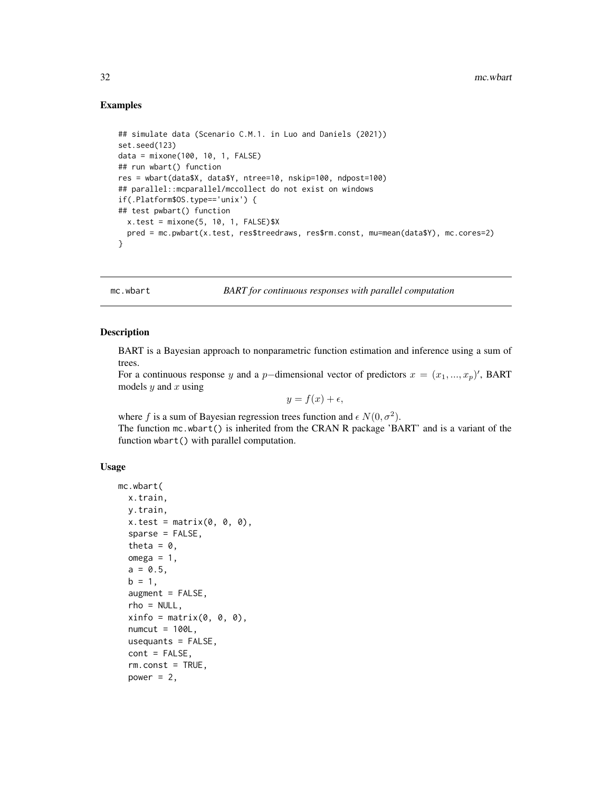#### Examples

```
## simulate data (Scenario C.M.1. in Luo and Daniels (2021))
set.seed(123)
data = mixone(100, 10, 1, FALSE)
## run wbart() function
res = wbart(data$X, data$Y, ntree=10, nskip=100, ndpost=100)
## parallel::mcparallel/mccollect do not exist on windows
if(.Platform$OS.type=='unix') {
## test pwbart() function
 x.test = mixone(5, 10, 1, FALSE)$X
  pred = mc.pwbart(x.test, res$treedraws, res$rm.const, mu=mean(data$Y), mc.cores=2)
}
```
<span id="page-31-1"></span>mc.wbart *BART for continuous responses with parallel computation*

#### **Description**

BART is a Bayesian approach to nonparametric function estimation and inference using a sum of trees.

For a continuous response y and a p-dimensional vector of predictors  $x = (x_1, ..., x_p)'$ , BART models  $y$  and  $x$  using

$$
y = f(x) + \epsilon,
$$

where f is a sum of Bayesian regression trees function and  $\epsilon N(0, \sigma^2)$ . The function mc.wbart() is inherited from the CRAN R package 'BART' and is a variant of the function wbart() with parallel computation.

#### Usage

```
mc.wbart(
  x.train,
 y.train,
  x.test = matrix(0, 0, 0),sparse = FALSE,
  theta = 0,
  omega = 1,
  a = 0.5,
  b = 1,augment = FALSE,rho = NULL,
  xinfo = matrix(0, 0, 0),
  numcut = 100L,
  usequants = FALSE,
  cont = FALSE,rm.const = TRUE,power = 2,
```
<span id="page-31-0"></span>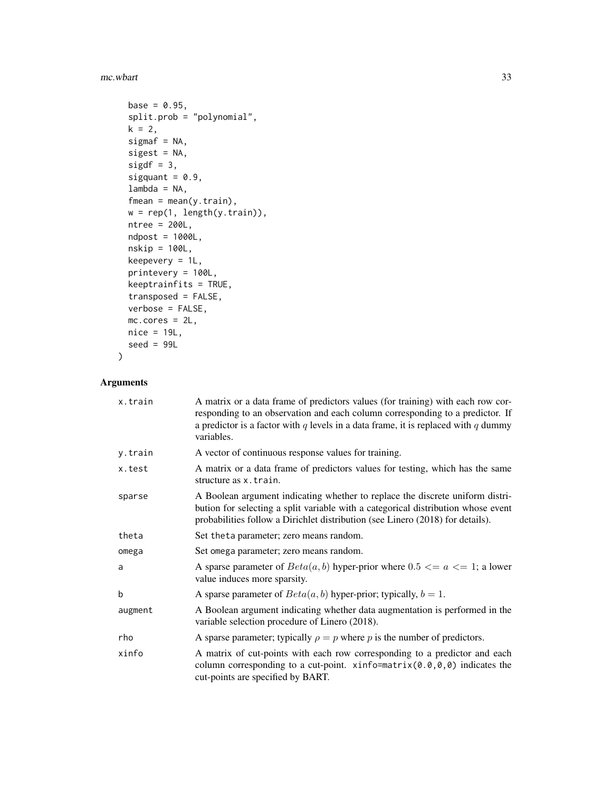#### mc.wbart 33

```
base = 0.95,
  split.prob = "polynomial",
 k = 2,signaf = NA,
  sigest = NA,
  sigdf = 3,
 sigquant = 0.9,
 lambda = NA,
  fmean = mean(y.train),
 w = rep(1, length(y.train)),ntree = 200L,
 ndpost = 1000L,
 nskip = 100L,
 keepevery = 1L,
 printevery = 100L,
 keeptrainfits = TRUE,
  transposed = FALSE,
 verbose = FALSE,
 mc.cores = 2L,
 nice = 19L,seed = 99L)
```

| x.train | A matrix or a data frame of predictors values (for training) with each row cor-<br>responding to an observation and each column corresponding to a predictor. If<br>a predictor is a factor with q levels in a data frame, it is replaced with q dummy<br>variables. |
|---------|----------------------------------------------------------------------------------------------------------------------------------------------------------------------------------------------------------------------------------------------------------------------|
| y.train | A vector of continuous response values for training.                                                                                                                                                                                                                 |
| x.test  | A matrix or a data frame of predictors values for testing, which has the same<br>structure as x. train.                                                                                                                                                              |
| sparse  | A Boolean argument indicating whether to replace the discrete uniform distri-<br>bution for selecting a split variable with a categorical distribution whose event<br>probabilities follow a Dirichlet distribution (see Linero (2018) for details).                 |
| theta   | Set the ta parameter; zero means random.                                                                                                                                                                                                                             |
| omega   | Set omega parameter; zero means random.                                                                                                                                                                                                                              |
| a       | A sparse parameter of $Beta(a, b)$ hyper-prior where $0.5 \le a \le 1$ ; a lower<br>value induces more sparsity.                                                                                                                                                     |
| b       | A sparse parameter of $Beta(a, b)$ hyper-prior; typically, $b = 1$ .                                                                                                                                                                                                 |
| augment | A Boolean argument indicating whether data augmentation is performed in the<br>variable selection procedure of Linero (2018).                                                                                                                                        |
| rho     | A sparse parameter; typically $\rho = p$ where p is the number of predictors.                                                                                                                                                                                        |
| xinfo   | A matrix of cut-points with each row corresponding to a predictor and each<br>column corresponding to a cut-point. $\xi$ info=matrix(0.0,0,0) indicates the<br>cut-points are specified by BART.                                                                     |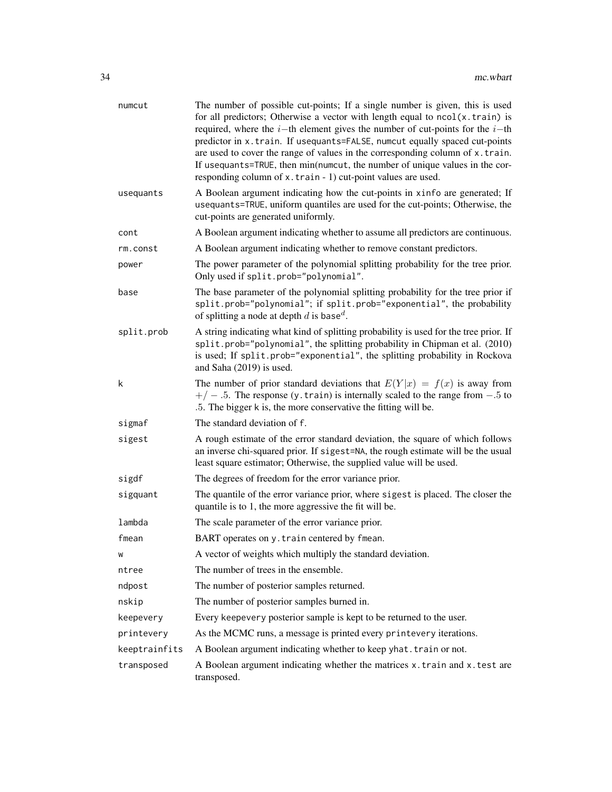| numcut        | The number of possible cut-points; If a single number is given, this is used<br>for all predictors; Otherwise a vector with length equal to $ncol(x.train)$ is<br>required, where the $i$ -th element gives the number of cut-points for the $i$ -th<br>predictor in x.train. If usequants=FALSE, numcut equally spaced cut-points<br>are used to cover the range of values in the corresponding column of x.train.<br>If usequants=TRUE, then min(numcut, the number of unique values in the cor-<br>responding column of x.train - 1) cut-point values are used. |
|---------------|--------------------------------------------------------------------------------------------------------------------------------------------------------------------------------------------------------------------------------------------------------------------------------------------------------------------------------------------------------------------------------------------------------------------------------------------------------------------------------------------------------------------------------------------------------------------|
| usequants     | A Boolean argument indicating how the cut-points in xinfo are generated; If<br>usequants=TRUE, uniform quantiles are used for the cut-points; Otherwise, the<br>cut-points are generated uniformly.                                                                                                                                                                                                                                                                                                                                                                |
| cont          | A Boolean argument indicating whether to assume all predictors are continuous.                                                                                                                                                                                                                                                                                                                                                                                                                                                                                     |
| rm.const      | A Boolean argument indicating whether to remove constant predictors.                                                                                                                                                                                                                                                                                                                                                                                                                                                                                               |
| power         | The power parameter of the polynomial splitting probability for the tree prior.<br>Only used if split.prob="polynomial".                                                                                                                                                                                                                                                                                                                                                                                                                                           |
| base          | The base parameter of the polynomial splitting probability for the tree prior if<br>split.prob="polynomial"; if split.prob="exponential", the probability<br>of splitting a node at depth d is base <sup>d</sup> .                                                                                                                                                                                                                                                                                                                                                 |
| split.prob    | A string indicating what kind of splitting probability is used for the tree prior. If<br>split.prob="polynomial", the splitting probability in Chipman et al. (2010)<br>is used; If split.prob="exponential", the splitting probability in Rockova<br>and Saha (2019) is used.                                                                                                                                                                                                                                                                                     |
| k             | The number of prior standard deviations that $E(Y x) = f(x)$ is away from<br>$+/-$ .5. The response (y. train) is internally scaled to the range from $-.5$ to<br>.5. The bigger k is, the more conservative the fitting will be.                                                                                                                                                                                                                                                                                                                                  |
| sigmaf        | The standard deviation of f.                                                                                                                                                                                                                                                                                                                                                                                                                                                                                                                                       |
| sigest        | A rough estimate of the error standard deviation, the square of which follows<br>an inverse chi-squared prior. If sigest=NA, the rough estimate will be the usual<br>least square estimator; Otherwise, the supplied value will be used.                                                                                                                                                                                                                                                                                                                           |
| sigdf         | The degrees of freedom for the error variance prior.                                                                                                                                                                                                                                                                                                                                                                                                                                                                                                               |
| sigquant      | The quantile of the error variance prior, where sigest is placed. The closer the<br>quantile is to 1, the more aggressive the fit will be.                                                                                                                                                                                                                                                                                                                                                                                                                         |
| lambda        | The scale parameter of the error variance prior.                                                                                                                                                                                                                                                                                                                                                                                                                                                                                                                   |
| fmean         | BART operates on y. train centered by fmean.                                                                                                                                                                                                                                                                                                                                                                                                                                                                                                                       |
| W             | A vector of weights which multiply the standard deviation.                                                                                                                                                                                                                                                                                                                                                                                                                                                                                                         |
| ntree         | The number of trees in the ensemble.                                                                                                                                                                                                                                                                                                                                                                                                                                                                                                                               |
| ndpost        | The number of posterior samples returned.                                                                                                                                                                                                                                                                                                                                                                                                                                                                                                                          |
| nskip         | The number of posterior samples burned in.                                                                                                                                                                                                                                                                                                                                                                                                                                                                                                                         |
| keepevery     | Every keepevery posterior sample is kept to be returned to the user.                                                                                                                                                                                                                                                                                                                                                                                                                                                                                               |
| printevery    | As the MCMC runs, a message is printed every printevery iterations.                                                                                                                                                                                                                                                                                                                                                                                                                                                                                                |
| keeptrainfits | A Boolean argument indicating whether to keep yhat. train or not.                                                                                                                                                                                                                                                                                                                                                                                                                                                                                                  |
| transposed    | A Boolean argument indicating whether the matrices x.train and x.test are<br>transposed.                                                                                                                                                                                                                                                                                                                                                                                                                                                                           |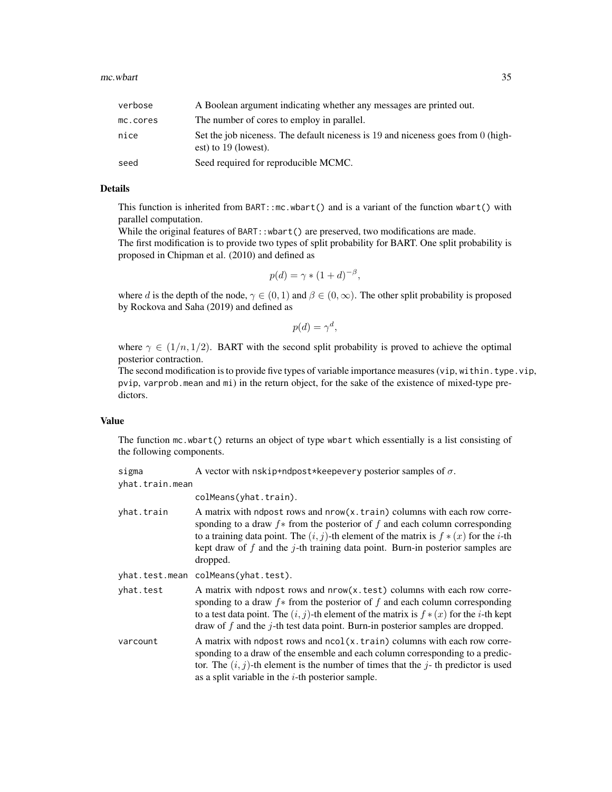| verbose  | A Boolean argument indicating whether any messages are printed out.                                        |
|----------|------------------------------------------------------------------------------------------------------------|
| mc.cores | The number of cores to employ in parallel.                                                                 |
| nice     | Set the job niceness. The default niceness is 19 and niceness goes from 0 (high-<br>est) to $19$ (lowest). |
| seed     | Seed required for reproducible MCMC.                                                                       |

#### Details

This function is inherited from BART::mc.wbart() and is a variant of the function wbart() with parallel computation.

While the original features of BART::wbart() are preserved, two modifications are made. The first modification is to provide two types of split probability for BART. One split probability is proposed in Chipman et al. (2010) and defined as

$$
p(d) = \gamma * (1+d)^{-\beta},
$$

where d is the depth of the node,  $\gamma \in (0, 1)$  and  $\beta \in (0, \infty)$ . The other split probability is proposed by Rockova and Saha (2019) and defined as

$$
p(d) = \gamma^d,
$$

where  $\gamma \in (1/n, 1/2)$ . BART with the second split probability is proved to achieve the optimal posterior contraction.

The second modification is to provide five types of variable importance measures (vip, within.type.vip, pvip, varprob.mean and mi) in the return object, for the sake of the existence of mixed-type predictors.

#### Value

The function mc.wbart() returns an object of type wbart which essentially is a list consisting of the following components.

| A vector with nskip+ndpost*keepevery posterior samples of $\sigma$<br>sigma |  |
|-----------------------------------------------------------------------------|--|
|-----------------------------------------------------------------------------|--|

yhat.train.mean

colMeans(yhat.train).

- yhat.train A matrix with ndpost rows and nrow(x.train) columns with each row corresponding to a draw  $f*$  from the posterior of f and each column corresponding to a training data point. The  $(i, j)$ -th element of the matrix is  $f * (x)$  for the *i*-th kept draw of  $f$  and the  $j$ -th training data point. Burn-in posterior samples are dropped.
- yhat.test.mean colMeans(yhat.test).

yhat.test A matrix with ndpost rows and nrow(x.test) columns with each row corresponding to a draw  $f*$  from the posterior of f and each column corresponding to a test data point. The  $(i, j)$ -th element of the matrix is  $f * (x)$  for the *i*-th kept draw of  $f$  and the  $j$ -th test data point. Burn-in posterior samples are dropped.

varcount  $\blacksquare$  A matrix with ndpost rows and ncol(x, train) columns with each row corresponding to a draw of the ensemble and each column corresponding to a predictor. The  $(i, j)$ -th element is the number of times that the j-th predictor is used as a split variable in the  $i$ -th posterior sample.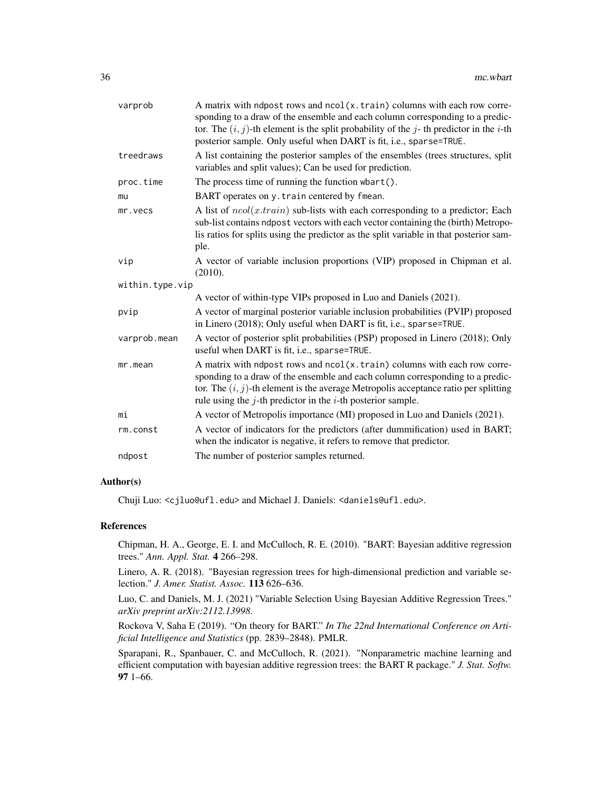| varprob         | A matrix with ndpost rows and ncol(x.train) columns with each row corre-<br>sponding to a draw of the ensemble and each column corresponding to a predic-<br>tor. The $(i, j)$ -th element is the split probability of the j-th predictor in the i-th<br>posterior sample. Only useful when DART is fit, i.e., sparse=TRUE. |
|-----------------|-----------------------------------------------------------------------------------------------------------------------------------------------------------------------------------------------------------------------------------------------------------------------------------------------------------------------------|
| treedraws       | A list containing the posterior samples of the ensembles (trees structures, split<br>variables and split values); Can be used for prediction.                                                                                                                                                                               |
| proc.time       | The process time of running the function $\mathsf{wbart}()$ .                                                                                                                                                                                                                                                               |
| mu              | BART operates on y. train centered by fmean.                                                                                                                                                                                                                                                                                |
| mr.vecs         | A list of $ncol(x.train)$ sub-lists with each corresponding to a predictor; Each<br>sub-list contains ndpost vectors with each vector containing the (birth) Metropo-<br>lis ratios for splits using the predictor as the split variable in that posterior sam-<br>ple.                                                     |
| vip             | A vector of variable inclusion proportions (VIP) proposed in Chipman et al.<br>(2010).                                                                                                                                                                                                                                      |
| within.type.vip |                                                                                                                                                                                                                                                                                                                             |
|                 | A vector of within-type VIPs proposed in Luo and Daniels (2021).                                                                                                                                                                                                                                                            |
| pvip            | A vector of marginal posterior variable inclusion probabilities (PVIP) proposed<br>in Linero (2018); Only useful when DART is fit, i.e., sparse=TRUE.                                                                                                                                                                       |
| varprob.mean    | A vector of posterior split probabilities (PSP) proposed in Linero (2018); Only<br>useful when DART is fit, i.e., sparse=TRUE.                                                                                                                                                                                              |
| mr.mean         | A matrix with ndpost rows and ncol(x.train) columns with each row corre-<br>sponding to a draw of the ensemble and each column corresponding to a predic-<br>tor. The $(i, j)$ -th element is the average Metropolis acceptance ratio per splitting<br>rule using the $j$ -th predictor in the $i$ -th posterior sample.    |
| mi              | A vector of Metropolis importance (MI) proposed in Luo and Daniels (2021).                                                                                                                                                                                                                                                  |
| rm.const        | A vector of indicators for the predictors (after dummification) used in BART;<br>when the indicator is negative, it refers to remove that predictor.                                                                                                                                                                        |
| ndpost          | The number of posterior samples returned.                                                                                                                                                                                                                                                                                   |

#### Author(s)

Chuji Luo: <cjluo@ufl.edu> and Michael J. Daniels: <daniels@ufl.edu>.

#### References

Chipman, H. A., George, E. I. and McCulloch, R. E. (2010). "BART: Bayesian additive regression trees." *Ann. Appl. Stat.* 4 266–298.

Linero, A. R. (2018). "Bayesian regression trees for high-dimensional prediction and variable selection." *J. Amer. Statist. Assoc.* 113 626–636.

Luo, C. and Daniels, M. J. (2021) "Variable Selection Using Bayesian Additive Regression Trees." *arXiv preprint arXiv:2112.13998*.

Rockova V, Saha E (2019). "On theory for BART." *In The 22nd International Conference on Artificial Intelligence and Statistics* (pp. 2839–2848). PMLR.

Sparapani, R., Spanbauer, C. and McCulloch, R. (2021). "Nonparametric machine learning and efficient computation with bayesian additive regression trees: the BART R package." *J. Stat. Softw.* 97 1–66.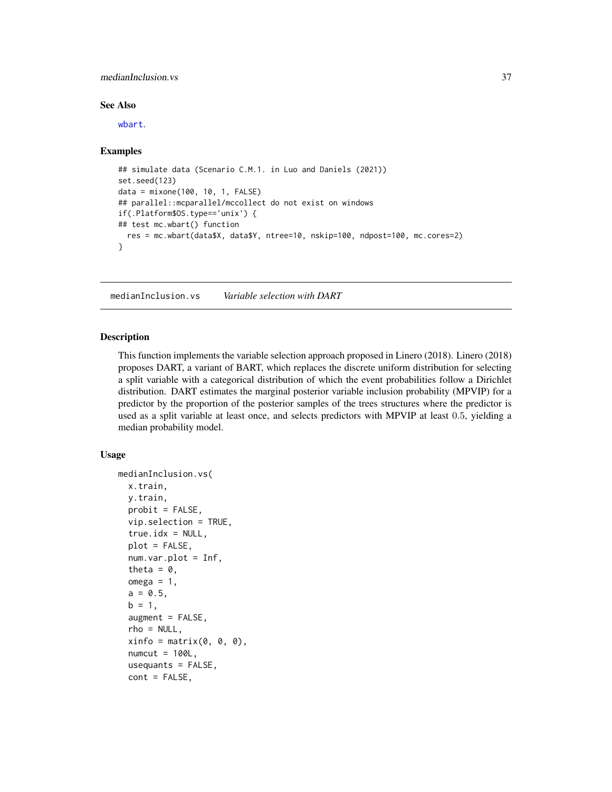#### <span id="page-36-0"></span>medianInclusion.vs 37

#### See Also

[wbart](#page-56-1).

#### Examples

```
## simulate data (Scenario C.M.1. in Luo and Daniels (2021))
set.seed(123)
data = mixone(100, 10, 1, FALSE)
## parallel::mcparallel/mccollect do not exist on windows
if(.Platform$OS.type=='unix') {
## test mc.wbart() function
  res = mc.wbart(data$X, data$Y, ntree=10, nskip=100, ndpost=100, mc.cores=2)
}
```
<span id="page-36-1"></span>medianInclusion.vs *Variable selection with DART*

#### **Description**

This function implements the variable selection approach proposed in Linero (2018). Linero (2018) proposes DART, a variant of BART, which replaces the discrete uniform distribution for selecting a split variable with a categorical distribution of which the event probabilities follow a Dirichlet distribution. DART estimates the marginal posterior variable inclusion probability (MPVIP) for a predictor by the proportion of the posterior samples of the trees structures where the predictor is used as a split variable at least once, and selects predictors with MPVIP at least 0.5, yielding a median probability model.

#### Usage

```
medianInclusion.vs(
 x.train,
 y.train,
 probit = FALSE,vip.selection = TRUE,
  true.idx = NULL,plot = FALSE,num.var.plot = Inf,
  theta = \theta,
  omega = 1,
  a = 0.5,
 b = 1,
  augment = FALSE,rho = NULL,
  xinfo = matrix(0, 0, 0),
  numcut = 100L,usequants = FALSE,
  cont = FALSE,
```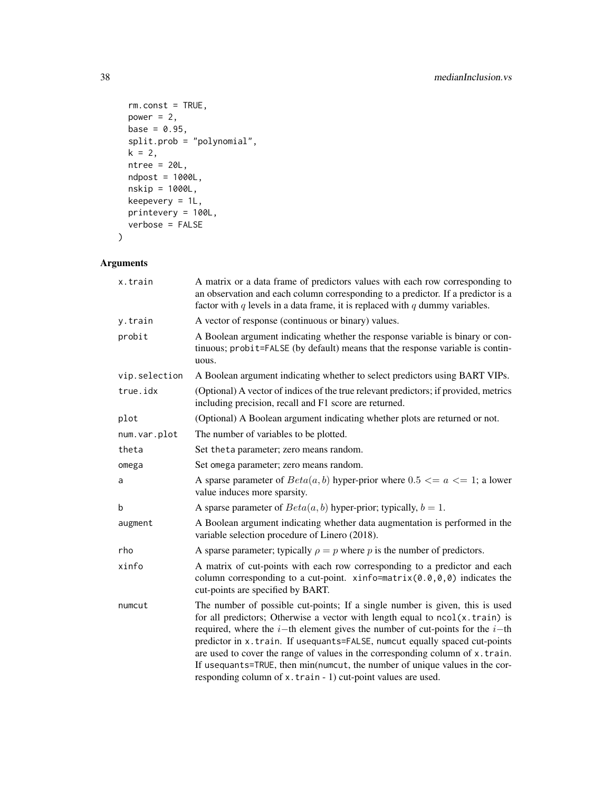```
rm.const = TRUE,power = 2,
 base = 0.95,
 split.prob = "polynomial",
 k = 2,ntree = 20L,ndpost = 1000L,
 nskip = 1000L,
 keepevery = 1L,
 printevery = 100L,
 verbose = FALSE
\mathcal{L}
```

| x.train       | A matrix or a data frame of predictors values with each row corresponding to<br>an observation and each column corresponding to a predictor. If a predictor is a<br>factor with $q$ levels in a data frame, it is replaced with $q$ dummy variables.                                                                                                                                                                                                                                                                                                             |
|---------------|------------------------------------------------------------------------------------------------------------------------------------------------------------------------------------------------------------------------------------------------------------------------------------------------------------------------------------------------------------------------------------------------------------------------------------------------------------------------------------------------------------------------------------------------------------------|
| y.train       | A vector of response (continuous or binary) values.                                                                                                                                                                                                                                                                                                                                                                                                                                                                                                              |
| probit        | A Boolean argument indicating whether the response variable is binary or con-<br>tinuous; probit=FALSE (by default) means that the response variable is contin-<br>uous.                                                                                                                                                                                                                                                                                                                                                                                         |
| vip.selection | A Boolean argument indicating whether to select predictors using BART VIPs.                                                                                                                                                                                                                                                                                                                                                                                                                                                                                      |
| true.idx      | (Optional) A vector of indices of the true relevant predictors; if provided, metrics<br>including precision, recall and F1 score are returned.                                                                                                                                                                                                                                                                                                                                                                                                                   |
| plot          | (Optional) A Boolean argument indicating whether plots are returned or not.                                                                                                                                                                                                                                                                                                                                                                                                                                                                                      |
| num.var.plot  | The number of variables to be plotted.                                                                                                                                                                                                                                                                                                                                                                                                                                                                                                                           |
| theta         | Set theta parameter; zero means random.                                                                                                                                                                                                                                                                                                                                                                                                                                                                                                                          |
| omega         | Set omega parameter; zero means random.                                                                                                                                                                                                                                                                                                                                                                                                                                                                                                                          |
| a             | A sparse parameter of $Beta(a, b)$ hyper-prior where 0.5 $\le a \le 1$ ; a lower<br>value induces more sparsity.                                                                                                                                                                                                                                                                                                                                                                                                                                                 |
| b             | A sparse parameter of $Beta(a, b)$ hyper-prior; typically, $b = 1$ .                                                                                                                                                                                                                                                                                                                                                                                                                                                                                             |
| augment       | A Boolean argument indicating whether data augmentation is performed in the<br>variable selection procedure of Linero (2018).                                                                                                                                                                                                                                                                                                                                                                                                                                    |
| rho           | A sparse parameter; typically $\rho = p$ where p is the number of predictors.                                                                                                                                                                                                                                                                                                                                                                                                                                                                                    |
| xinfo         | A matrix of cut-points with each row corresponding to a predictor and each<br>column corresponding to a cut-point. $\xi$ info=matrix(0.0,0,0) indicates the<br>cut-points are specified by BART.                                                                                                                                                                                                                                                                                                                                                                 |
| numcut        | The number of possible cut-points; If a single number is given, this is used<br>for all predictors; Otherwise a vector with length equal to ncol(x.train) is<br>required, where the $i$ -th element gives the number of cut-points for the $i$ -th<br>predictor in x.train. If usequants=FALSE, numcut equally spaced cut-points<br>are used to cover the range of values in the corresponding column of x.train.<br>If usequants=TRUE, then min(numcut, the number of unique values in the cor-<br>responding column of x.train - 1) cut-point values are used. |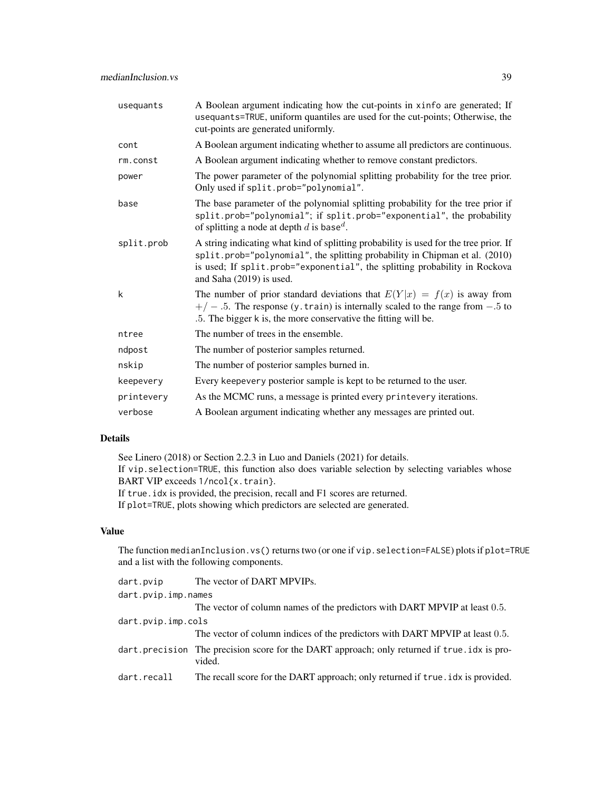| usequants  | A Boolean argument indicating how the cut-points in xinfo are generated; If<br>usequants=TRUE, uniform quantiles are used for the cut-points; Otherwise, the<br>cut-points are generated uniformly.                                                                              |
|------------|----------------------------------------------------------------------------------------------------------------------------------------------------------------------------------------------------------------------------------------------------------------------------------|
| cont       | A Boolean argument indicating whether to assume all predictors are continuous.                                                                                                                                                                                                   |
| rm.const   | A Boolean argument indicating whether to remove constant predictors.                                                                                                                                                                                                             |
| power      | The power parameter of the polynomial splitting probability for the tree prior.<br>Only used if split.prob="polynomial".                                                                                                                                                         |
| base       | The base parameter of the polynomial splitting probability for the tree prior if<br>split.prob="polynomial"; if split.prob="exponential", the probability<br>of splitting a node at depth d is base <sup>d</sup> .                                                               |
| split.prob | A string indicating what kind of splitting probability is used for the tree prior. If<br>split.prob="polynomial", the splitting probability in Chipman et al. (2010)<br>is used; If split.prob="exponential", the splitting probability in Rockova<br>and Saha $(2019)$ is used. |
| k          | The number of prior standard deviations that $E(Y x) = f(x)$ is away from<br>$+/-$ .5. The response (y. train) is internally scaled to the range from $-.5$ to<br>.5. The bigger k is, the more conservative the fitting will be.                                                |
| ntree      | The number of trees in the ensemble.                                                                                                                                                                                                                                             |
| ndpost     | The number of posterior samples returned.                                                                                                                                                                                                                                        |
| nskip      | The number of posterior samples burned in.                                                                                                                                                                                                                                       |
| keepevery  | Every keepevery posterior sample is kept to be returned to the user.                                                                                                                                                                                                             |
| printevery | As the MCMC runs, a message is printed every printevery iterations.                                                                                                                                                                                                              |
| verbose    | A Boolean argument indicating whether any messages are printed out.                                                                                                                                                                                                              |
|            |                                                                                                                                                                                                                                                                                  |

#### Details

See Linero (2018) or Section 2.2.3 in Luo and Daniels (2021) for details.

If vip.selection=TRUE, this function also does variable selection by selecting variables whose BART VIP exceeds 1/ncol{x.train}.

If true.idx is provided, the precision, recall and F1 scores are returned.

If plot=TRUE, plots showing which predictors are selected are generated.

# Value

The function medianInclusion.vs() returns two (or one if vip.selection=FALSE) plots if plot=TRUE and a list with the following components.

| dart.pvip           | The vector of DART MPVIPs.                                                                            |  |
|---------------------|-------------------------------------------------------------------------------------------------------|--|
| dart.pvip.imp.names |                                                                                                       |  |
|                     | The vector of column names of the predictors with DART MPVIP at least 0.5.                            |  |
| dart.pvip.imp.cols  |                                                                                                       |  |
|                     | The vector of column indices of the predictors with DART MPVIP at least 0.5.                          |  |
|                     | dart.precision The precision score for the DART approach; only returned if true.idx is pro-<br>vided. |  |
| dart.recall         | The recall score for the DART approach; only returned if true . idx is provided.                      |  |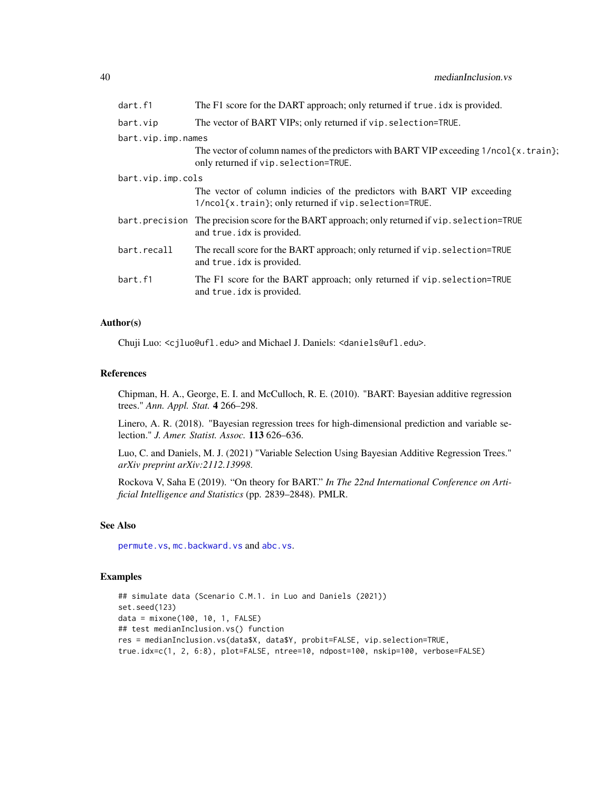<span id="page-39-0"></span>

| dart.f1            | The F1 score for the DART approach; only returned if true . idx is provided.                                                      |
|--------------------|-----------------------------------------------------------------------------------------------------------------------------------|
| bart.vip           | The vector of BART VIPs; only returned if vip. selection=TRUE.                                                                    |
| bart.vip.imp.names |                                                                                                                                   |
|                    | The vector of column names of the predictors with BART VIP exceeding $1/ncol(x, train);$<br>only returned if vip. selection=TRUE. |
| bart.vip.imp.cols  |                                                                                                                                   |
|                    | The vector of column indicies of the predictors with BART VIP exceeding<br>1/ncol{x.train}; only returned if vip.selection=TRUE.  |
|                    | bart.precision The precision score for the BART approach; only returned if vip.selection=TRUE<br>and true. idx is provided.       |
| bart.recall        | The recall score for the BART approach; only returned if vip. selection=TRUE<br>and true. idx is provided.                        |
| bart.f1            | The F1 score for the BART approach; only returned if vip. selection=TRUE<br>and true. idx is provided.                            |

#### Author(s)

Chuji Luo: <cjluo@ufl.edu> and Michael J. Daniels: <daniels@ufl.edu>.

#### References

Chipman, H. A., George, E. I. and McCulloch, R. E. (2010). "BART: Bayesian additive regression trees." *Ann. Appl. Stat.* 4 266–298.

Linero, A. R. (2018). "Bayesian regression trees for high-dimensional prediction and variable selection." *J. Amer. Statist. Assoc.* 113 626–636.

Luo, C. and Daniels, M. J. (2021) "Variable Selection Using Bayesian Additive Regression Trees." *arXiv preprint arXiv:2112.13998*.

Rockova V, Saha E (2019). "On theory for BART." *In The 22nd International Conference on Artificial Intelligence and Statistics* (pp. 2839–2848). PMLR.

#### See Also

[permute.vs](#page-47-1), [mc.backward.vs](#page-15-1) and [abc.vs](#page-2-1).

# Examples

```
## simulate data (Scenario C.M.1. in Luo and Daniels (2021))
set.seed(123)
data = mixone(100, 10, 1, FALSE)
## test medianInclusion.vs() function
res = medianInclusion.vs(data$X, data$Y, probit=FALSE, vip.selection=TRUE,
true.idx=c(1, 2, 6:8), plot=FALSE, ntree=10, ndpost=100, nskip=100, verbose=FALSE)
```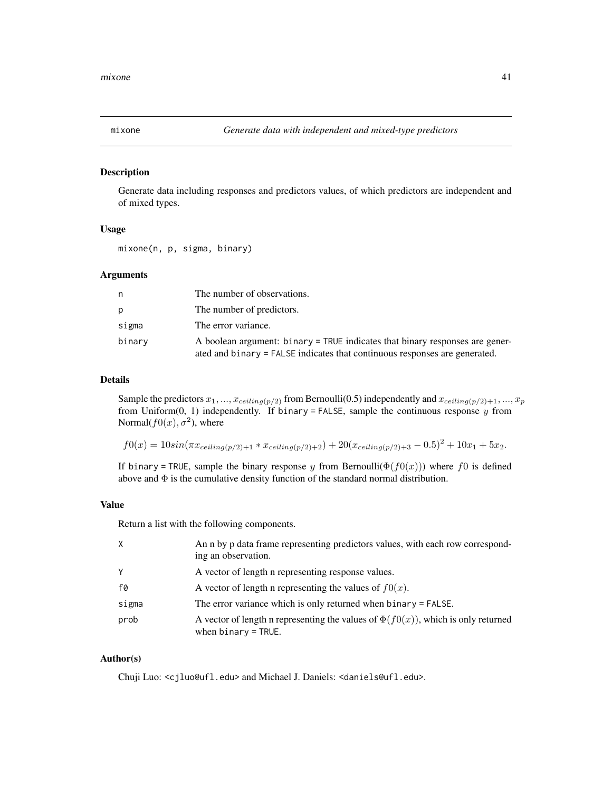<span id="page-40-0"></span>

#### Description

Generate data including responses and predictors values, of which predictors are independent and of mixed types.

#### Usage

mixone(n, p, sigma, binary)

# Arguments

| n      | The number of observations.                                                                                                                                |
|--------|------------------------------------------------------------------------------------------------------------------------------------------------------------|
| р      | The number of predictors.                                                                                                                                  |
| sigma  | The error variance.                                                                                                                                        |
| binary | A boolean argument: binary = TRUE indicates that binary responses are gener-<br>ated and binary = FALSE indicates that continuous responses are generated. |

# Details

Sample the predictors  $x_1, ..., x_{ceiling(p/2)}$  from Bernoulli(0.5) independently and  $x_{ceiling(p/2)+1}, ..., x_p$ from Uniform $(0, 1)$  independently. If binary = FALSE, sample the continuous response  $y$  from Normal $(f0(x), \sigma^2)$ , where

$$
f0(x) = 10\sin(\pi x_{ceiling(p/2)+1} * x_{ceiling(p/2)+2}) + 20(x_{ceiling(p/2)+3} - 0.5)^2 + 10x_1 + 5x_2.
$$

If binary = TRUE, sample the binary response y from Bernoulli( $\Phi(f(0(x)))$ ) where f0 is defined above and Φ is the cumulative density function of the standard normal distribution.

#### Value

Return a list with the following components.

| X     | An n by p data frame representing predictors values, with each row correspond-<br>ing an observation.           |
|-------|-----------------------------------------------------------------------------------------------------------------|
| Υ     | A vector of length a representing response values.                                                              |
| f0    | A vector of length n representing the values of $f(x)$ .                                                        |
| sigma | The error variance which is only returned when binary $=$ FALSE.                                                |
| prob  | A vector of length n representing the values of $\Phi(f(0))$ , which is only returned<br>when $binary = TRUE$ . |

#### Author(s)

Chuji Luo: <cjluo@ufl.edu> and Michael J. Daniels: <daniels@ufl.edu>.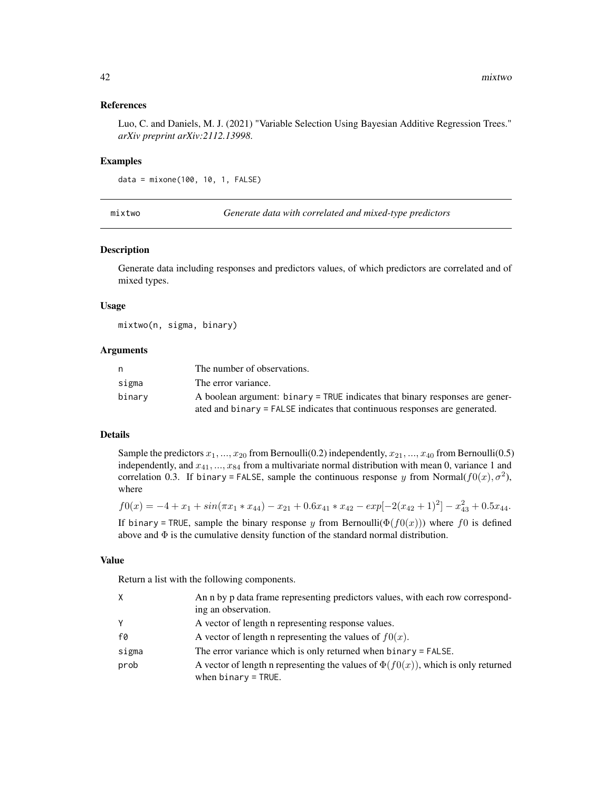#### <span id="page-41-0"></span>References

Luo, C. and Daniels, M. J. (2021) "Variable Selection Using Bayesian Additive Regression Trees." *arXiv preprint arXiv:2112.13998*.

#### Examples

```
data = mixone(100, 10, 1, FALSE)
```
mixtwo *Generate data with correlated and mixed-type predictors*

#### Description

Generate data including responses and predictors values, of which predictors are correlated and of mixed types.

#### Usage

mixtwo(n, sigma, binary)

#### **Arguments**

| n      | The number of observations.                                                  |
|--------|------------------------------------------------------------------------------|
| sigma  | The error variance.                                                          |
| binary | A boolean argument: binary = TRUE indicates that binary responses are gener- |
|        | ated and binary = FALSE indicates that continuous responses are generated.   |

# Details

Sample the predictors  $x_1, ..., x_{20}$  from Bernoulli(0.2) independently,  $x_{21}, ..., x_{40}$  from Bernoulli(0.5) independently, and  $x_{41},..., x_{84}$  from a multivariate normal distribution with mean 0, variance 1 and correlation 0.3. If binary = FALSE, sample the continuous response y from Normal( $f0(x)$ ,  $\sigma^2$ ), where

$$
f0(x) = -4 + x_1 + \sin(\pi x_1 * x_{44}) - x_{21} + 0.6x_{41} * x_{42} - \exp[-2(x_{42} + 1)^2] - x_{43}^2 + 0.5x_{44}.
$$

If binary = TRUE, sample the binary response y from Bernoulli( $\Phi(f0(x))$ ) where f0 is defined above and  $\Phi$  is the cumulative density function of the standard normal distribution.

# Value

Return a list with the following components.

| Χ     | An n by p data frame representing predictors values, with each row correspond-<br>ing an observation.              |
|-------|--------------------------------------------------------------------------------------------------------------------|
| Υ     | A vector of length a representing response values.                                                                 |
| f0    | A vector of length n representing the values of $f(x)$ .                                                           |
| sigma | The error variance which is only returned when $binary = FALSE$ .                                                  |
| prob  | A vector of length n representing the values of $\Phi(f(0(x)))$ , which is only returned<br>when $binary = TRUE$ . |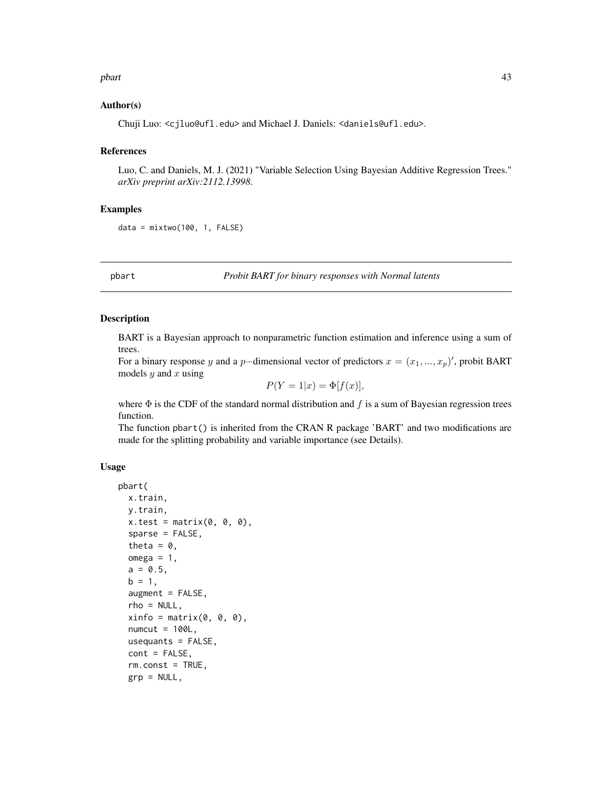#### <span id="page-42-0"></span>pbart the contract of the contract of the contract of the contract of the contract of the contract of the contract of the contract of the contract of the contract of the contract of the contract of the contract of the cont

#### Author(s)

Chuji Luo: <cjluo@ufl.edu> and Michael J. Daniels: <daniels@ufl.edu>.

#### References

Luo, C. and Daniels, M. J. (2021) "Variable Selection Using Bayesian Additive Regression Trees." *arXiv preprint arXiv:2112.13998*.

# Examples

 $data = mixtwo(100, 1, FALSE)$ 

<span id="page-42-1"></span>

pbart *Probit BART for binary responses with Normal latents*

#### Description

BART is a Bayesian approach to nonparametric function estimation and inference using a sum of trees.

For a binary response y and a p–dimensional vector of predictors  $x = (x_1, ..., x_p)'$ , probit BART models  $y$  and  $x$  using

$$
P(Y=1|x) = \Phi[f(x)],
$$

where  $\Phi$  is the CDF of the standard normal distribution and f is a sum of Bayesian regression trees function.

The function pbart() is inherited from the CRAN R package 'BART' and two modifications are made for the splitting probability and variable importance (see Details).

#### Usage

```
pbart(
  x.train,
  y.train,
  x.test = matrix(0, 0, 0),sparse = FALSE,
  theta = 0,
  omega = 1,
  a = 0.5,
  b = 1,augment = FALSE,rho = NULL,
  xinfo = matrix(0, 0, 0),
  numcut = 100L,
  usequants = FALSE,
  cont = FALSE,rm.const = TRUE,grp = NULL,
```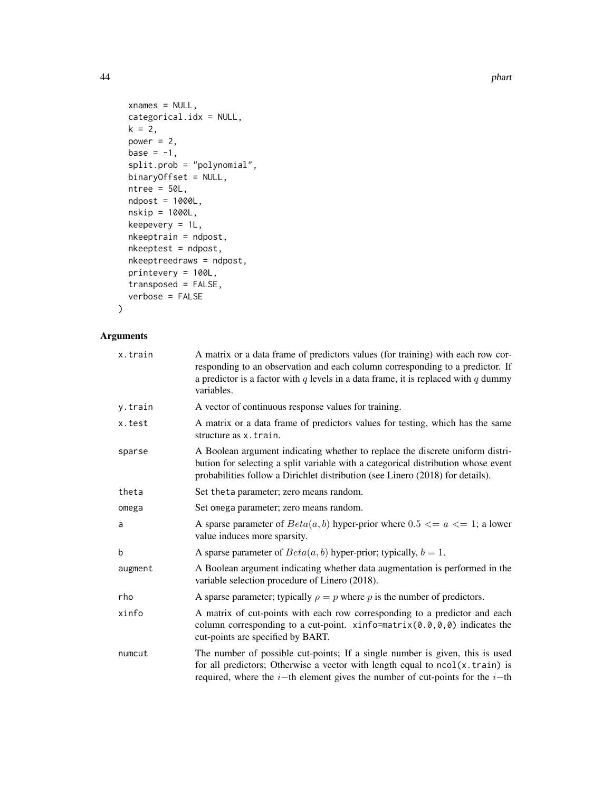```
xnames = NULL,
 categorical.idx = NULL,
 k = 2,power = 2,
 base = -1,
  split.prob = "polynomial",
 binaryOffset = NULL,
 ntree = 50L,
 ndpost = 1000L,
 nskip = 1000L,
 keepevery = 1L,
 nkeeptrain = ndpost,
 nkeeptest = ndpost,
 nkeeptreedraws = ndpost,
 printevery = 100L,
  transposed = FALSE,
  verbose = FALSE
\mathcal{L}
```

| x.train | A matrix or a data frame of predictors values (for training) with each row cor-<br>responding to an observation and each column corresponding to a predictor. If<br>a predictor is a factor with $q$ levels in a data frame, it is replaced with $q$ dummy<br>variables. |
|---------|--------------------------------------------------------------------------------------------------------------------------------------------------------------------------------------------------------------------------------------------------------------------------|
| y.train | A vector of continuous response values for training.                                                                                                                                                                                                                     |
| x.test  | A matrix or a data frame of predictors values for testing, which has the same<br>structure as x.train.                                                                                                                                                                   |
| sparse  | A Boolean argument indicating whether to replace the discrete uniform distri-<br>bution for selecting a split variable with a categorical distribution whose event<br>probabilities follow a Dirichlet distribution (see Linero (2018) for details).                     |
| theta   | Set the ta parameter; zero means random.                                                                                                                                                                                                                                 |
| omega   | Set omega parameter; zero means random.                                                                                                                                                                                                                                  |
| a       | A sparse parameter of $Beta(a, b)$ hyper-prior where $0.5 \le a \le 1$ ; a lower<br>value induces more sparsity.                                                                                                                                                         |
| b       | A sparse parameter of $Beta(a, b)$ hyper-prior; typically, $b = 1$ .                                                                                                                                                                                                     |
| augment | A Boolean argument indicating whether data augmentation is performed in the<br>variable selection procedure of Linero (2018).                                                                                                                                            |
| rho     | A sparse parameter; typically $\rho = p$ where p is the number of predictors.                                                                                                                                                                                            |
| xinfo   | A matrix of cut-points with each row corresponding to a predictor and each<br>column corresponding to a cut-point. xinfo=matrix $(0.0, 0, 0)$ indicates the<br>cut-points are specified by BART.                                                                         |
| numcut  | The number of possible cut-points; If a single number is given, this is used<br>for all predictors; Otherwise a vector with length equal to $ncol(x.train)$ is<br>required, where the $i$ -th element gives the number of cut-points for the $i$ -th                     |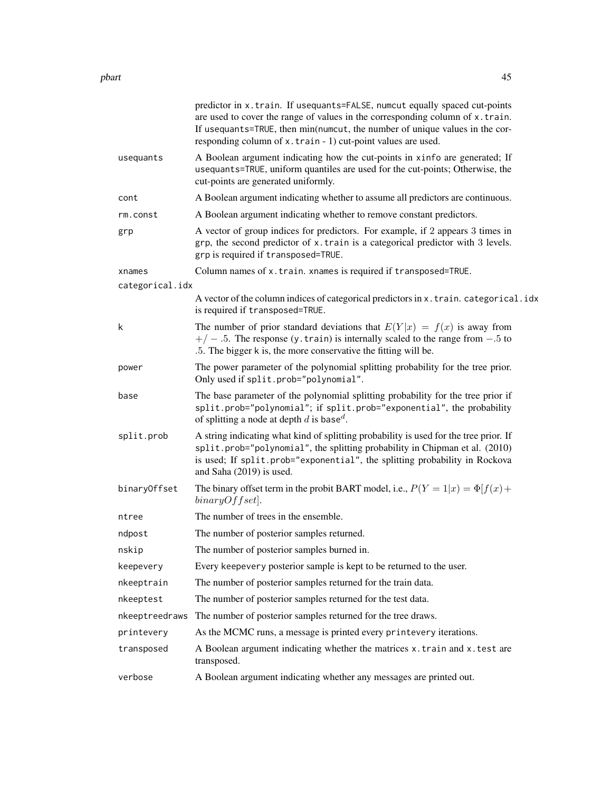|                 | predictor in x.train. If usequants=FALSE, numcut equally spaced cut-points<br>are used to cover the range of values in the corresponding column of x.train.<br>If usequants=TRUE, then min(numcut, the number of unique values in the cor-<br>responding column of x.train - 1) cut-point values are used. |
|-----------------|------------------------------------------------------------------------------------------------------------------------------------------------------------------------------------------------------------------------------------------------------------------------------------------------------------|
| usequants       | A Boolean argument indicating how the cut-points in xinfo are generated; If<br>usequants=TRUE, uniform quantiles are used for the cut-points; Otherwise, the<br>cut-points are generated uniformly.                                                                                                        |
| cont            | A Boolean argument indicating whether to assume all predictors are continuous.                                                                                                                                                                                                                             |
| rm.const        | A Boolean argument indicating whether to remove constant predictors.                                                                                                                                                                                                                                       |
| grp             | A vector of group indices for predictors. For example, if 2 appears 3 times in<br>grp, the second predictor of x.train is a categorical predictor with 3 levels.<br>grp is required if transposed=TRUE.                                                                                                    |
| xnames          | Column names of x.train. xnames is required if transposed=TRUE.                                                                                                                                                                                                                                            |
| categorical.idx |                                                                                                                                                                                                                                                                                                            |
|                 | A vector of the column indices of categorical predictors in x. train. categorical.idx<br>is required if transposed=TRUE.                                                                                                                                                                                   |
| k               | The number of prior standard deviations that $E(Y x) = f(x)$ is away from<br>$+/-$ .5. The response (y. train) is internally scaled to the range from $-.5$ to<br>.5. The bigger k is, the more conservative the fitting will be.                                                                          |
| power           | The power parameter of the polynomial splitting probability for the tree prior.<br>Only used if split.prob="polynomial".                                                                                                                                                                                   |
| base            | The base parameter of the polynomial splitting probability for the tree prior if<br>split.prob="polynomial"; if split.prob="exponential", the probability<br>of splitting a node at depth d is base <sup>d</sup> .                                                                                         |
| split.prob      | A string indicating what kind of splitting probability is used for the tree prior. If<br>split.prob="polynomial", the splitting probability in Chipman et al. (2010)<br>is used; If split.prob="exponential", the splitting probability in Rockova<br>and Saha (2019) is used.                             |
| binaryOffset    | The binary offset term in the probit BART model, i.e., $P(Y = 1 x) = \Phi[f(x) +$<br>$binaryOffset$ .                                                                                                                                                                                                      |
| ntree           | The number of trees in the ensemble.                                                                                                                                                                                                                                                                       |
| ndpost          | The number of posterior samples returned.                                                                                                                                                                                                                                                                  |
| nskip           | The number of posterior samples burned in.                                                                                                                                                                                                                                                                 |
| keepevery       | Every keepevery posterior sample is kept to be returned to the user.                                                                                                                                                                                                                                       |
| nkeeptrain      | The number of posterior samples returned for the train data.                                                                                                                                                                                                                                               |
| nkeeptest       | The number of posterior samples returned for the test data.                                                                                                                                                                                                                                                |
| nkeeptreedraws  | The number of posterior samples returned for the tree draws.                                                                                                                                                                                                                                               |
| printevery      | As the MCMC runs, a message is printed every printevery iterations.                                                                                                                                                                                                                                        |
| transposed      | A Boolean argument indicating whether the matrices x.train and x.test are<br>transposed.                                                                                                                                                                                                                   |
| verbose         | A Boolean argument indicating whether any messages are printed out.                                                                                                                                                                                                                                        |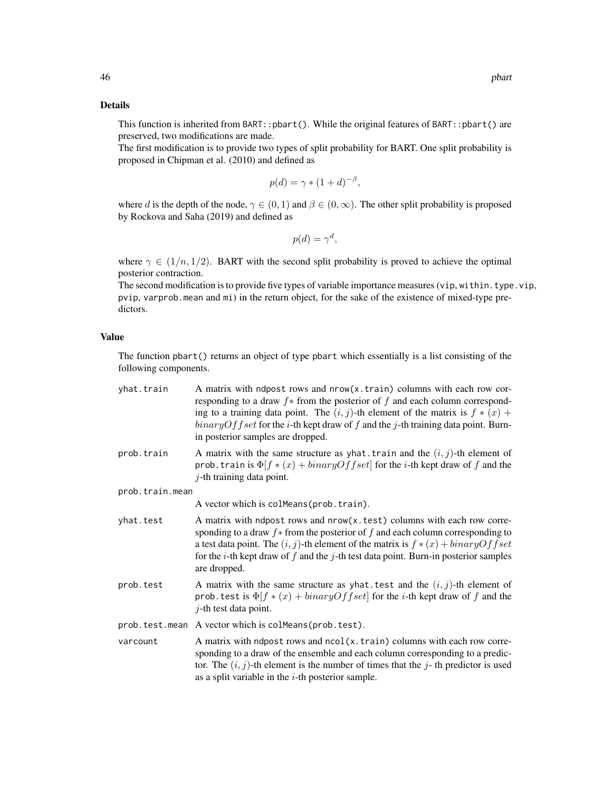## Details

This function is inherited from BART::pbart(). While the original features of BART::pbart() are preserved, two modifications are made.

The first modification is to provide two types of split probability for BART. One split probability is proposed in Chipman et al. (2010) and defined as

$$
p(d) = \gamma * (1+d)^{-\beta},
$$

where d is the depth of the node,  $\gamma \in (0, 1)$  and  $\beta \in (0, \infty)$ . The other split probability is proposed by Rockova and Saha (2019) and defined as

$$
p(d) = \gamma^d,
$$

where  $\gamma \in (1/n, 1/2)$ . BART with the second split probability is proved to achieve the optimal posterior contraction.

The second modification is to provide five types of variable importance measures (vip, within.type.vip, pvip, varprob.mean and mi) in the return object, for the sake of the existence of mixed-type predictors.

## Value

The function pbart() returns an object of type pbart which essentially is a list consisting of the following components.

| yhat.train      | A matrix with ndpost rows and nrow(x.train) columns with each row cor-<br>responding to a draw $f$ from the posterior of f and each column correspond-<br>ing to a training data point. The $(i, j)$ -th element of the matrix is $f * (x) +$<br>$binaryOffset$ for the <i>i</i> -th kept draw of f and the j-th training data point. Burn-<br>in posterior samples are dropped. |
|-----------------|----------------------------------------------------------------------------------------------------------------------------------------------------------------------------------------------------------------------------------------------------------------------------------------------------------------------------------------------------------------------------------|
| prob.train      | A matrix with the same structure as yhat. train and the $(i, j)$ -th element of<br>prob. train is $\Phi[f \ast (x) + binaryOffset]$ for the <i>i</i> -th kept draw of f and the<br>$j$ -th training data point.                                                                                                                                                                  |
| prob.train.mean |                                                                                                                                                                                                                                                                                                                                                                                  |
|                 | A vector which is colmeans (prob. train).                                                                                                                                                                                                                                                                                                                                        |
| yhat.test       | A matrix with ndpost rows and nrow(x.test) columns with each row corre-<br>sponding to a draw $f$ * from the posterior of $f$ and each column corresponding to<br>a test data point. The $(i, j)$ -th element of the matrix is $f * (x) + binaryOffset$<br>for the <i>i</i> -th kept draw of $f$ and the $j$ -th test data point. Burn-in posterior samples<br>are dropped.      |
| prob.test       | A matrix with the same structure as yhat test and the $(i, j)$ -th element of<br>prob. test is $\Phi[f \ast (x) + binaryOffset]$ for the <i>i</i> -th kept draw of f and the<br>$j$ -th test data point.                                                                                                                                                                         |
|                 | prob.test.mean A vector which is colMeans(prob.test).                                                                                                                                                                                                                                                                                                                            |
| varcount        | A matrix with ndpost rows and ncol(x.train) columns with each row corre-<br>sponding to a draw of the ensemble and each column corresponding to a predic-<br>tor. The $(i, j)$ -th element is the number of times that the j-th predictor is used<br>as a split variable in the $i$ -th posterior sample.                                                                        |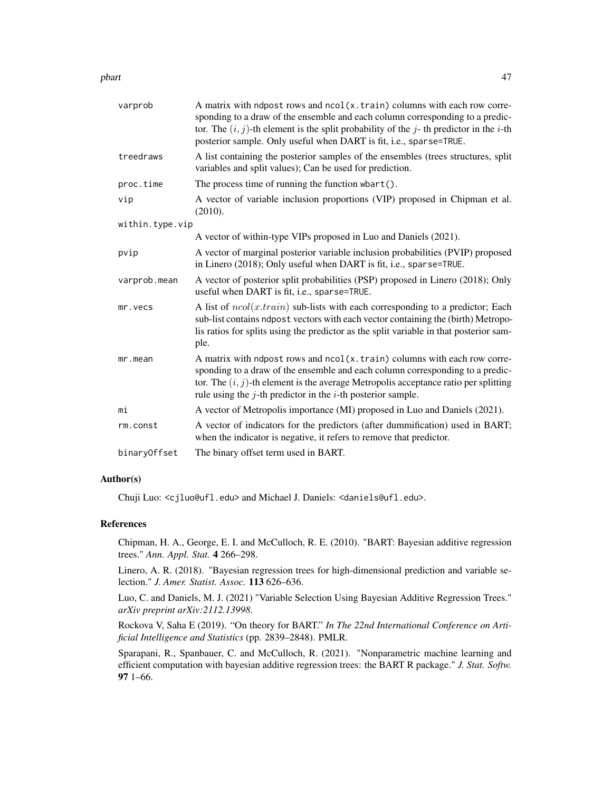pbart the contract of the contract of the contract of the contract of the contract of the contract of the contract of the contract of the contract of the contract of the contract of the contract of the contract of the cont

| varprob         | A matrix with ndpost rows and ncol(x.train) columns with each row corre-<br>sponding to a draw of the ensemble and each column corresponding to a predic-<br>tor. The $(i, j)$ -th element is the split probability of the j-th predictor in the i-th<br>posterior sample. Only useful when DART is fit, i.e., sparse=TRUE. |
|-----------------|-----------------------------------------------------------------------------------------------------------------------------------------------------------------------------------------------------------------------------------------------------------------------------------------------------------------------------|
| treedraws       | A list containing the posterior samples of the ensembles (trees structures, split<br>variables and split values); Can be used for prediction.                                                                                                                                                                               |
| proc.time       | The process time of running the function $\mathsf{wbart}()$ .                                                                                                                                                                                                                                                               |
| vip             | A vector of variable inclusion proportions (VIP) proposed in Chipman et al.<br>(2010).                                                                                                                                                                                                                                      |
| within.type.vip |                                                                                                                                                                                                                                                                                                                             |
|                 | A vector of within-type VIPs proposed in Luo and Daniels (2021).                                                                                                                                                                                                                                                            |
| pvip            | A vector of marginal posterior variable inclusion probabilities (PVIP) proposed<br>in Linero (2018); Only useful when DART is fit, i.e., sparse=TRUE.                                                                                                                                                                       |
| varprob.mean    | A vector of posterior split probabilities (PSP) proposed in Linero (2018); Only<br>useful when DART is fit, i.e., sparse=TRUE.                                                                                                                                                                                              |
| mr.vecs         | A list of $ncol(x, train)$ sub-lists with each corresponding to a predictor; Each<br>sub-list contains ndpost vectors with each vector containing the (birth) Metropo-<br>lis ratios for splits using the predictor as the split variable in that posterior sam-<br>ple.                                                    |
| mr.mean         | A matrix with ndpost rows and ncol(x.train) columns with each row corre-<br>sponding to a draw of the ensemble and each column corresponding to a predic-<br>tor. The $(i, j)$ -th element is the average Metropolis acceptance ratio per splitting<br>rule using the $j$ -th predictor in the $i$ -th posterior sample.    |
| mi              | A vector of Metropolis importance (MI) proposed in Luo and Daniels (2021).                                                                                                                                                                                                                                                  |
| rm.const        | A vector of indicators for the predictors (after dummification) used in BART;<br>when the indicator is negative, it refers to remove that predictor.                                                                                                                                                                        |
| binaryOffset    | The binary offset term used in BART.                                                                                                                                                                                                                                                                                        |

# Author(s)

Chuji Luo: <cjluo@ufl.edu> and Michael J. Daniels: <daniels@ufl.edu>.

#### References

Chipman, H. A., George, E. I. and McCulloch, R. E. (2010). "BART: Bayesian additive regression trees." *Ann. Appl. Stat.* 4 266–298.

Linero, A. R. (2018). "Bayesian regression trees for high-dimensional prediction and variable selection." *J. Amer. Statist. Assoc.* 113 626–636.

Luo, C. and Daniels, M. J. (2021) "Variable Selection Using Bayesian Additive Regression Trees." *arXiv preprint arXiv:2112.13998*.

Rockova V, Saha E (2019). "On theory for BART." *In The 22nd International Conference on Artificial Intelligence and Statistics* (pp. 2839–2848). PMLR.

Sparapani, R., Spanbauer, C. and McCulloch, R. (2021). "Nonparametric machine learning and efficient computation with bayesian additive regression trees: the BART R package." *J. Stat. Softw.* 97 1–66.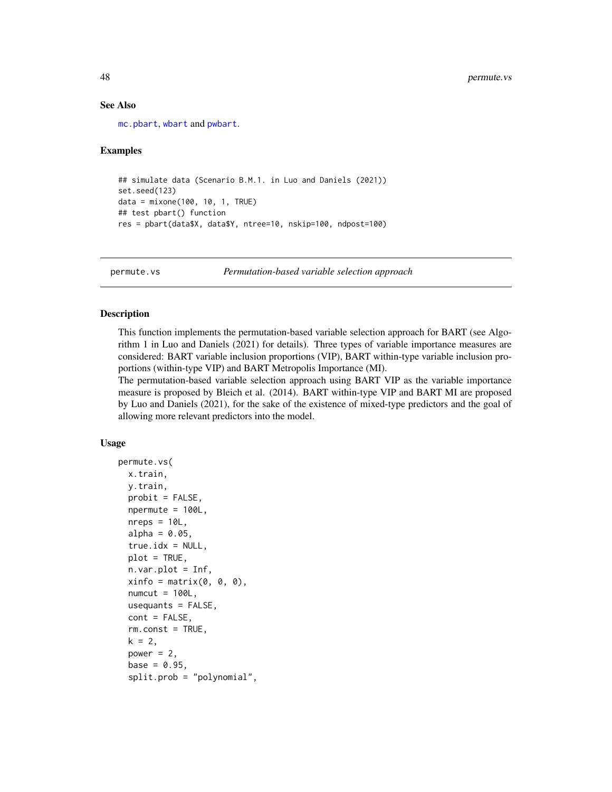#### See Also

[mc.pbart](#page-19-1), [wbart](#page-56-1) and [pwbart](#page-55-1).

#### Examples

```
## simulate data (Scenario B.M.1. in Luo and Daniels (2021))
set.seed(123)
data = mixone(100, 10, 1, TRUE)
## test pbart() function
res = pbart(data$X, data$Y, ntree=10, nskip=100, ndpost=100)
```
<span id="page-47-1"></span>permute.vs *Permutation-based variable selection approach*

#### Description

This function implements the permutation-based variable selection approach for BART (see Algorithm 1 in Luo and Daniels (2021) for details). Three types of variable importance measures are considered: BART variable inclusion proportions (VIP), BART within-type variable inclusion proportions (within-type VIP) and BART Metropolis Importance (MI).

The permutation-based variable selection approach using BART VIP as the variable importance measure is proposed by Bleich et al. (2014). BART within-type VIP and BART MI are proposed by Luo and Daniels (2021), for the sake of the existence of mixed-type predictors and the goal of allowing more relevant predictors into the model.

#### Usage

```
permute.vs(
  x.train,
  y.train,
  probit = FALSE,npermute = 100L,
  nreps = 10L,
  alpha = 0.05,
  true.idx = NULL,plot = TRUE,
  n.var.plot = Inf,xinfo = matrix(0, 0, 0),numcut = 100L,usequants = FALSE,
  cont = FALSE,
  rm.const = TRUE,
  k = 2,
  power = 2,
  base = 0.95,
  split.prob = "polynomial",
```
<span id="page-47-0"></span>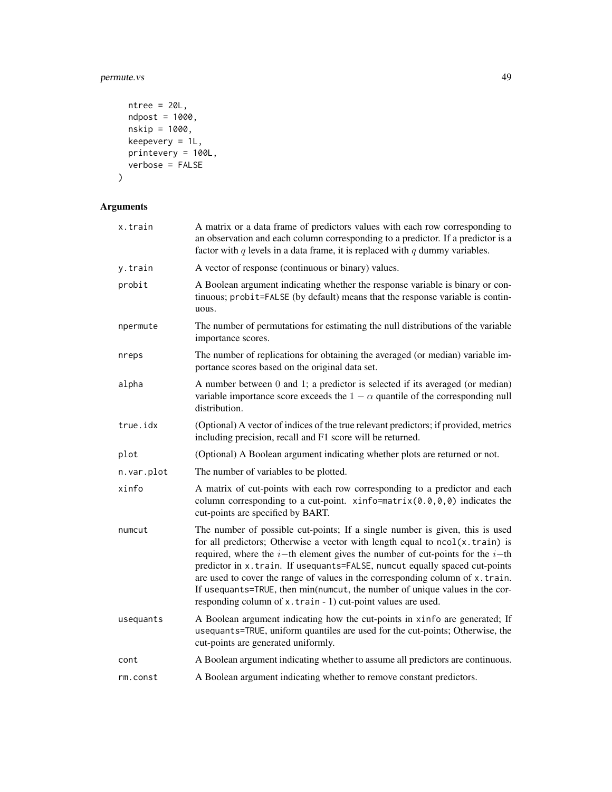# permute.vs 49

```
ntree = 20L,ndpost = 1000,nskip = 1000,keepevery = 1L,
 printevery = 100L,
 verbose = FALSE
\mathcal{L}
```

| x.train    | A matrix or a data frame of predictors values with each row corresponding to<br>an observation and each column corresponding to a predictor. If a predictor is a<br>factor with $q$ levels in a data frame, it is replaced with $q$ dummy variables.                                                                                                                                                                                                                                                                                                             |
|------------|------------------------------------------------------------------------------------------------------------------------------------------------------------------------------------------------------------------------------------------------------------------------------------------------------------------------------------------------------------------------------------------------------------------------------------------------------------------------------------------------------------------------------------------------------------------|
| y.train    | A vector of response (continuous or binary) values.                                                                                                                                                                                                                                                                                                                                                                                                                                                                                                              |
| probit     | A Boolean argument indicating whether the response variable is binary or con-<br>tinuous; probit=FALSE (by default) means that the response variable is contin-<br>uous.                                                                                                                                                                                                                                                                                                                                                                                         |
| npermute   | The number of permutations for estimating the null distributions of the variable<br>importance scores.                                                                                                                                                                                                                                                                                                                                                                                                                                                           |
| nreps      | The number of replications for obtaining the averaged (or median) variable im-<br>portance scores based on the original data set.                                                                                                                                                                                                                                                                                                                                                                                                                                |
| alpha      | A number between 0 and 1; a predictor is selected if its averaged (or median)<br>variable importance score exceeds the $1 - \alpha$ quantile of the corresponding null<br>distribution.                                                                                                                                                                                                                                                                                                                                                                          |
| true.idx   | (Optional) A vector of indices of the true relevant predictors; if provided, metrics<br>including precision, recall and F1 score will be returned.                                                                                                                                                                                                                                                                                                                                                                                                               |
| plot       | (Optional) A Boolean argument indicating whether plots are returned or not.                                                                                                                                                                                                                                                                                                                                                                                                                                                                                      |
| n.var.plot | The number of variables to be plotted.                                                                                                                                                                                                                                                                                                                                                                                                                                                                                                                           |
| xinfo      | A matrix of cut-points with each row corresponding to a predictor and each<br>column corresponding to a cut-point. $xinfo=matrix(0.0,0,0)$ indicates the<br>cut-points are specified by BART.                                                                                                                                                                                                                                                                                                                                                                    |
| numcut     | The number of possible cut-points; If a single number is given, this is used<br>for all predictors; Otherwise a vector with length equal to ncol(x.train) is<br>required, where the $i$ -th element gives the number of cut-points for the $i$ -th<br>predictor in x.train. If usequants=FALSE, numcut equally spaced cut-points<br>are used to cover the range of values in the corresponding column of x.train.<br>If usequants=TRUE, then min(numcut, the number of unique values in the cor-<br>responding column of x.train - 1) cut-point values are used. |
| usequants  | A Boolean argument indicating how the cut-points in xinfo are generated; If<br>usequants=TRUE, uniform quantiles are used for the cut-points; Otherwise, the<br>cut-points are generated uniformly.                                                                                                                                                                                                                                                                                                                                                              |
| cont       | A Boolean argument indicating whether to assume all predictors are continuous.                                                                                                                                                                                                                                                                                                                                                                                                                                                                                   |
| rm.const   | A Boolean argument indicating whether to remove constant predictors.                                                                                                                                                                                                                                                                                                                                                                                                                                                                                             |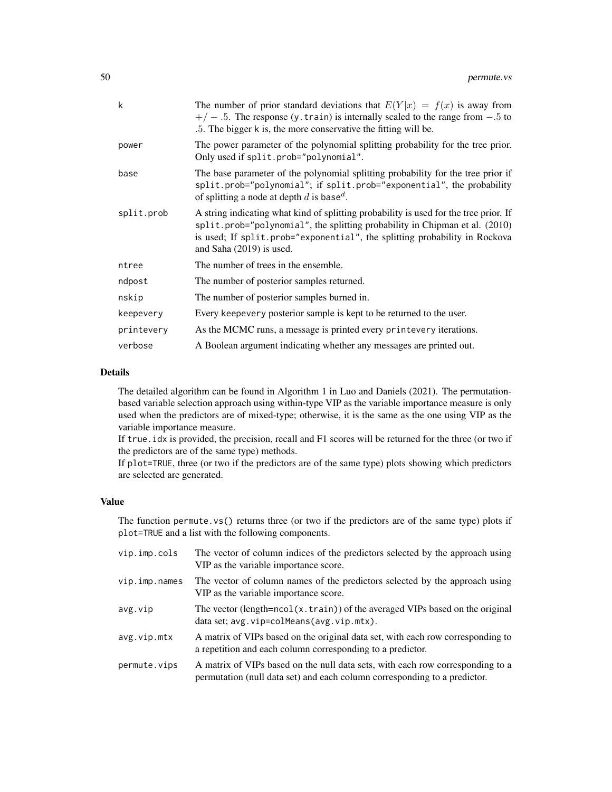| k          | The number of prior standard deviations that $E(Y x) = f(x)$ is away from<br>$+/-$ .5. The response (y. train) is internally scaled to the range from $-.5$ to<br>.5. The bigger k is, the more conservative the fitting will be.                                                |
|------------|----------------------------------------------------------------------------------------------------------------------------------------------------------------------------------------------------------------------------------------------------------------------------------|
| power      | The power parameter of the polynomial splitting probability for the tree prior.<br>Only used if split.prob="polynomial".                                                                                                                                                         |
| base       | The base parameter of the polynomial splitting probability for the tree prior if<br>split.prob="polynomial"; if split.prob="exponential", the probability<br>of splitting a node at depth d is base <sup>d</sup> .                                                               |
| split.prob | A string indicating what kind of splitting probability is used for the tree prior. If<br>split.prob="polynomial", the splitting probability in Chipman et al. (2010)<br>is used; If split.prob="exponential", the splitting probability in Rockova<br>and Saha $(2019)$ is used. |
| ntree      | The number of trees in the ensemble.                                                                                                                                                                                                                                             |
| ndpost     | The number of posterior samples returned.                                                                                                                                                                                                                                        |
| nskip      | The number of posterior samples burned in.                                                                                                                                                                                                                                       |
| keepevery  | Every keepevery posterior sample is kept to be returned to the user.                                                                                                                                                                                                             |
| printevery | As the MCMC runs, a message is printed every printevery iterations.                                                                                                                                                                                                              |
| verbose    | A Boolean argument indicating whether any messages are printed out.                                                                                                                                                                                                              |

#### Details

The detailed algorithm can be found in Algorithm 1 in Luo and Daniels (2021). The permutationbased variable selection approach using within-type VIP as the variable importance measure is only used when the predictors are of mixed-type; otherwise, it is the same as the one using VIP as the variable importance measure.

If true.idx is provided, the precision, recall and F1 scores will be returned for the three (or two if the predictors are of the same type) methods.

If plot=TRUE, three (or two if the predictors are of the same type) plots showing which predictors are selected are generated.

#### Value

The function permute.vs() returns three (or two if the predictors are of the same type) plots if plot=TRUE and a list with the following components.

| vip.imp.cols  | The vector of column indices of the predictors selected by the approach using<br>VIP as the variable importance score.                                      |
|---------------|-------------------------------------------------------------------------------------------------------------------------------------------------------------|
| vip.imp.names | The vector of column names of the predictors selected by the approach using<br>VIP as the variable importance score.                                        |
| avg.vip       | The vector (length= $ncol(x.train)$ ) of the averaged VIPs based on the original<br>data set; avg. vip=colMeans(avg. vip.mtx).                              |
| avg.vip.mtx   | A matrix of VIPs based on the original data set, with each row corresponding to<br>a repetition and each column corresponding to a predictor.               |
| permute.vips  | A matrix of VIPs based on the null data sets, with each row corresponding to a<br>permutation (null data set) and each column corresponding to a predictor. |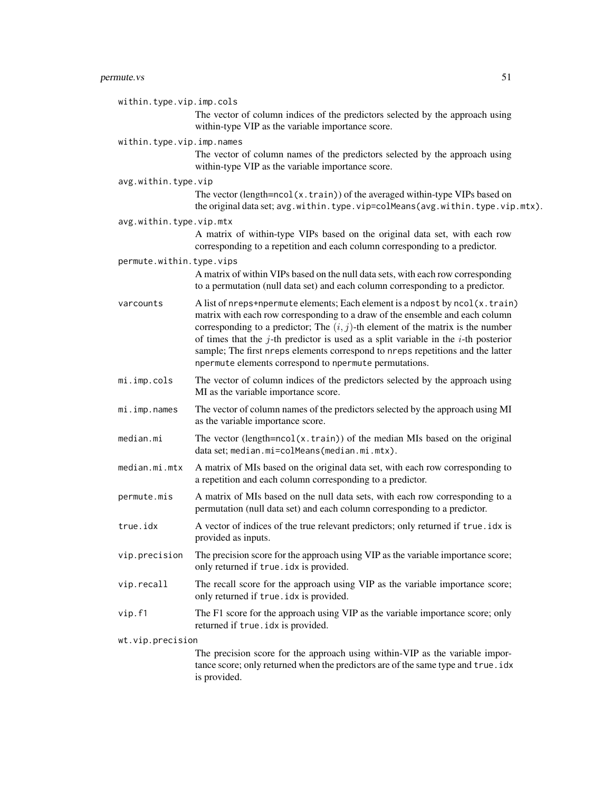| within.type.vip.imp.cols  | The vector of column indices of the predictors selected by the approach using                                                                                                                                                                                                                                                                                                                                                                                                               |  |
|---------------------------|---------------------------------------------------------------------------------------------------------------------------------------------------------------------------------------------------------------------------------------------------------------------------------------------------------------------------------------------------------------------------------------------------------------------------------------------------------------------------------------------|--|
|                           | within-type VIP as the variable importance score.                                                                                                                                                                                                                                                                                                                                                                                                                                           |  |
| within.type.vip.imp.names |                                                                                                                                                                                                                                                                                                                                                                                                                                                                                             |  |
|                           | The vector of column names of the predictors selected by the approach using<br>within-type VIP as the variable importance score.                                                                                                                                                                                                                                                                                                                                                            |  |
| avg.within.type.vip       |                                                                                                                                                                                                                                                                                                                                                                                                                                                                                             |  |
|                           | The vector (length= $ncol(x.train)$ ) of the averaged within-type VIPs based on<br>the original data set; avg.within.type.vip=colMeans(avg.within.type.vip.mtx).                                                                                                                                                                                                                                                                                                                            |  |
| avg.within.type.vip.mtx   |                                                                                                                                                                                                                                                                                                                                                                                                                                                                                             |  |
|                           | A matrix of within-type VIPs based on the original data set, with each row<br>corresponding to a repetition and each column corresponding to a predictor.                                                                                                                                                                                                                                                                                                                                   |  |
| permute.within.type.vips  |                                                                                                                                                                                                                                                                                                                                                                                                                                                                                             |  |
|                           | A matrix of within VIPs based on the null data sets, with each row corresponding<br>to a permutation (null data set) and each column corresponding to a predictor.                                                                                                                                                                                                                                                                                                                          |  |
| varcounts                 | A list of nreps+npermute elements; Each element is a ndpost by ncol(x.train)<br>matrix with each row corresponding to a draw of the ensemble and each column<br>corresponding to a predictor; The $(i, j)$ -th element of the matrix is the number<br>of times that the $j$ -th predictor is used as a split variable in the $i$ -th posterior<br>sample; The first nreps elements correspond to nreps repetitions and the latter<br>npermute elements correspond to npermute permutations. |  |
| mi.imp.cols               | The vector of column indices of the predictors selected by the approach using<br>MI as the variable importance score.                                                                                                                                                                                                                                                                                                                                                                       |  |
| mi.imp.names              | The vector of column names of the predictors selected by the approach using MI<br>as the variable importance score.                                                                                                                                                                                                                                                                                                                                                                         |  |
| median.mi                 | The vector (length= $ncol(x.train)$ ) of the median MIs based on the original<br>data set; median.mi=colMeans(median.mi.mtx).                                                                                                                                                                                                                                                                                                                                                               |  |
| median.mi.mtx             | A matrix of MIs based on the original data set, with each row corresponding to<br>a repetition and each column corresponding to a predictor.                                                                                                                                                                                                                                                                                                                                                |  |
| permute.mis               | A matrix of MIs based on the null data sets, with each row corresponding to a<br>permutation (null data set) and each column corresponding to a predictor.                                                                                                                                                                                                                                                                                                                                  |  |
| true.idx                  | A vector of indices of the true relevant predictors; only returned if true. idx is<br>provided as inputs.                                                                                                                                                                                                                                                                                                                                                                                   |  |
| vip.precision             | The precision score for the approach using VIP as the variable importance score;<br>only returned if true. idx is provided.                                                                                                                                                                                                                                                                                                                                                                 |  |
| vip.recall                | The recall score for the approach using VIP as the variable importance score;<br>only returned if true. idx is provided.                                                                                                                                                                                                                                                                                                                                                                    |  |
| vip.f1                    | The F1 score for the approach using VIP as the variable importance score; only<br>returned if true. idx is provided.                                                                                                                                                                                                                                                                                                                                                                        |  |
| wt.vip.precision          |                                                                                                                                                                                                                                                                                                                                                                                                                                                                                             |  |
|                           | The precision score for the approach using within-VIP as the variable impor-<br>tance score; only returned when the predictors are of the same type and true. idx<br>is provided.                                                                                                                                                                                                                                                                                                           |  |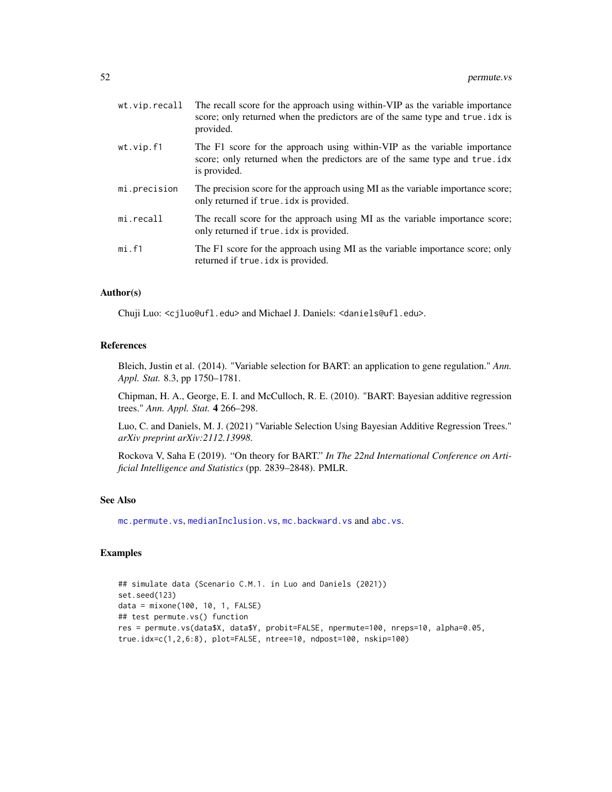<span id="page-51-0"></span>

| wt.vip.recall | The recall score for the approach using within-VIP as the variable importance<br>score; only returned when the predictors are of the same type and true. idx is<br>provided. |
|---------------|------------------------------------------------------------------------------------------------------------------------------------------------------------------------------|
| wt.vip.f1     | The F1 score for the approach using within-VIP as the variable importance<br>score; only returned when the predictors are of the same type and true.idx<br>is provided.      |
| mi.precision  | The precision score for the approach using MI as the variable importance score;<br>only returned if true. idx is provided.                                                   |
| mi.recall     | The recall score for the approach using MI as the variable importance score;<br>only returned if true. idx is provided.                                                      |
| mi.f1         | The F1 score for the approach using MI as the variable importance score; only<br>returned if true. idx is provided.                                                          |

#### Author(s)

Chuji Luo: <cjluo@ufl.edu> and Michael J. Daniels: <daniels@ufl.edu>.

#### References

Bleich, Justin et al. (2014). "Variable selection for BART: an application to gene regulation." *Ann. Appl. Stat.* 8.3, pp 1750–1781.

Chipman, H. A., George, E. I. and McCulloch, R. E. (2010). "BART: Bayesian additive regression trees." *Ann. Appl. Stat.* 4 266–298.

Luo, C. and Daniels, M. J. (2021) "Variable Selection Using Bayesian Additive Regression Trees." *arXiv preprint arXiv:2112.13998*.

Rockova V, Saha E (2019). "On theory for BART." *In The 22nd International Conference on Artificial Intelligence and Statistics* (pp. 2839–2848). PMLR.

#### See Also

[mc.permute.vs](#page-24-1), [medianInclusion.vs](#page-36-1), [mc.backward.vs](#page-15-1) and [abc.vs](#page-2-1).

#### Examples

```
## simulate data (Scenario C.M.1. in Luo and Daniels (2021))
set.seed(123)
data = mixone(100, 10, 1, FALSE)
## test permute.vs() function
res = permute.vs(data$X, data$Y, probit=FALSE, npermute=100, nreps=10, alpha=0.05,
true.idx=c(1,2,6:8), plot=FALSE, ntree=10, ndpost=100, nskip=100)
```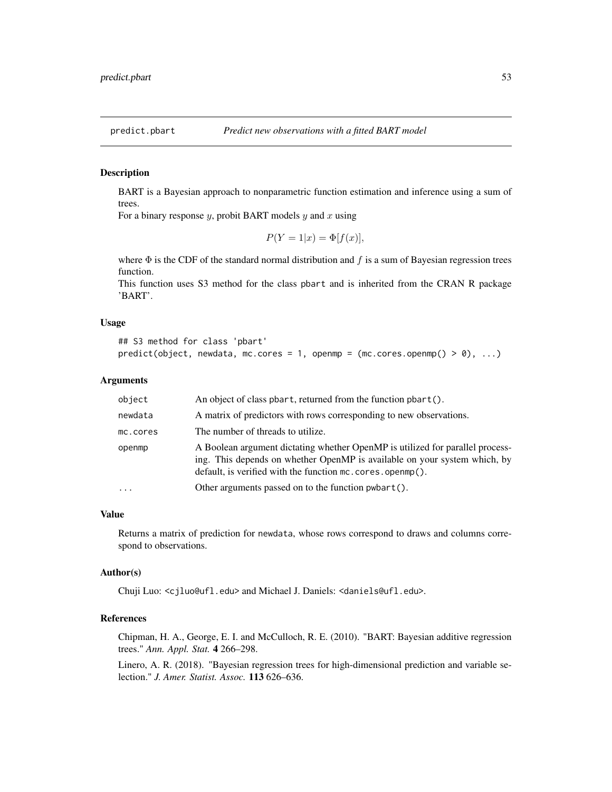<span id="page-52-0"></span>

#### Description

BART is a Bayesian approach to nonparametric function estimation and inference using a sum of trees.

For a binary response  $y$ , probit BART models  $y$  and  $x$  using

$$
P(Y=1|x) = \Phi[f(x)],
$$

where  $\Phi$  is the CDF of the standard normal distribution and f is a sum of Bayesian regression trees function.

This function uses S3 method for the class pbart and is inherited from the CRAN R package 'BART'.

#### Usage

```
## S3 method for class 'pbart'
predict(object, newdata, mc.core = 1, openmp = (mc.cores.openmp() > 0), ...)
```
# Arguments

| object   | An object of class pbart, returned from the function pbart().                                                                                                                                                             |
|----------|---------------------------------------------------------------------------------------------------------------------------------------------------------------------------------------------------------------------------|
| newdata  | A matrix of predictors with rows corresponding to new observations.                                                                                                                                                       |
| mc.cores | The number of threads to utilize.                                                                                                                                                                                         |
| openmp   | A Boolean argument dictating whether OpenMP is utilized for parallel process-<br>ing. This depends on whether OpenMP is available on your system which, by<br>default, is verified with the function mc. cores. openmp(). |
| $\cdot$  | Other arguments passed on to the function pwbart().                                                                                                                                                                       |

#### Value

Returns a matrix of prediction for newdata, whose rows correspond to draws and columns correspond to observations.

#### Author(s)

Chuji Luo: <cjluo@ufl.edu> and Michael J. Daniels: <daniels@ufl.edu>.

# References

Chipman, H. A., George, E. I. and McCulloch, R. E. (2010). "BART: Bayesian additive regression trees." *Ann. Appl. Stat.* 4 266–298.

Linero, A. R. (2018). "Bayesian regression trees for high-dimensional prediction and variable selection." *J. Amer. Statist. Assoc.* 113 626–636.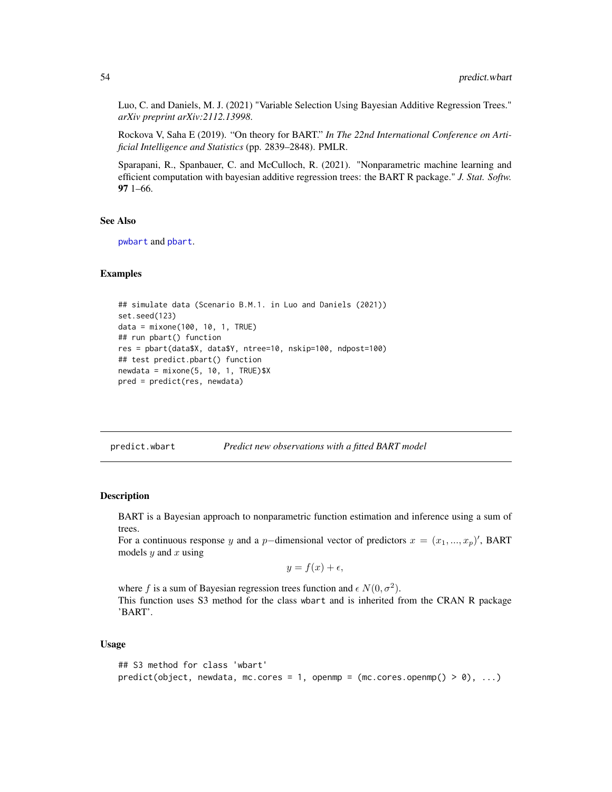<span id="page-53-0"></span>Luo, C. and Daniels, M. J. (2021) "Variable Selection Using Bayesian Additive Regression Trees." *arXiv preprint arXiv:2112.13998*.

Rockova V, Saha E (2019). "On theory for BART." *In The 22nd International Conference on Artificial Intelligence and Statistics* (pp. 2839–2848). PMLR.

Sparapani, R., Spanbauer, C. and McCulloch, R. (2021). "Nonparametric machine learning and efficient computation with bayesian additive regression trees: the BART R package." *J. Stat. Softw.* 97 1–66.

#### See Also

[pwbart](#page-55-1) and [pbart](#page-42-1).

#### Examples

```
## simulate data (Scenario B.M.1. in Luo and Daniels (2021))
set.seed(123)
data = mixone(100, 10, 1, TRUE)
## run pbart() function
res = pbart(data$X, data$Y, ntree=10, nskip=100, ndpost=100)
## test predict.pbart() function
newdata = mixone(5, 10, 1, TRUE)$X
pred = predict(res, newdata)
```
predict.wbart *Predict new observations with a fitted BART model*

#### Description

BART is a Bayesian approach to nonparametric function estimation and inference using a sum of trees.

For a continuous response y and a p-dimensional vector of predictors  $x = (x_1, ..., x_p)'$ , BART models  $y$  and  $x$  using

$$
y = f(x) + \epsilon,
$$

where f is a sum of Bayesian regression trees function and  $\epsilon N(0, \sigma^2)$ . This function uses S3 method for the class wbart and is inherited from the CRAN R package 'BART'.

#### Usage

```
## S3 method for class 'wbart'
predict(object, new data, m.c. cores = 1, openmp = (mc. cores.openmp() > 0), ...)
```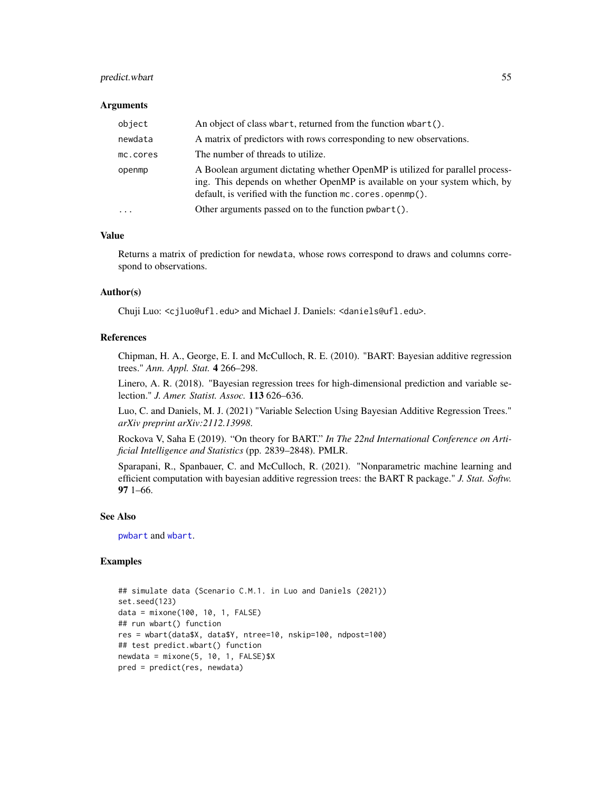# <span id="page-54-0"></span>predict.wbart 55

#### **Arguments**

| object    | An object of class when the function when the function when to ().                                                                                                                                                        |
|-----------|---------------------------------------------------------------------------------------------------------------------------------------------------------------------------------------------------------------------------|
| newdata   | A matrix of predictors with rows corresponding to new observations.                                                                                                                                                       |
| mc.cores  | The number of threads to utilize.                                                                                                                                                                                         |
| openmp    | A Boolean argument dictating whether OpenMP is utilized for parallel process-<br>ing. This depends on whether OpenMP is available on your system which, by<br>default, is verified with the function mc. cores. openmp(). |
| $\ddotsc$ | Other arguments passed on to the function pwbart().                                                                                                                                                                       |

#### Value

Returns a matrix of prediction for newdata, whose rows correspond to draws and columns correspond to observations.

#### Author(s)

Chuji Luo: <cjluo@ufl.edu> and Michael J. Daniels: <daniels@ufl.edu>.

#### References

Chipman, H. A., George, E. I. and McCulloch, R. E. (2010). "BART: Bayesian additive regression trees." *Ann. Appl. Stat.* 4 266–298.

Linero, A. R. (2018). "Bayesian regression trees for high-dimensional prediction and variable selection." *J. Amer. Statist. Assoc.* 113 626–636.

Luo, C. and Daniels, M. J. (2021) "Variable Selection Using Bayesian Additive Regression Trees." *arXiv preprint arXiv:2112.13998*.

Rockova V, Saha E (2019). "On theory for BART." *In The 22nd International Conference on Artificial Intelligence and Statistics* (pp. 2839–2848). PMLR.

Sparapani, R., Spanbauer, C. and McCulloch, R. (2021). "Nonparametric machine learning and efficient computation with bayesian additive regression trees: the BART R package." *J. Stat. Softw.* 97 1–66.

#### See Also

[pwbart](#page-55-1) and [wbart](#page-56-1).

#### Examples

```
## simulate data (Scenario C.M.1. in Luo and Daniels (2021))
set.seed(123)
data = mixone(100, 10, 1, FALSE)
## run wbart() function
res = wbart(data$X, data$Y, ntree=10, nskip=100, ndpost=100)
## test predict.wbart() function
newdata = mixone(5, 10, 1, FALSE)$X
pred = predict(res, newdata)
```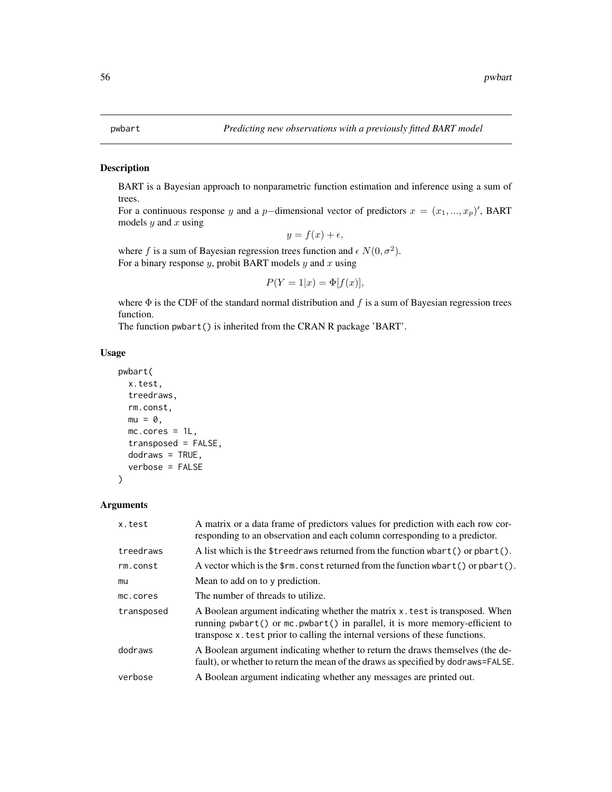#### <span id="page-55-1"></span><span id="page-55-0"></span>Description

BART is a Bayesian approach to nonparametric function estimation and inference using a sum of trees.

For a continuous response y and a p-dimensional vector of predictors  $x = (x_1, ..., x_p)'$ , BART models  $y$  and  $x$  using

$$
y = f(x) + \epsilon,
$$

where f is a sum of Bayesian regression trees function and  $\epsilon N(0, \sigma^2)$ . For a binary response  $y$ , probit BART models  $y$  and  $x$  using

$$
P(Y=1|x) = \Phi[f(x)],
$$

where  $\Phi$  is the CDF of the standard normal distribution and f is a sum of Bayesian regression trees function.

The function pwbart() is inherited from the CRAN R package 'BART'.

#### Usage

```
pwbart(
  x.test,
  treedraws,
  rm.const,
  mu = 0,
  mc.cores = 1L,
  transposed = FALSE,
  dodraws = TRUE,
  verbose = FALSE
\mathcal{L}
```

| x.test     | A matrix or a data frame of predictors values for prediction with each row cor-<br>responding to an observation and each column corresponding to a predictor.                                                                              |
|------------|--------------------------------------------------------------------------------------------------------------------------------------------------------------------------------------------------------------------------------------------|
| treedraws  | A list which is the \$treedraws returned from the function whart () or phart $()$ .                                                                                                                                                        |
| rm.const   | A vector which is the $\frac{1}{2}$ m. const returned from the function wbart() or pbart().                                                                                                                                                |
| mu         | Mean to add on to y prediction.                                                                                                                                                                                                            |
| mc.cores   | The number of threads to utilize.                                                                                                                                                                                                          |
| transposed | A Boolean argument indicating whether the matrix x, test is transposed. When<br>running pwbart() or mc.pwbart() in parallel, it is more memory-efficient to<br>transpose x test prior to calling the internal versions of these functions. |
| dodraws    | A Boolean argument indicating whether to return the draws themselves (the de-<br>fault), or whether to return the mean of the draws as specified by dodraws=FALSE.                                                                         |
| verbose    | A Boolean argument indicating whether any messages are printed out.                                                                                                                                                                        |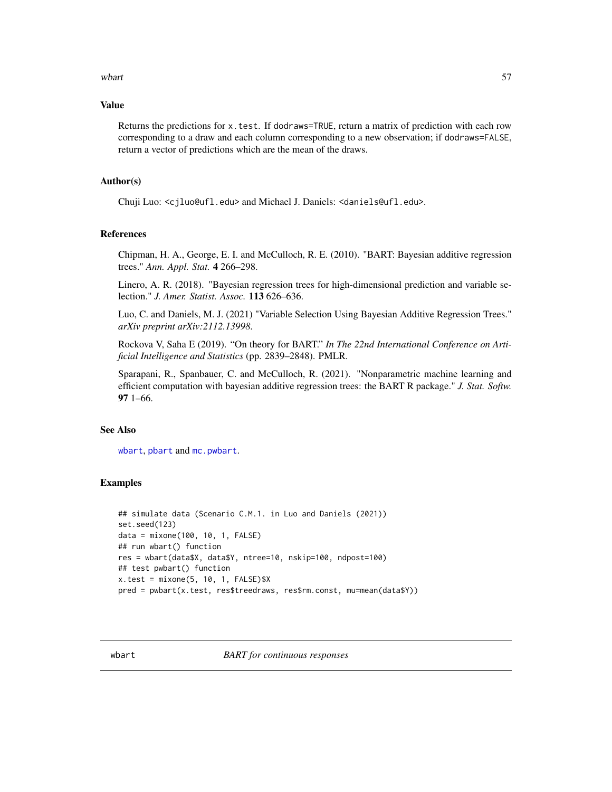#### <span id="page-56-0"></span>where  $57$

#### Value

Returns the predictions for x.test. If dodraws=TRUE, return a matrix of prediction with each row corresponding to a draw and each column corresponding to a new observation; if dodraws=FALSE, return a vector of predictions which are the mean of the draws.

#### Author(s)

Chuji Luo: <cjluo@ufl.edu> and Michael J. Daniels: <daniels@ufl.edu>.

#### **References**

Chipman, H. A., George, E. I. and McCulloch, R. E. (2010). "BART: Bayesian additive regression trees." *Ann. Appl. Stat.* 4 266–298.

Linero, A. R. (2018). "Bayesian regression trees for high-dimensional prediction and variable selection." *J. Amer. Statist. Assoc.* 113 626–636.

Luo, C. and Daniels, M. J. (2021) "Variable Selection Using Bayesian Additive Regression Trees." *arXiv preprint arXiv:2112.13998*.

Rockova V, Saha E (2019). "On theory for BART." *In The 22nd International Conference on Artificial Intelligence and Statistics* (pp. 2839–2848). PMLR.

Sparapani, R., Spanbauer, C. and McCulloch, R. (2021). "Nonparametric machine learning and efficient computation with bayesian additive regression trees: the BART R package." *J. Stat. Softw.* 97 1–66.

#### See Also

[wbart](#page-56-1), [pbart](#page-42-1) and [mc.pwbart](#page-29-1).

#### Examples

```
## simulate data (Scenario C.M.1. in Luo and Daniels (2021))
set.seed(123)
data = mixone(100, 10, 1, FALSE)
## run wbart() function
res = wbart(data$X, data$Y, ntree=10, nskip=100, ndpost=100)
## test pwbart() function
x.test = mixone(5, 10, 1, FALSE)$X
pred = pwbart(x.test, res$treedraws, res$rm.const, mu=mean(data$Y))
```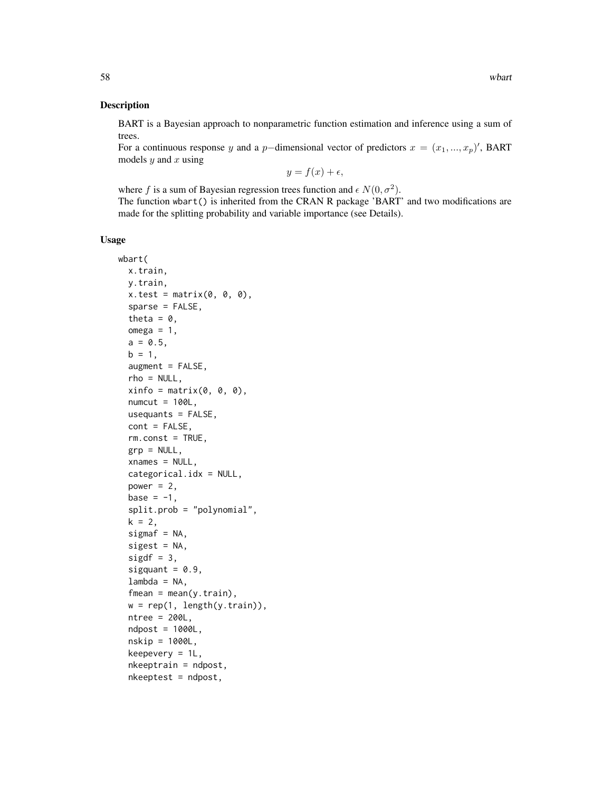#### Description

BART is a Bayesian approach to nonparametric function estimation and inference using a sum of trees.

For a continuous response y and a p-dimensional vector of predictors  $x = (x_1, ..., x_p)'$ , BART models  $y$  and  $x$  using

$$
y = f(x) + \epsilon,
$$

where f is a sum of Bayesian regression trees function and  $\epsilon N(0, \sigma^2)$ . The function wbart() is inherited from the CRAN R package 'BART' and two modifications are made for the splitting probability and variable importance (see Details).

#### Usage

```
wbart(
 x.train,
 y.train,
  x.test = matrix(0, 0, 0),sparse = FALSE,
  theta = \theta,
  omega = 1,
  a = 0.5,
  b = 1,augment = FALSE,rho = NULL,
  xinfo = matrix(0, 0, 0),numcut = 100L,
  usequants = FALSE,
  cont = FALSE,
  rm.const = TRUE,
  grp = NULL,xnames = NULL,
  categorical.idx = NULL,
  power = 2,
  base = -1,
  split.prob = "polynomial",
  k = 2,signaf = NA,
  sigest = NA,
  sigdf = 3,
  sigquant = 0.9,
  lambda = NA,
  fmean = mean(y.train),
  w = rep(1, length(y.train)),ntree = 200L,
  ndpost = 1000L,
  nskip = 1000L,
  keepevery = 1L,
  nkeeptrain = ndpost,
  nkeeptest = ndpost,
```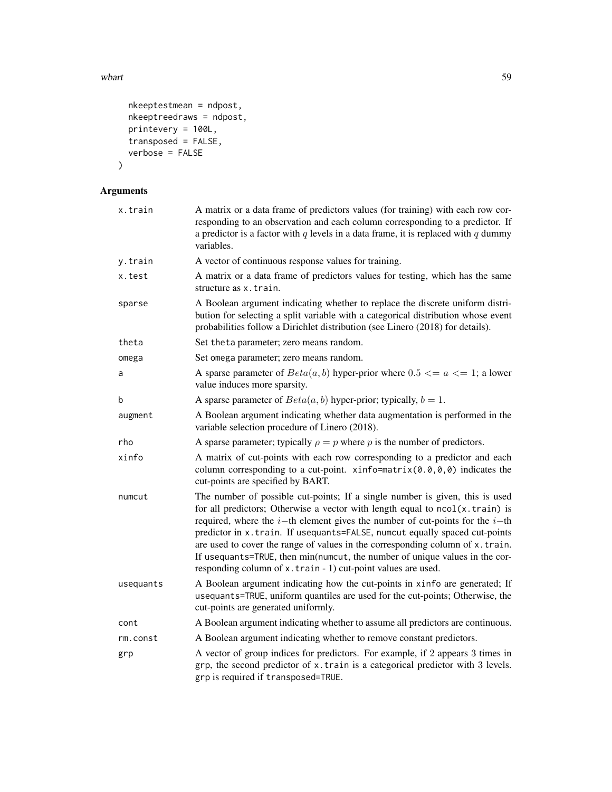where  $59$ 

```
nkeeptestmean = ndpost,
 nkeeptreedraws = ndpost,
 printevery = 100L,
 transposed = FALSE,
 verbose = FALSE
\mathcal{L}
```

| x.train   | A matrix or a data frame of predictors values (for training) with each row cor-<br>responding to an observation and each column corresponding to a predictor. If<br>a predictor is a factor with $q$ levels in a data frame, it is replaced with $q$ dummy<br>variables.                                                                                                                                                                                                                                                                                         |
|-----------|------------------------------------------------------------------------------------------------------------------------------------------------------------------------------------------------------------------------------------------------------------------------------------------------------------------------------------------------------------------------------------------------------------------------------------------------------------------------------------------------------------------------------------------------------------------|
| y.train   | A vector of continuous response values for training.                                                                                                                                                                                                                                                                                                                                                                                                                                                                                                             |
| x.test    | A matrix or a data frame of predictors values for testing, which has the same<br>structure as x.train.                                                                                                                                                                                                                                                                                                                                                                                                                                                           |
| sparse    | A Boolean argument indicating whether to replace the discrete uniform distri-<br>bution for selecting a split variable with a categorical distribution whose event<br>probabilities follow a Dirichlet distribution (see Linero (2018) for details).                                                                                                                                                                                                                                                                                                             |
| theta     | Set theta parameter; zero means random.                                                                                                                                                                                                                                                                                                                                                                                                                                                                                                                          |
| omega     | Set omega parameter; zero means random.                                                                                                                                                                                                                                                                                                                                                                                                                                                                                                                          |
| a         | A sparse parameter of $Beta(a, b)$ hyper-prior where $0.5 \le a \le 1$ ; a lower<br>value induces more sparsity.                                                                                                                                                                                                                                                                                                                                                                                                                                                 |
| b         | A sparse parameter of $Beta(a, b)$ hyper-prior; typically, $b = 1$ .                                                                                                                                                                                                                                                                                                                                                                                                                                                                                             |
| augment   | A Boolean argument indicating whether data augmentation is performed in the<br>variable selection procedure of Linero (2018).                                                                                                                                                                                                                                                                                                                                                                                                                                    |
| rho       | A sparse parameter; typically $\rho = p$ where p is the number of predictors.                                                                                                                                                                                                                                                                                                                                                                                                                                                                                    |
| xinfo     | A matrix of cut-points with each row corresponding to a predictor and each<br>column corresponding to a cut-point. $\xi$ info=matrix(0.0,0,0) indicates the<br>cut-points are specified by BART.                                                                                                                                                                                                                                                                                                                                                                 |
| numcut    | The number of possible cut-points; If a single number is given, this is used<br>for all predictors; Otherwise a vector with length equal to ncol(x.train) is<br>required, where the $i$ -th element gives the number of cut-points for the $i$ -th<br>predictor in x.train. If usequants=FALSE, numcut equally spaced cut-points<br>are used to cover the range of values in the corresponding column of x.train.<br>If usequants=TRUE, then min(numcut, the number of unique values in the cor-<br>responding column of x.train - 1) cut-point values are used. |
| usequants | A Boolean argument indicating how the cut-points in xinfo are generated; If<br>usequants=TRUE, uniform quantiles are used for the cut-points; Otherwise, the<br>cut-points are generated uniformly.                                                                                                                                                                                                                                                                                                                                                              |
| cont      | A Boolean argument indicating whether to assume all predictors are continuous.                                                                                                                                                                                                                                                                                                                                                                                                                                                                                   |
| rm.const  | A Boolean argument indicating whether to remove constant predictors.                                                                                                                                                                                                                                                                                                                                                                                                                                                                                             |
| grp       | A vector of group indices for predictors. For example, if 2 appears 3 times in<br>grp, the second predictor of x.train is a categorical predictor with 3 levels.<br>grp is required if transposed=TRUE.                                                                                                                                                                                                                                                                                                                                                          |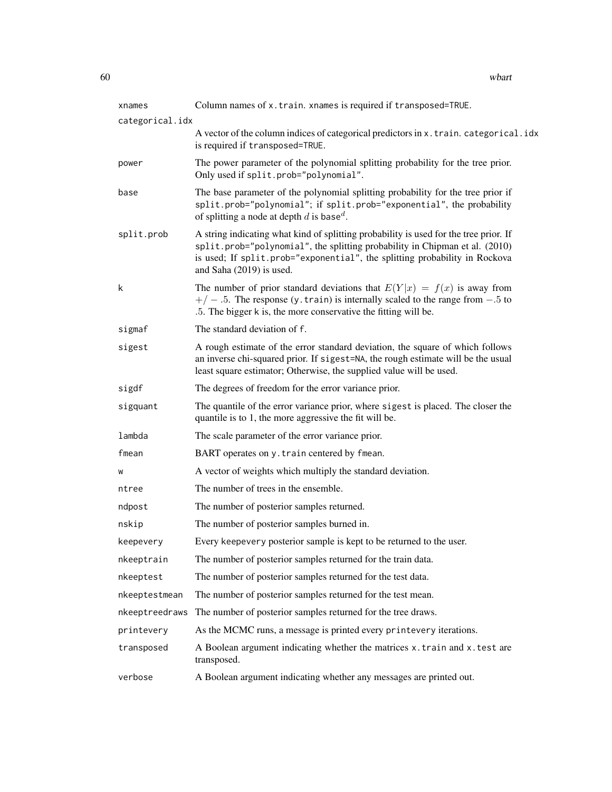| xnames          | Column names of x.train. xnames is required if transposed=TRUE.                                                                                                                                                                                                                |  |
|-----------------|--------------------------------------------------------------------------------------------------------------------------------------------------------------------------------------------------------------------------------------------------------------------------------|--|
| categorical.idx |                                                                                                                                                                                                                                                                                |  |
|                 | A vector of the column indices of categorical predictors in x. train. categorical.idx<br>is required if transposed=TRUE.                                                                                                                                                       |  |
| power           | The power parameter of the polynomial splitting probability for the tree prior.<br>Only used if split.prob="polynomial".                                                                                                                                                       |  |
| base            | The base parameter of the polynomial splitting probability for the tree prior if<br>split.prob="polynomial"; if split.prob="exponential", the probability<br>of splitting a node at depth d is base <sup>d</sup> .                                                             |  |
| split.prob      | A string indicating what kind of splitting probability is used for the tree prior. If<br>split.prob="polynomial", the splitting probability in Chipman et al. (2010)<br>is used; If split.prob="exponential", the splitting probability in Rockova<br>and Saha (2019) is used. |  |
| k               | The number of prior standard deviations that $E(Y x) = f(x)$ is away from<br>$+/-$ .5. The response (y. train) is internally scaled to the range from $-.5$ to<br>.5. The bigger k is, the more conservative the fitting will be.                                              |  |
| sigmaf          | The standard deviation of f.                                                                                                                                                                                                                                                   |  |
| sigest          | A rough estimate of the error standard deviation, the square of which follows<br>an inverse chi-squared prior. If sigest=NA, the rough estimate will be the usual<br>least square estimator; Otherwise, the supplied value will be used.                                       |  |
| sigdf           | The degrees of freedom for the error variance prior.                                                                                                                                                                                                                           |  |
| sigquant        | The quantile of the error variance prior, where sigest is placed. The closer the<br>quantile is to 1, the more aggressive the fit will be.                                                                                                                                     |  |
| lambda          | The scale parameter of the error variance prior.                                                                                                                                                                                                                               |  |
| fmean           | BART operates on y. train centered by fmean.                                                                                                                                                                                                                                   |  |
| W               | A vector of weights which multiply the standard deviation.                                                                                                                                                                                                                     |  |
| ntree           | The number of trees in the ensemble.                                                                                                                                                                                                                                           |  |
| ndpost          | The number of posterior samples returned.                                                                                                                                                                                                                                      |  |
| nskip           | The number of posterior samples burned in.                                                                                                                                                                                                                                     |  |
| keepevery       | Every keepevery posterior sample is kept to be returned to the user.                                                                                                                                                                                                           |  |
| nkeeptrain      | The number of posterior samples returned for the train data.                                                                                                                                                                                                                   |  |
| nkeeptest       | The number of posterior samples returned for the test data.                                                                                                                                                                                                                    |  |
| nkeeptestmean   | The number of posterior samples returned for the test mean.                                                                                                                                                                                                                    |  |
| nkeeptreedraws  | The number of posterior samples returned for the tree draws.                                                                                                                                                                                                                   |  |
| printevery      | As the MCMC runs, a message is printed every printevery iterations.                                                                                                                                                                                                            |  |
| transposed      | A Boolean argument indicating whether the matrices x.train and x.test are<br>transposed.                                                                                                                                                                                       |  |
| verbose         | A Boolean argument indicating whether any messages are printed out.                                                                                                                                                                                                            |  |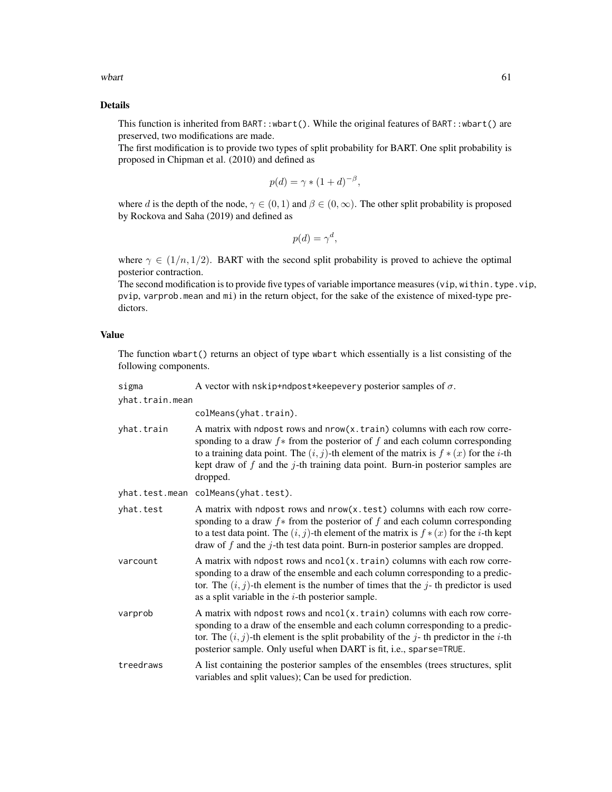where the contract of the contract of the contract of the contract of the contract of the contract of the contract of the contract of the contract of the contract of the contract of the contract of the contract of the cont

## Details

This function is inherited from BART::wbart(). While the original features of BART::wbart() are preserved, two modifications are made.

The first modification is to provide two types of split probability for BART. One split probability is proposed in Chipman et al. (2010) and defined as

$$
p(d) = \gamma * (1+d)^{-\beta},
$$

where d is the depth of the node,  $\gamma \in (0, 1)$  and  $\beta \in (0, \infty)$ . The other split probability is proposed by Rockova and Saha (2019) and defined as

$$
p(d) = \gamma^d,
$$

where  $\gamma \in (1/n, 1/2)$ . BART with the second split probability is proved to achieve the optimal posterior contraction.

The second modification is to provide five types of variable importance measures (vip, within.type.vip, pvip, varprob.mean and mi) in the return object, for the sake of the existence of mixed-type predictors.

# Value

The function wbart() returns an object of type wbart which essentially is a list consisting of the following components.

| sigma           | A vector with nskip+ndpost*keepevery posterior samples of $\sigma$ .                                                                                                                                                                                                                                                                                                  |
|-----------------|-----------------------------------------------------------------------------------------------------------------------------------------------------------------------------------------------------------------------------------------------------------------------------------------------------------------------------------------------------------------------|
| yhat.train.mean | colMeans(yhat.train).                                                                                                                                                                                                                                                                                                                                                 |
| yhat.train      | A matrix with ndpost rows and nrow(x.train) columns with each row corre-<br>sponding to a draw $f$ * from the posterior of $f$ and each column corresponding<br>to a training data point. The $(i, j)$ -th element of the matrix is $f * (x)$ for the <i>i</i> -th<br>kept draw of $f$ and the $j$ -th training data point. Burn-in posterior samples are<br>dropped. |
|                 | yhat.test.mean colMeans(yhat.test).                                                                                                                                                                                                                                                                                                                                   |
| yhat.test       | A matrix with ndpost rows and nrow(x.test) columns with each row corre-<br>sponding to a draw $f$ * from the posterior of $f$ and each column corresponding<br>to a test data point. The $(i, j)$ -th element of the matrix is $f * (x)$ for the <i>i</i> -th kept<br>draw of $f$ and the $j$ -th test data point. Burn-in posterior samples are dropped.             |
| varcount        | A matrix with ndpost rows and ncol(x.train) columns with each row corre-<br>sponding to a draw of the ensemble and each column corresponding to a predic-<br>tor. The $(i, j)$ -th element is the number of times that the j-th predictor is used<br>as a split variable in the $i$ -th posterior sample.                                                             |
| varprob         | A matrix with ndpost rows and ncol(x.train) columns with each row corre-<br>sponding to a draw of the ensemble and each column corresponding to a predic-<br>tor. The $(i, j)$ -th element is the split probability of the j-th predictor in the i-th<br>posterior sample. Only useful when DART is fit, i.e., sparse=TRUE.                                           |
| treedraws       | A list containing the posterior samples of the ensembles (trees structures, split<br>variables and split values); Can be used for prediction.                                                                                                                                                                                                                         |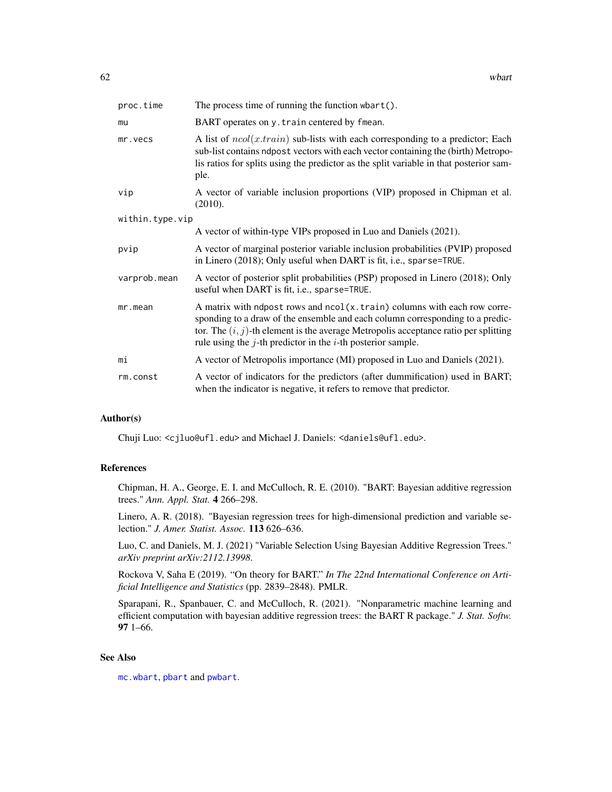<span id="page-61-0"></span>

| proc.time       | The process time of running the function wbart().                                                                                                                                                                                                                                                                        |
|-----------------|--------------------------------------------------------------------------------------------------------------------------------------------------------------------------------------------------------------------------------------------------------------------------------------------------------------------------|
| mu              | BART operates on y. train centered by fmean.                                                                                                                                                                                                                                                                             |
| mr.vecs         | A list of $ncol(x.train)$ sub-lists with each corresponding to a predictor; Each<br>sub-list contains ndpost vectors with each vector containing the (birth) Metropo-<br>lis ratios for splits using the predictor as the split variable in that posterior sam-<br>ple.                                                  |
| vip             | A vector of variable inclusion proportions (VIP) proposed in Chipman et al.<br>(2010).                                                                                                                                                                                                                                   |
| within.type.vip |                                                                                                                                                                                                                                                                                                                          |
|                 | A vector of within-type VIPs proposed in Luo and Daniels (2021).                                                                                                                                                                                                                                                         |
| pvip            | A vector of marginal posterior variable inclusion probabilities (PVIP) proposed<br>in Linero (2018); Only useful when DART is fit, i.e., sparse=TRUE.                                                                                                                                                                    |
| varprob.mean    | A vector of posterior split probabilities (PSP) proposed in Linero (2018); Only<br>useful when DART is fit, i.e., sparse=TRUE.                                                                                                                                                                                           |
| mr.mean         | A matrix with ndpost rows and ncol(x.train) columns with each row corre-<br>sponding to a draw of the ensemble and each column corresponding to a predic-<br>tor. The $(i, j)$ -th element is the average Metropolis acceptance ratio per splitting<br>rule using the $j$ -th predictor in the $i$ -th posterior sample. |
| mi              | A vector of Metropolis importance (MI) proposed in Luo and Daniels (2021).                                                                                                                                                                                                                                               |
| rm.const        | A vector of indicators for the predictors (after dummification) used in BART;<br>when the indicator is negative, it refers to remove that predictor.                                                                                                                                                                     |

# Author(s)

Chuji Luo: <cjluo@ufl.edu> and Michael J. Daniels: <daniels@ufl.edu>.

# References

Chipman, H. A., George, E. I. and McCulloch, R. E. (2010). "BART: Bayesian additive regression trees." *Ann. Appl. Stat.* 4 266–298.

Linero, A. R. (2018). "Bayesian regression trees for high-dimensional prediction and variable selection." *J. Amer. Statist. Assoc.* 113 626–636.

Luo, C. and Daniels, M. J. (2021) "Variable Selection Using Bayesian Additive Regression Trees." *arXiv preprint arXiv:2112.13998*.

Rockova V, Saha E (2019). "On theory for BART." *In The 22nd International Conference on Artificial Intelligence and Statistics* (pp. 2839–2848). PMLR.

Sparapani, R., Spanbauer, C. and McCulloch, R. (2021). "Nonparametric machine learning and efficient computation with bayesian additive regression trees: the BART R package." *J. Stat. Softw.* 97 1–66.

#### See Also

[mc.wbart](#page-31-1), [pbart](#page-42-1) and [pwbart](#page-55-1).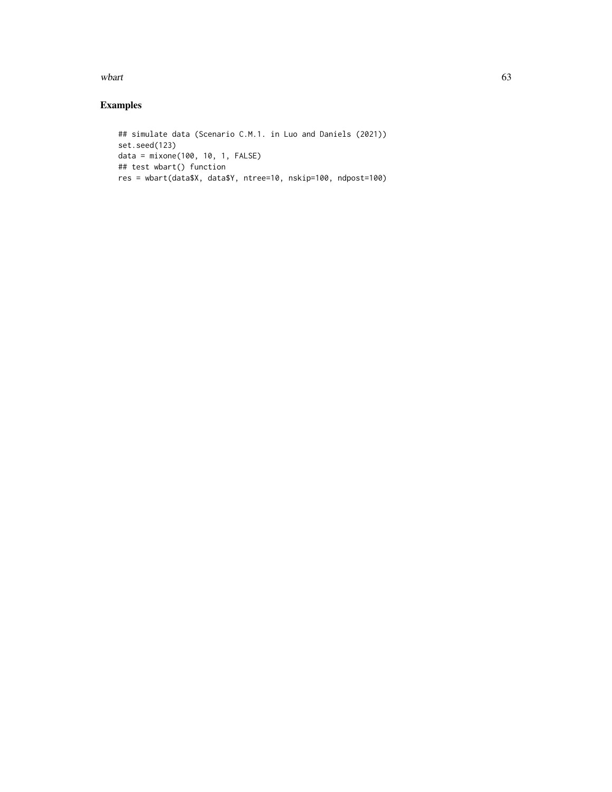where the contract of the contract of the contract of the contract of the contract of the contract of the contract of the contract of the contract of the contract of the contract of the contract of the contract of the cont

# Examples

```
## simulate data (Scenario C.M.1. in Luo and Daniels (2021))
set.seed(123)
data = mixone(100, 10, 1, FALSE)
## test wbart() function
res = wbart(data$X, data$Y, ntree=10, nskip=100, ndpost=100)
```